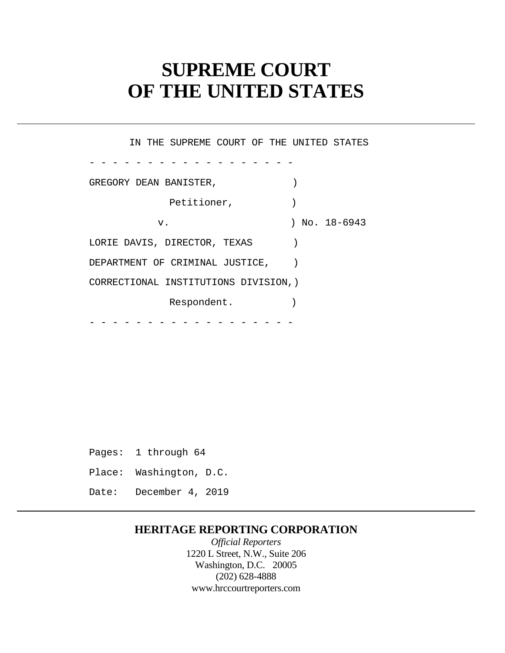# **SUPREME COURT OF THE UNITED STATES**

- - - - - - - - - - - - - - - - - -  $-$  -  $-$ IN THE SUPREME COURT OF THE UNITED STATES GREGORY DEAN BANISTER,  $($ Petitioner, (1998) v. ) No. 18-6943 LORIE DAVIS, DIRECTOR, TEXAS DEPARTMENT OF CRIMINAL JUSTICE, CORRECTIONAL INSTITUTIONS DIVISION,) Respondent.

Pages: 1 through 64 Place: Washington, D.C. Date: December 4, 2019

### **HERITAGE REPORTING CORPORATION**

*Official Reporters*  1220 L Street, N.W., Suite 206 Washington, D.C. 20005 (202) 628-4888 <www.hrccourtreporters.com>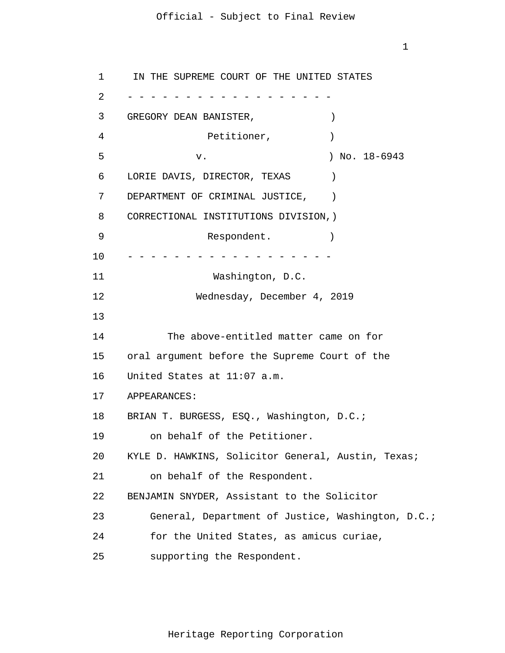```
1 
 \overline{2}3 
 4 
 5 
 6 
 7 
 8 
 9 
10 
11 
12 
13
14 
15 
16 
17 
18 
19 
20 
21 
22 
23 
24 
25 
      - - - - - - - - - - - - - - - - - -
      - - - - - - - - - - - - - - - - - -
      IN THE SUPREME COURT OF THE UNITED STATES 
      GREGORY DEAN BANISTER, (Petitioner, and a set of the set of the set of the set of the set of the set of the set of the set of the set o
                   v. ) No. 18-6943 
      LORIE DAVIS, DIRECTOR, TEXAS )
      DEPARTMENT OF CRIMINAL JUSTICE,
      CORRECTIONAL INSTITUTIONS DIVISION,) 
                    Respondent.
                      Washington, D.C. 
                   Wednesday, December 4, 2019 
              The above-entitled matter came on for 
      oral argument before the Supreme Court of the 
      United States at 11:07 a.m. 
      APPEARANCES: 
      BRIAN T. BURGESS, ESQ., Washington, D.C.; 
          on behalf of the Petitioner. 
      KYLE D. HAWKINS, Solicitor General, Austin, Texas; 
          on behalf of the Respondent. 
      BENJAMIN SNYDER, Assistant to the Solicitor 
          General, Department of Justice, Washington, D.C.; 
          for the United States, as amicus curiae, 
          supporting the Respondent.
```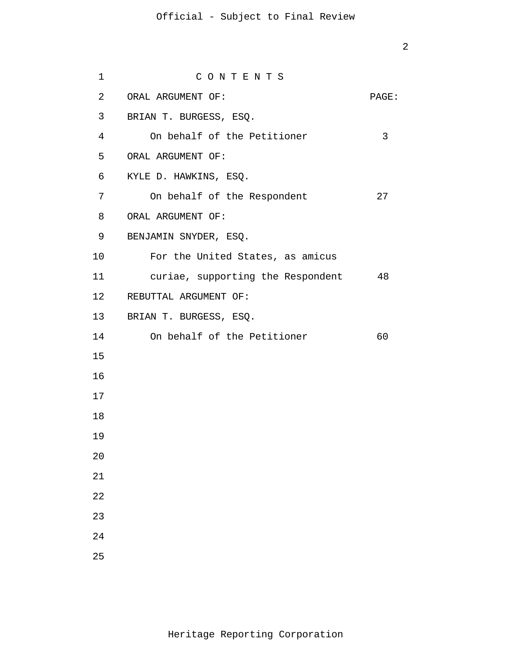| 1               | CONTENTS                          |       |
|-----------------|-----------------------------------|-------|
| $\overline{2}$  | ORAL ARGUMENT OF:                 | PAGE: |
| $\mathsf{3}$    | BRIAN T. BURGESS, ESQ.            |       |
| 4               | On behalf of the Petitioner       | 3     |
| 5               | ORAL ARGUMENT OF:                 |       |
| 6               | KYLE D. HAWKINS, ESQ.             |       |
| $7\phantom{.}$  | On behalf of the Respondent       | 27    |
| 8               | ORAL ARGUMENT OF:                 |       |
| 9               | BENJAMIN SNYDER, ESQ.             |       |
| 10 <sub>1</sub> | For the United States, as amicus  |       |
| 11              | curiae, supporting the Respondent | 48    |
|                 | 12 REBUTTAL ARGUMENT OF:          |       |
|                 | 13 BRIAN T. BURGESS, ESQ.         |       |
| 14              | On behalf of the Petitioner       | 60    |
| 15              |                                   |       |
| 16              |                                   |       |
| 17              |                                   |       |
| 18              |                                   |       |
| 19              |                                   |       |
| 20              |                                   |       |
| 21              |                                   |       |
| 22              |                                   |       |
| 23              |                                   |       |
| 24              |                                   |       |
| 25              |                                   |       |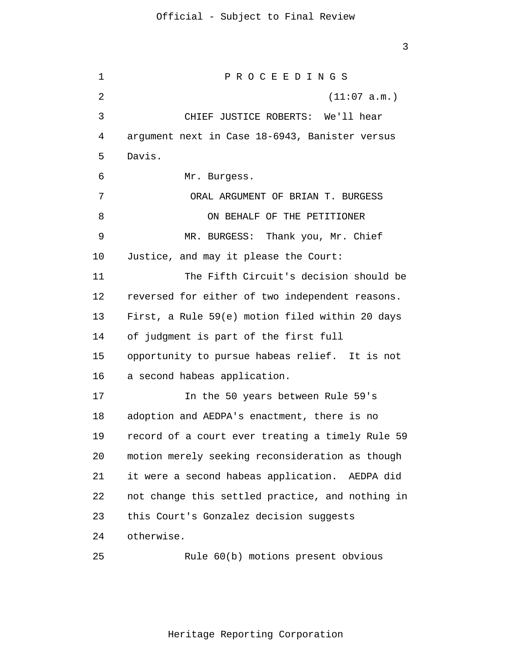1  $\overline{2}$ 3 4 5 6 7 8 9 10 11 12 13 14 15 16 17 18 19 20 21 22 23 24 25 P R O C E E D I N G S (11:07 a.m.) CHIEF JUSTICE ROBERTS: We'll hear argument next in Case 18-6943, Banister versus Davis. Mr. Burgess. ORAL ARGUMENT OF BRIAN T. BURGESS ON BEHALF OF THE PETITIONER MR. BURGESS: Thank you, Mr. Chief Justice, and may it please the Court: The Fifth Circuit's decision should be reversed for either of two independent reasons. First, a Rule 59(e) motion filed within 20 days of judgment is part of the first full opportunity to pursue habeas relief. It is not a second habeas application. In the 50 years between Rule 59's adoption and AEDPA's enactment, there is no record of a court ever treating a timely Rule 59 motion merely seeking reconsideration as though it were a second habeas application. AEDPA did not change this settled practice, and nothing in this Court's Gonzalez decision suggests otherwise. Rule 60(b) motions present obvious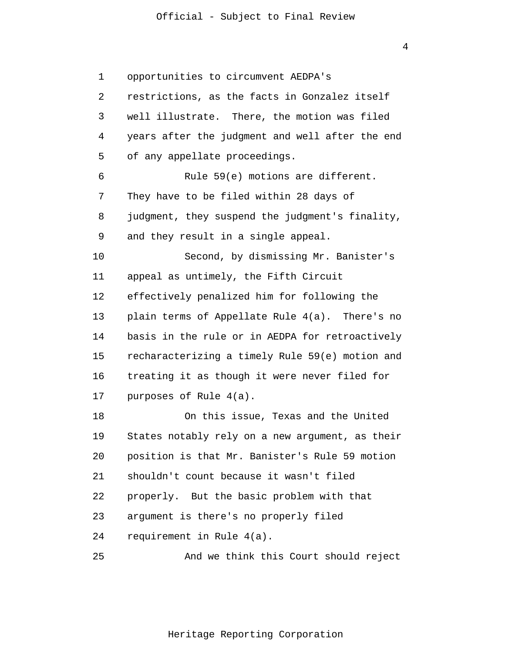4

1 2 3 4 5 6 7 8 9 10 11 12 13 14 15 16 17 18 19 20 21 22 23 24 25 opportunities to circumvent AEDPA's restrictions, as the facts in Gonzalez itself well illustrate. There, the motion was filed years after the judgment and well after the end of any appellate proceedings. Rule 59(e) motions are different. They have to be filed within 28 days of judgment, they suspend the judgment's finality, and they result in a single appeal. Second, by dismissing Mr. Banister's appeal as untimely, the Fifth Circuit effectively penalized him for following the plain terms of Appellate Rule 4(a). There's no basis in the rule or in AEDPA for retroactively recharacterizing a timely Rule 59(e) motion and treating it as though it were never filed for purposes of Rule 4(a). On this issue, Texas and the United States notably rely on a new argument, as their position is that Mr. Banister's Rule 59 motion shouldn't count because it wasn't filed properly. But the basic problem with that argument is there's no properly filed requirement in Rule 4(a). And we think this Court should reject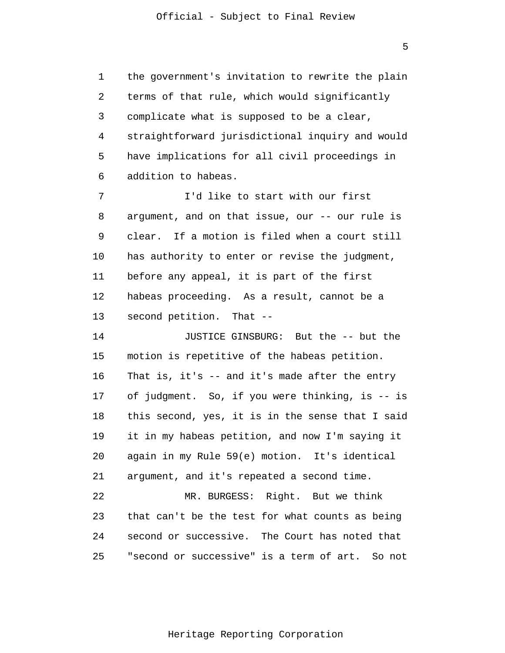1 2 3 4 5 6 the government's invitation to rewrite the plain terms of that rule, which would significantly complicate what is supposed to be a clear, straightforward jurisdictional inquiry and would have implications for all civil proceedings in addition to habeas.

7 8 9 10 11 12 13 I'd like to start with our first argument, and on that issue, our -- our rule is clear. If a motion is filed when a court still has authority to enter or revise the judgment, before any appeal, it is part of the first habeas proceeding. As a result, cannot be a second petition. That --

14 15 16 17 18 19 20 21 22 23 JUSTICE GINSBURG: But the -- but the motion is repetitive of the habeas petition. That is, it's -- and it's made after the entry of judgment. So, if you were thinking, is -- is this second, yes, it is in the sense that I said it in my habeas petition, and now I'm saying it again in my Rule 59(e) motion. It's identical argument, and it's repeated a second time. MR. BURGESS: Right. But we think that can't be the test for what counts as being

25 "second or successive" is a term of art. So not

second or successive. The Court has noted that

24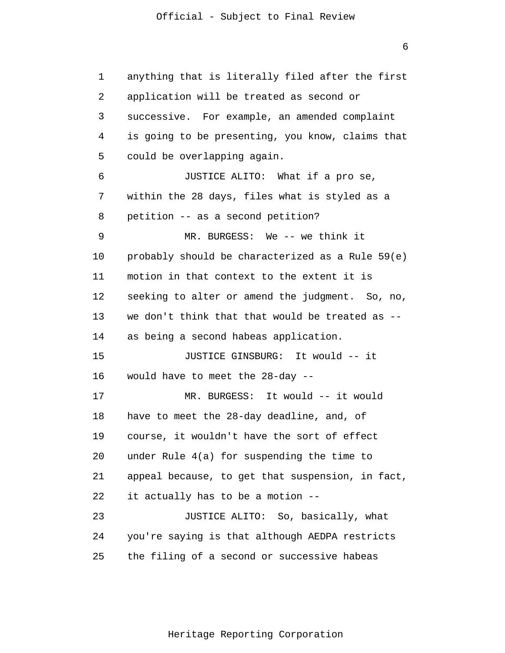1 2 3 4 5 6 7 8 9 10 11 12 13 14 15 16 17 18 19 20 21 22 23 24 25 anything that is literally filed after the first application will be treated as second or successive. For example, an amended complaint is going to be presenting, you know, claims that could be overlapping again. JUSTICE ALITO: What if a pro se, within the 28 days, files what is styled as a petition -- as a second petition? MR. BURGESS: We -- we think it probably should be characterized as a Rule 59(e) motion in that context to the extent it is seeking to alter or amend the judgment. So, no, we don't think that that would be treated as - as being a second habeas application. JUSTICE GINSBURG: It would -- it would have to meet the 28-day -- MR. BURGESS: It would -- it would have to meet the 28-day deadline, and, of course, it wouldn't have the sort of effect under Rule 4(a) for suspending the time to appeal because, to get that suspension, in fact, it actually has to be a motion -- JUSTICE ALITO: So, basically, what you're saying is that although AEDPA restricts the filing of a second or successive habeas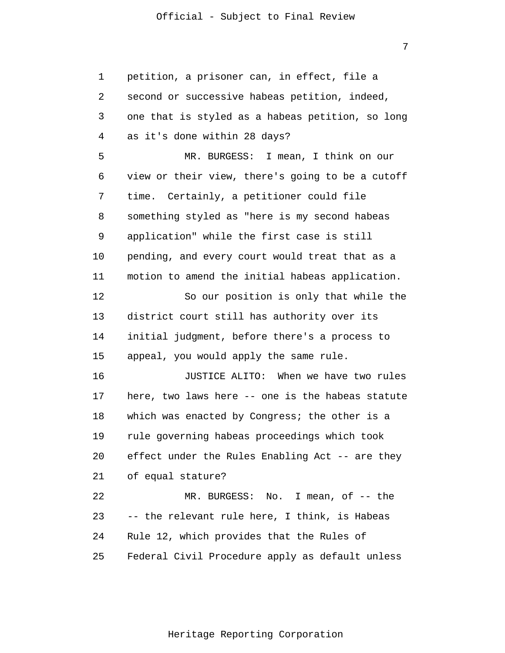7

1 2 3 4 5 6 7 8 9 10 11 12 13 14 15 16 17 18 19 20 21 22 23 24 25 petition, a prisoner can, in effect, file a second or successive habeas petition, indeed, one that is styled as a habeas petition, so long as it's done within 28 days? MR. BURGESS: I mean, I think on our view or their view, there's going to be a cutoff time. Certainly, a petitioner could file something styled as "here is my second habeas application" while the first case is still pending, and every court would treat that as a motion to amend the initial habeas application. So our position is only that while the district court still has authority over its initial judgment, before there's a process to appeal, you would apply the same rule. JUSTICE ALITO: When we have two rules here, two laws here -- one is the habeas statute which was enacted by Congress; the other is a rule governing habeas proceedings which took effect under the Rules Enabling Act -- are they of equal stature? MR. BURGESS: No. I mean, of -- the -- the relevant rule here, I think, is Habeas Rule 12, which provides that the Rules of Federal Civil Procedure apply as default unless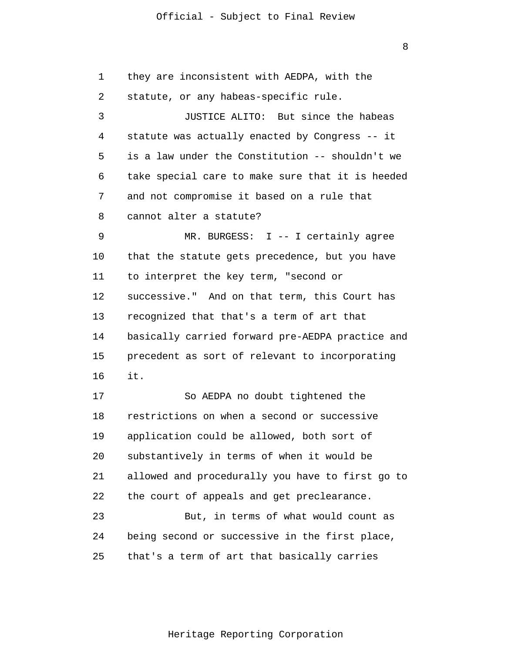1 2 3 4 5 6 7 8 9 10 11 12 13 14 15 16 17 18 they are inconsistent with AEDPA, with the statute, or any habeas-specific rule. JUSTICE ALITO: But since the habeas statute was actually enacted by Congress -- it is a law under the Constitution -- shouldn't we take special care to make sure that it is heeded and not compromise it based on a rule that cannot alter a statute? MR. BURGESS: I -- I certainly agree that the statute gets precedence, but you have to interpret the key term, "second or successive." And on that term, this Court has recognized that that's a term of art that basically carried forward pre-AEDPA practice and precedent as sort of relevant to incorporating it. So AEDPA no doubt tightened the restrictions on when a second or successive

19 20 21 22 23 application could be allowed, both sort of substantively in terms of when it would be allowed and procedurally you have to first go to the court of appeals and get preclearance. But, in terms of what would count as

24 25 being second or successive in the first place, that's a term of art that basically carries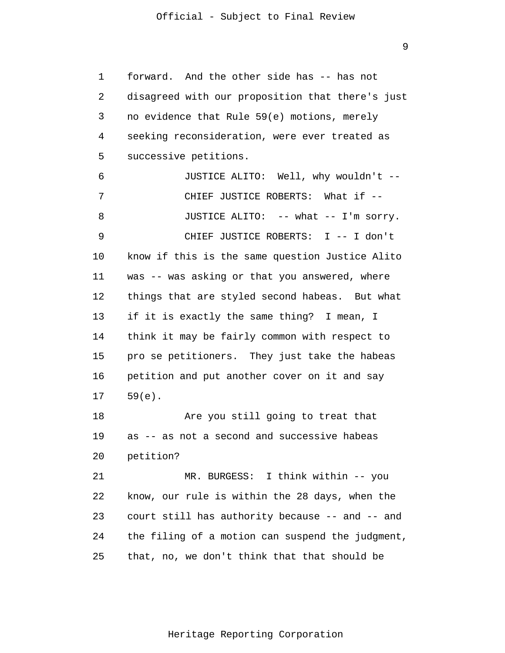9

1  $\overline{2}$ 3 4 5 6 7 8 9 10 11 12 13 14 15 16 17 18 19 20 21 22 23 24 25 forward. And the other side has -- has not disagreed with our proposition that there's just no evidence that Rule 59(e) motions, merely seeking reconsideration, were ever treated as successive petitions. JUSTICE ALITO: Well, why wouldn't -- CHIEF JUSTICE ROBERTS: What if -- JUSTICE ALITO: -- what -- I'm sorry. CHIEF JUSTICE ROBERTS: I -- I don't know if this is the same question Justice Alito was -- was asking or that you answered, where things that are styled second habeas. But what if it is exactly the same thing? I mean, I think it may be fairly common with respect to pro se petitioners. They just take the habeas petition and put another cover on it and say 59(e). Are you still going to treat that as -- as not a second and successive habeas petition? MR. BURGESS: I think within -- you know, our rule is within the 28 days, when the court still has authority because -- and -- and the filing of a motion can suspend the judgment, that, no, we don't think that that should be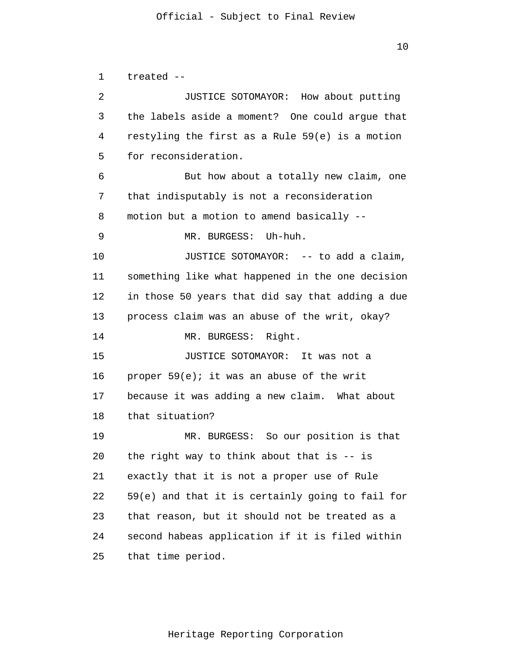1  $\overline{2}$ 3 4 5 6 7 8 9 10 11 12 13 14 15 16 17 18 19 20 21 22 23 24 25 treated -- JUSTICE SOTOMAYOR: How about putting the labels aside a moment? One could argue that restyling the first as a Rule 59(e) is a motion for reconsideration. But how about a totally new claim, one that indisputably is not a reconsideration motion but a motion to amend basically -- MR. BURGESS: Uh-huh. JUSTICE SOTOMAYOR: -- to add a claim, something like what happened in the one decision in those 50 years that did say that adding a due process claim was an abuse of the writ, okay? MR. BURGESS: Right. JUSTICE SOTOMAYOR: It was not a proper 59(e); it was an abuse of the writ because it was adding a new claim. What about that situation? MR. BURGESS: So our position is that the right way to think about that is -- is exactly that it is not a proper use of Rule 59(e) and that it is certainly going to fail for that reason, but it should not be treated as a second habeas application if it is filed within that time period.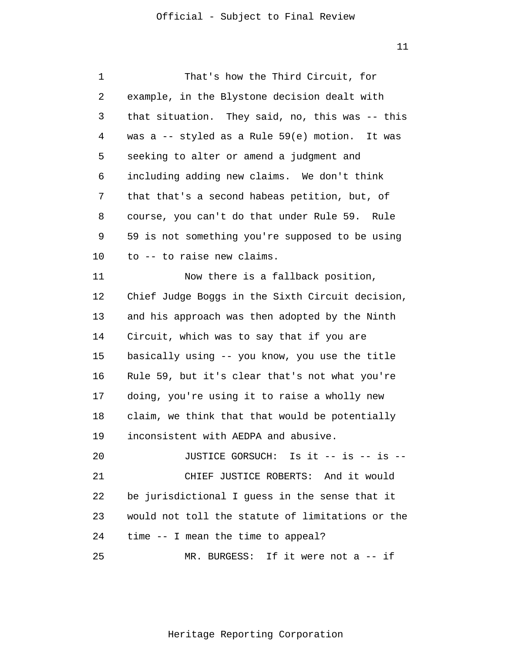| 1  | That's how the Third Circuit, for                |
|----|--------------------------------------------------|
| 2  | example, in the Blystone decision dealt with     |
| 3  | that situation. They said, no, this was -- this  |
| 4  | was a -- styled as a Rule 59(e) motion. It was   |
| 5  | seeking to alter or amend a judgment and         |
| 6  | including adding new claims. We don't think      |
| 7  | that that's a second habeas petition, but, of    |
| 8  | course, you can't do that under Rule 59. Rule    |
| 9  | 59 is not something you're supposed to be using  |
| 10 | to -- to raise new claims.                       |
| 11 | Now there is a fallback position,                |
| 12 | Chief Judge Boggs in the Sixth Circuit decision, |
| 13 | and his approach was then adopted by the Ninth   |
| 14 | Circuit, which was to say that if you are        |
| 15 | basically using -- you know, you use the title   |
| 16 | Rule 59, but it's clear that's not what you're   |
| 17 | doing, you're using it to raise a wholly new     |
| 18 | claim, we think that that would be potentially   |
| 19 | inconsistent with AEDPA and abusive.             |
| 20 | JUSTICE GORSUCH: Is it -- is -- is --            |
| 21 | CHIEF JUSTICE ROBERTS: And it would              |
| 22 | be jurisdictional I guess in the sense that it   |
| 23 | would not toll the statute of limitations or the |
| 24 | time -- I mean the time to appeal?               |
| 25 | MR. BURGESS: If it were not a -- if              |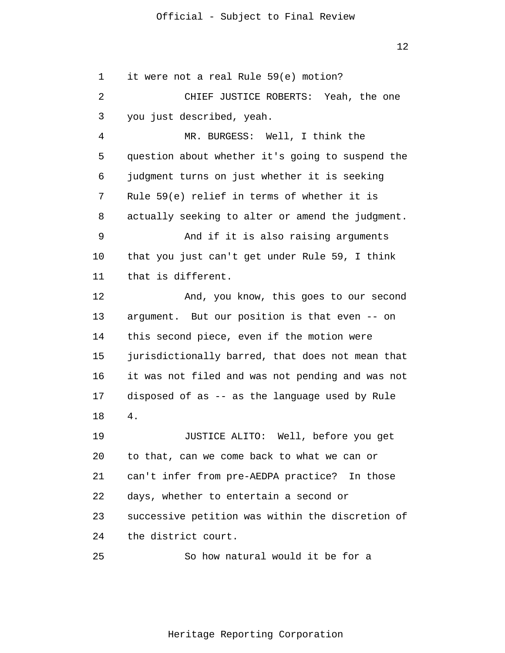1  $\overline{2}$ 3 4 5 6 7 8 9 10 11 12 13 14 15 16 17 18 19 20 21 22 23 24 25 it were not a real Rule 59(e) motion? CHIEF JUSTICE ROBERTS: Yeah, the one you just described, yeah. MR. BURGESS: Well, I think the question about whether it's going to suspend the judgment turns on just whether it is seeking Rule 59(e) relief in terms of whether it is actually seeking to alter or amend the judgment. And if it is also raising arguments that you just can't get under Rule 59, I think that is different. And, you know, this goes to our second argument. But our position is that even -- on this second piece, even if the motion were jurisdictionally barred, that does not mean that it was not filed and was not pending and was not disposed of as -- as the language used by Rule 4. JUSTICE ALITO: Well, before you get to that, can we come back to what we can or can't infer from pre-AEDPA practice? In those days, whether to entertain a second or successive petition was within the discretion of the district court. So how natural would it be for a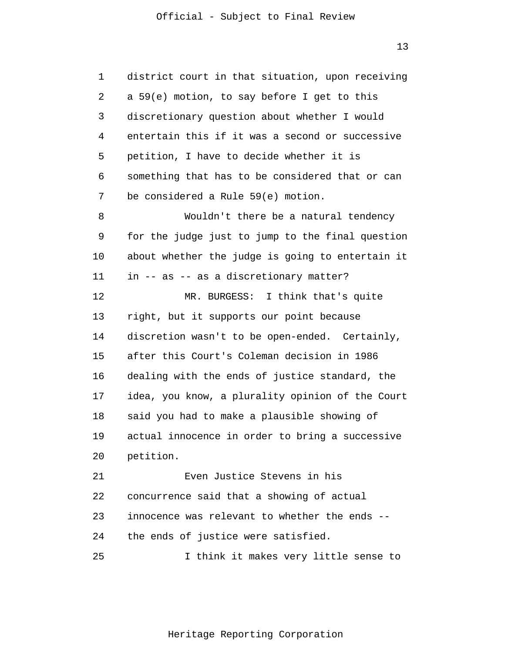1 2 3 4 5 6 7 8 9 10 11 12 13 14 15 16 17 18 19 20 21 22 23 24 25 district court in that situation, upon receiving a 59(e) motion, to say before I get to this discretionary question about whether I would entertain this if it was a second or successive petition, I have to decide whether it is something that has to be considered that or can be considered a Rule 59(e) motion. Wouldn't there be a natural tendency for the judge just to jump to the final question about whether the judge is going to entertain it in -- as -- as a discretionary matter? MR. BURGESS: I think that's quite right, but it supports our point because discretion wasn't to be open-ended. Certainly, after this Court's Coleman decision in 1986 dealing with the ends of justice standard, the idea, you know, a plurality opinion of the Court said you had to make a plausible showing of actual innocence in order to bring a successive petition. Even Justice Stevens in his concurrence said that a showing of actual innocence was relevant to whether the ends - the ends of justice were satisfied. I think it makes very little sense to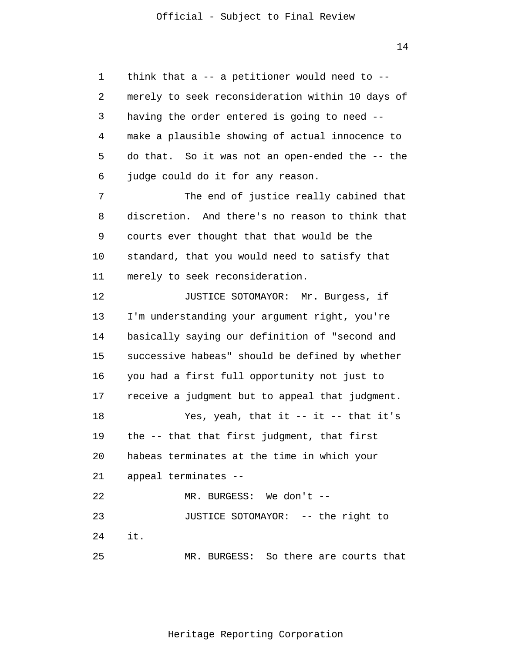1 2 3 4 5 6 7 8 9 10 11 12 13 14 15 16 17 18 19 20 21 22 23 24 25 think that a  $-$ - a petitioner would need to  $-$ merely to seek reconsideration within 10 days of having the order entered is going to need - make a plausible showing of actual innocence to do that. So it was not an open-ended the -- the judge could do it for any reason. The end of justice really cabined that discretion. And there's no reason to think that courts ever thought that that would be the standard, that you would need to satisfy that merely to seek reconsideration. JUSTICE SOTOMAYOR: Mr. Burgess, if I'm understanding your argument right, you're basically saying our definition of "second and successive habeas" should be defined by whether you had a first full opportunity not just to receive a judgment but to appeal that judgment. Yes, yeah, that it  $-$  it  $-$  that it's the -- that that first judgment, that first habeas terminates at the time in which your appeal terminates -- MR. BURGESS: We don't -- JUSTICE SOTOMAYOR: -- the right to it. MR. BURGESS: So there are courts that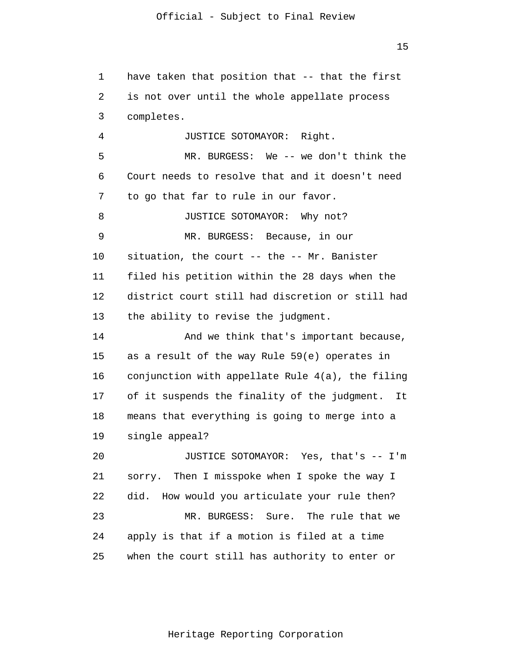1  $\overline{2}$ 3 4 5 6 7 8 9 10 11 12 13 14 15 16 17 18 19 20 21 22 23 24 have taken that position that -- that the first is not over until the whole appellate process completes. JUSTICE SOTOMAYOR: Right. MR. BURGESS: We -- we don't think the Court needs to resolve that and it doesn't need to go that far to rule in our favor. JUSTICE SOTOMAYOR: Why not? MR. BURGESS: Because, in our situation, the court -- the -- Mr. Banister filed his petition within the 28 days when the district court still had discretion or still had the ability to revise the judgment. And we think that's important because, as a result of the way Rule 59(e) operates in conjunction with appellate Rule 4(a), the filing of it suspends the finality of the judgment. It means that everything is going to merge into a single appeal? JUSTICE SOTOMAYOR: Yes, that's -- I'm sorry. Then I misspoke when I spoke the way I did. How would you articulate your rule then? MR. BURGESS: Sure. The rule that we apply is that if a motion is filed at a time

15

when the court still has authority to enter or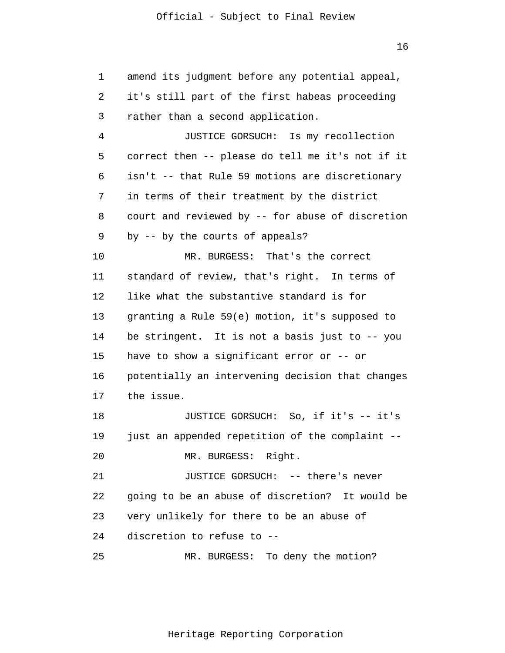1  $\overline{2}$ 3 4 5 6 7 8 9 10 11 12 13 14 15 16 17 18 19 20 21 22 23 24 25 amend its judgment before any potential appeal, it's still part of the first habeas proceeding rather than a second application. JUSTICE GORSUCH: Is my recollection correct then -- please do tell me it's not if it isn't -- that Rule 59 motions are discretionary in terms of their treatment by the district court and reviewed by -- for abuse of discretion by -- by the courts of appeals? MR. BURGESS: That's the correct standard of review, that's right. In terms of like what the substantive standard is for granting a Rule 59(e) motion, it's supposed to be stringent. It is not a basis just to -- you have to show a significant error or -- or potentially an intervening decision that changes the issue. JUSTICE GORSUCH: So, if it's -- it's just an appended repetition of the complaint -- MR. BURGESS: Right. JUSTICE GORSUCH: -- there's never going to be an abuse of discretion? It would be very unlikely for there to be an abuse of discretion to refuse to -- MR. BURGESS: To deny the motion?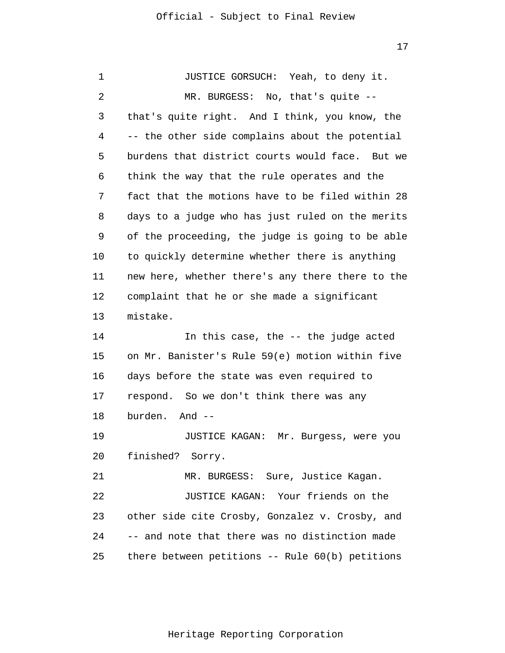1 2 3 4 5 6 7 8 9 10 11 12 13 14 15 16 17 18 19 20 21 22 23 24 25 JUSTICE GORSUCH: Yeah, to deny it. MR. BURGESS: No, that's quite -that's quite right. And I think, you know, the -- the other side complains about the potential burdens that district courts would face. But we think the way that the rule operates and the fact that the motions have to be filed within 28 days to a judge who has just ruled on the merits of the proceeding, the judge is going to be able to quickly determine whether there is anything new here, whether there's any there there to the complaint that he or she made a significant mistake. In this case, the -- the judge acted on Mr. Banister's Rule 59(e) motion within five days before the state was even required to respond. So we don't think there was any burden. And -- JUSTICE KAGAN: Mr. Burgess, were you finished? Sorry. MR. BURGESS: Sure, Justice Kagan. JUSTICE KAGAN: Your friends on the other side cite Crosby, Gonzalez v. Crosby, and -- and note that there was no distinction made there between petitions -- Rule 60(b) petitions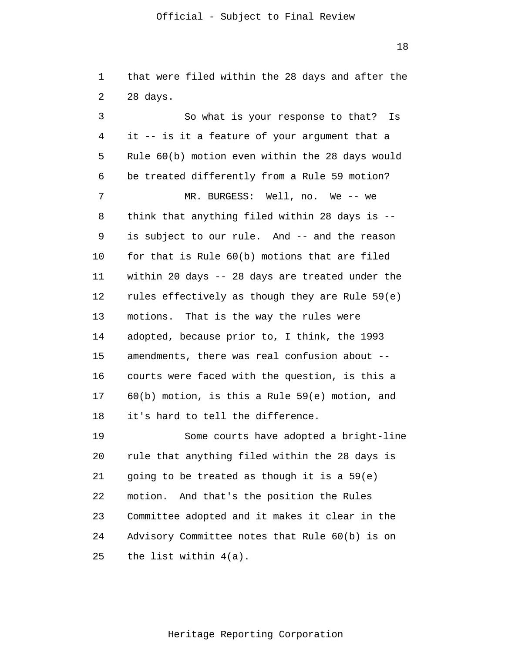18

1 2 that were filed within the 28 days and after the 28 days.

3 4 5 6 7 8 9 10 11 12 13 14 15 16 17 18 19 20 21 So what is your response to that? Is it -- is it a feature of your argument that a Rule 60(b) motion even within the 28 days would be treated differently from a Rule 59 motion? MR. BURGESS: Well, no. We -- we think that anything filed within 28 days is - is subject to our rule. And -- and the reason for that is Rule 60(b) motions that are filed within 20 days -- 28 days are treated under the rules effectively as though they are Rule 59(e) motions. That is the way the rules were adopted, because prior to, I think, the 1993 amendments, there was real confusion about - courts were faced with the question, is this a 60(b) motion, is this a Rule 59(e) motion, and it's hard to tell the difference. Some courts have adopted a bright-line rule that anything filed within the 28 days is going to be treated as though it is a 59(e)

22 23 24 25 motion. And that's the position the Rules Committee adopted and it makes it clear in the Advisory Committee notes that Rule 60(b) is on the list within 4(a).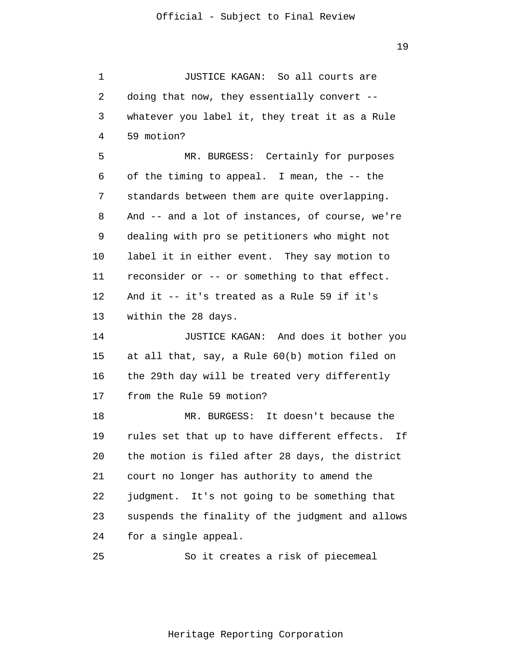1 2 3 4 5 6 7 8 9 10 11 12 13 14 15 16 17 18 19 20 21 22 23 24 25 JUSTICE KAGAN: So all courts are doing that now, they essentially convert - whatever you label it, they treat it as a Rule 59 motion? MR. BURGESS: Certainly for purposes of the timing to appeal. I mean, the -- the standards between them are quite overlapping. And -- and a lot of instances, of course, we're dealing with pro se petitioners who might not label it in either event. They say motion to reconsider or -- or something to that effect. And it -- it's treated as a Rule 59 if it's within the 28 days. JUSTICE KAGAN: And does it bother you at all that, say, a Rule 60(b) motion filed on the 29th day will be treated very differently from the Rule 59 motion? MR. BURGESS: It doesn't because the rules set that up to have different effects. If the motion is filed after 28 days, the district court no longer has authority to amend the judgment. It's not going to be something that suspends the finality of the judgment and allows for a single appeal. So it creates a risk of piecemeal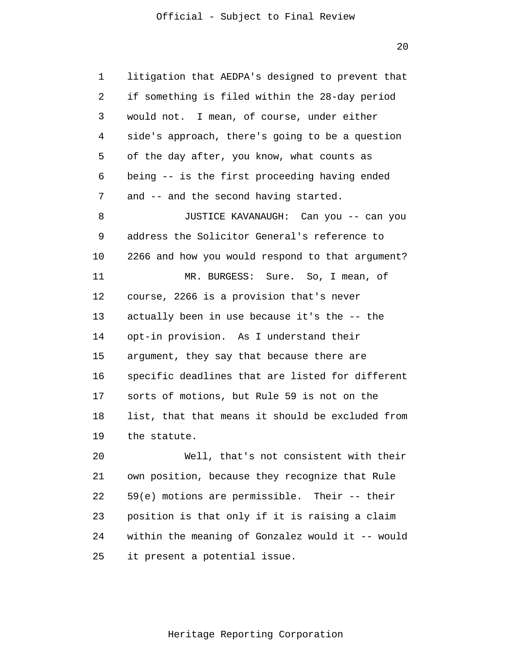1  $\overline{2}$ 3 4 5 6 7 8 9 10 11 12 13 14 15 16 17 18 19 20 21 22 23 24 litigation that AEDPA's designed to prevent that if something is filed within the 28-day period would not. I mean, of course, under either side's approach, there's going to be a question of the day after, you know, what counts as being -- is the first proceeding having ended and -- and the second having started. JUSTICE KAVANAUGH: Can you -- can you address the Solicitor General's reference to 2266 and how you would respond to that argument? MR. BURGESS: Sure. So, I mean, of course, 2266 is a provision that's never actually been in use because it's the -- the opt-in provision. As I understand their argument, they say that because there are specific deadlines that are listed for different sorts of motions, but Rule 59 is not on the list, that that means it should be excluded from the statute. Well, that's not consistent with their own position, because they recognize that Rule 59(e) motions are permissible. Their -- their position is that only if it is raising a claim within the meaning of Gonzalez would it -- would

25 it present a potential issue.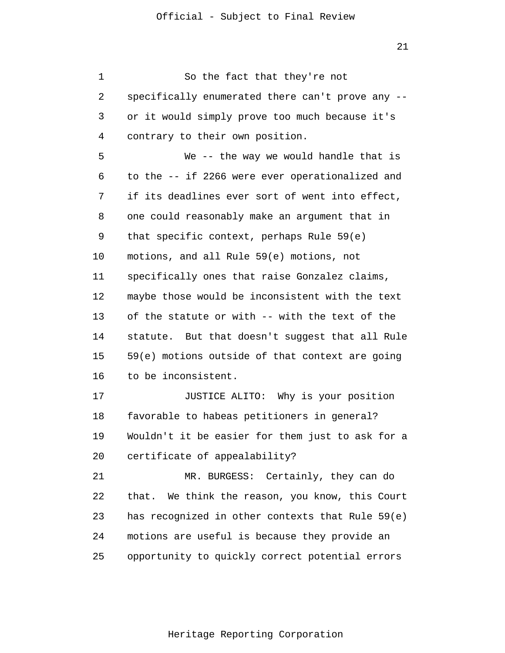1 2 3 4 5 6 7 8 9 10 11 12 13 14 15 16 17 18 19 20 21 22 23 24 25 So the fact that they're not specifically enumerated there can't prove any - or it would simply prove too much because it's contrary to their own position. We -- the way we would handle that is to the -- if 2266 were ever operationalized and if its deadlines ever sort of went into effect, one could reasonably make an argument that in that specific context, perhaps Rule 59(e) motions, and all Rule 59(e) motions, not specifically ones that raise Gonzalez claims, maybe those would be inconsistent with the text of the statute or with -- with the text of the statute. But that doesn't suggest that all Rule 59(e) motions outside of that context are going to be inconsistent. JUSTICE ALITO: Why is your position favorable to habeas petitioners in general? Wouldn't it be easier for them just to ask for a certificate of appealability? MR. BURGESS: Certainly, they can do that. We think the reason, you know, this Court has recognized in other contexts that Rule 59(e) motions are useful is because they provide an opportunity to quickly correct potential errors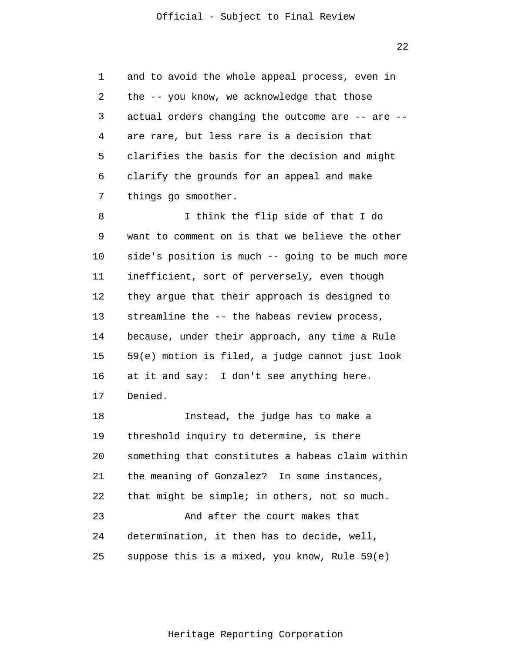1  $\overline{2}$ 3 4 5 6 7 and to avoid the whole appeal process, even in the -- you know, we acknowledge that those actual orders changing the outcome are -- are - are rare, but less rare is a decision that clarifies the basis for the decision and might clarify the grounds for an appeal and make things go smoother.

8 9 10 11 12 13 14 15 16 17 I think the flip side of that I do want to comment on is that we believe the other side's position is much -- going to be much more inefficient, sort of perversely, even though they argue that their approach is designed to streamline the -- the habeas review process, because, under their approach, any time a Rule 59(e) motion is filed, a judge cannot just look at it and say: I don't see anything here. Denied.

18 19 20 21 22 23 24 25 Instead, the judge has to make a threshold inquiry to determine, is there something that constitutes a habeas claim within the meaning of Gonzalez? In some instances, that might be simple; in others, not so much. And after the court makes that determination, it then has to decide, well, suppose this is a mixed, you know, Rule 59(e)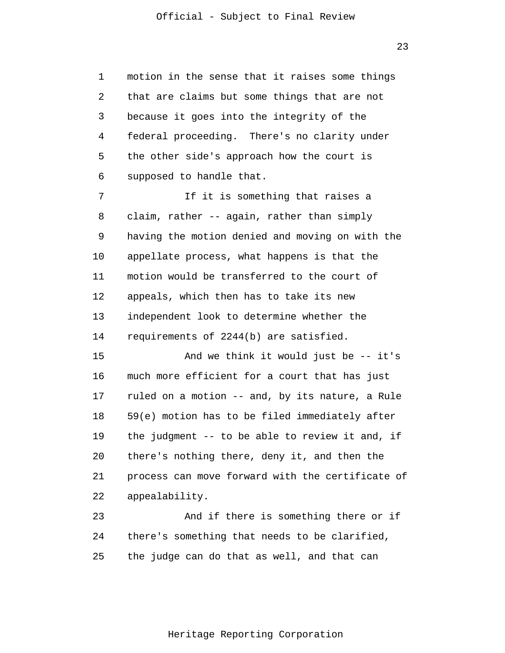1 2 3 4 5 6 motion in the sense that it raises some things that are claims but some things that are not because it goes into the integrity of the federal proceeding. There's no clarity under the other side's approach how the court is supposed to handle that.

7 8 9 10 11 12 13 14 If it is something that raises a claim, rather -- again, rather than simply having the motion denied and moving on with the appellate process, what happens is that the motion would be transferred to the court of appeals, which then has to take its new independent look to determine whether the requirements of 2244(b) are satisfied.

15 16 17 18 19 20 21 22 And we think it would just be -- it's much more efficient for a court that has just ruled on a motion -- and, by its nature, a Rule 59(e) motion has to be filed immediately after the judgment -- to be able to review it and, if there's nothing there, deny it, and then the process can move forward with the certificate of appealability.

23 24 25 And if there is something there or if there's something that needs to be clarified, the judge can do that as well, and that can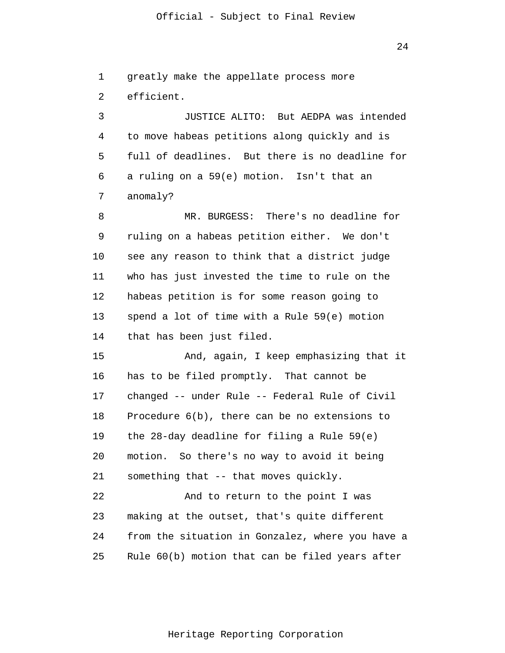24

1  $\overline{2}$ greatly make the appellate process more efficient.

3 4 5 6 7 JUSTICE ALITO: But AEDPA was intended to move habeas petitions along quickly and is full of deadlines. But there is no deadline for a ruling on a 59(e) motion. Isn't that an anomaly?

8 9 10 11 12 13 14 MR. BURGESS: There's no deadline for ruling on a habeas petition either. We don't see any reason to think that a district judge who has just invested the time to rule on the habeas petition is for some reason going to spend a lot of time with a Rule 59(e) motion that has been just filed.

15 16 17 18 19 20 21 22 And, again, I keep emphasizing that it has to be filed promptly. That cannot be changed -- under Rule -- Federal Rule of Civil Procedure 6(b), there can be no extensions to the 28-day deadline for filing a Rule 59(e) motion. So there's no way to avoid it being something that -- that moves quickly. And to return to the point I was

23 24 25 making at the outset, that's quite different from the situation in Gonzalez, where you have a Rule 60(b) motion that can be filed years after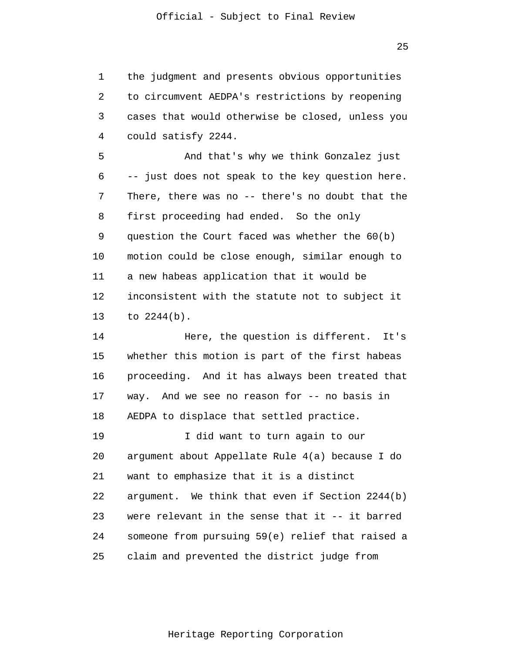1 2 3 4 the judgment and presents obvious opportunities to circumvent AEDPA's restrictions by reopening cases that would otherwise be closed, unless you could satisfy 2244.

5 6 7 8 9 10 11 12 13 And that's why we think Gonzalez just -- just does not speak to the key question here. There, there was no -- there's no doubt that the first proceeding had ended. So the only question the Court faced was whether the 60(b) motion could be close enough, similar enough to a new habeas application that it would be inconsistent with the statute not to subject it to 2244(b).

14 15 16 17 18 19 20 Here, the question is different. It's whether this motion is part of the first habeas proceeding. And it has always been treated that way. And we see no reason for -- no basis in AEDPA to displace that settled practice. I did want to turn again to our argument about Appellate Rule 4(a) because I do

22 23 24 25 argument. We think that even if Section 2244(b) were relevant in the sense that it -- it barred someone from pursuing 59(e) relief that raised a claim and prevented the district judge from

want to emphasize that it is a distinct

21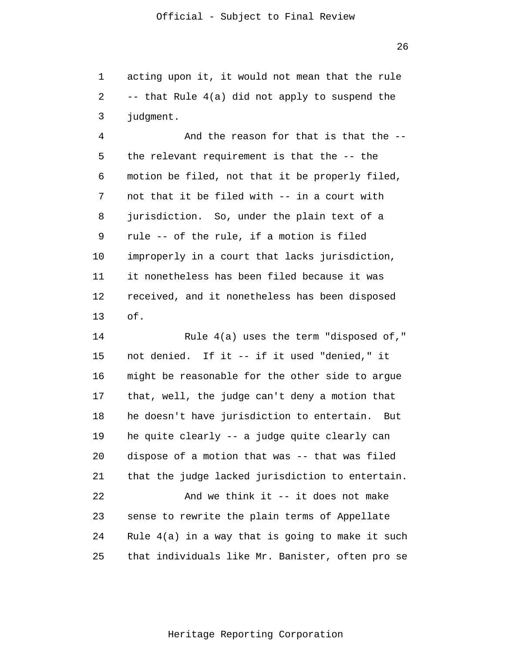1  $\overline{2}$ 3 acting upon it, it would not mean that the rule -- that Rule 4(a) did not apply to suspend the judgment.

4 5 6 7 8 9 10 11 12 13 And the reason for that is that the - the relevant requirement is that the -- the motion be filed, not that it be properly filed, not that it be filed with -- in a court with jurisdiction. So, under the plain text of a rule -- of the rule, if a motion is filed improperly in a court that lacks jurisdiction, it nonetheless has been filed because it was received, and it nonetheless has been disposed of.

14 15 16 17 18 19 20 21 22 23 24 25 Rule 4(a) uses the term "disposed of," not denied. If it -- if it used "denied," it might be reasonable for the other side to argue that, well, the judge can't deny a motion that he doesn't have jurisdiction to entertain. But he quite clearly -- a judge quite clearly can dispose of a motion that was -- that was filed that the judge lacked jurisdiction to entertain. And we think it -- it does not make sense to rewrite the plain terms of Appellate Rule 4(a) in a way that is going to make it such that individuals like Mr. Banister, often pro se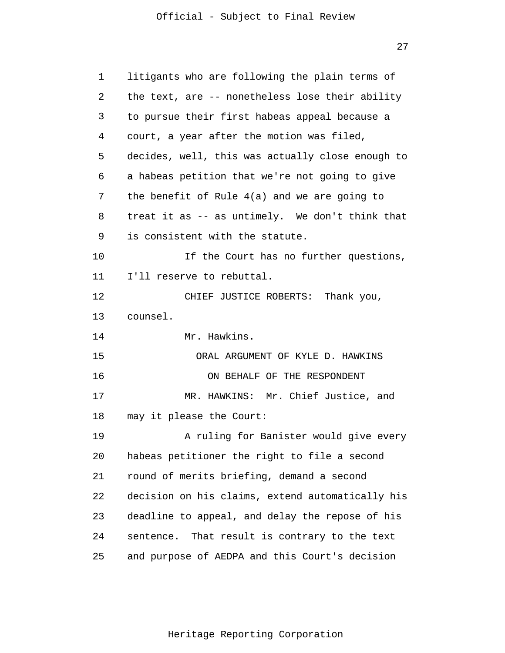| 1  | litigants who are following the plain terms of   |
|----|--------------------------------------------------|
| 2  | the text, are -- nonetheless lose their ability  |
| 3  | to pursue their first habeas appeal because a    |
| 4  | court, a year after the motion was filed,        |
| 5  | decides, well, this was actually close enough to |
| 6  | a habeas petition that we're not going to give   |
| 7  | the benefit of Rule 4(a) and we are going to     |
| 8  | treat it as -- as untimely. We don't think that  |
| 9  | is consistent with the statute.                  |
| 10 | If the Court has no further questions,           |
| 11 | I'll reserve to rebuttal.                        |
| 12 | CHIEF JUSTICE ROBERTS: Thank you,                |
|    |                                                  |
| 13 | counsel.                                         |
| 14 | Mr. Hawkins.                                     |
| 15 | ORAL ARGUMENT OF KYLE D. HAWKINS                 |
| 16 | ON BEHALF OF THE RESPONDENT                      |
| 17 | MR. HAWKINS: Mr. Chief Justice, and              |
| 18 | may it please the Court:                         |
| 19 | A ruling for Banister would give every           |
| 20 | habeas petitioner the right to file a second     |
| 21 | round of merits briefing, demand a second        |
| 22 | decision on his claims, extend automatically his |
| 23 | deadline to appeal, and delay the repose of his  |
| 24 | sentence. That result is contrary to the text    |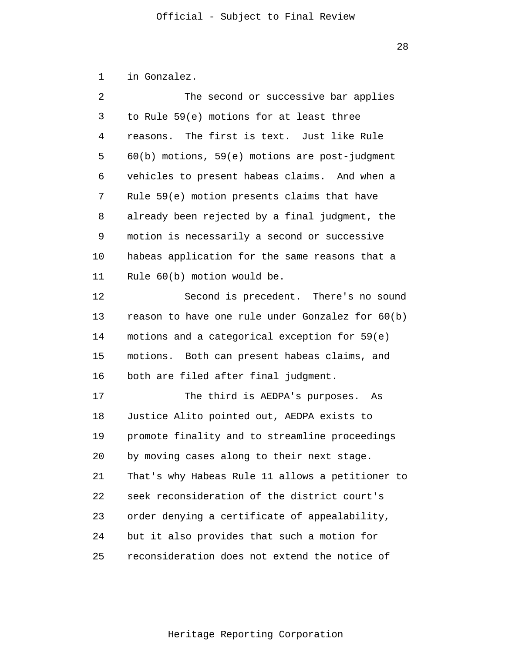1 in Gonzalez.

| 2  | The second or successive bar applies               |
|----|----------------------------------------------------|
| 3  | to Rule 59(e) motions for at least three           |
| 4  | reasons. The first is text. Just like Rule         |
| 5  | $60(b)$ motions, $59(e)$ motions are post-judgment |
| 6  | vehicles to present habeas claims. And when a      |
| 7  | Rule 59(e) motion presents claims that have        |
| 8  | already been rejected by a final judgment, the     |
| 9  | motion is necessarily a second or successive       |
| 10 | habeas application for the same reasons that a     |
| 11 | Rule 60(b) motion would be.                        |
| 12 | Second is precedent. There's no sound              |
| 13 | reason to have one rule under Gonzalez for 60(b)   |
| 14 | motions and a categorical exception for 59(e)      |
| 15 | motions. Both can present habeas claims, and       |
| 16 | both are filed after final judgment.               |
| 17 | The third is AEDPA's purposes. As                  |
| 18 | Justice Alito pointed out, AEDPA exists to         |
| 19 | promote finality and to streamline proceedings     |
| 20 | by moving cases along to their next stage.         |
| 21 | That's why Habeas Rule 11 allows a petitioner to   |
| 22 | seek reconsideration of the district court's       |
| 23 | order denying a certificate of appealability,      |
| 24 | but it also provides that such a motion for        |
| 25 | reconsideration does not extend the notice of      |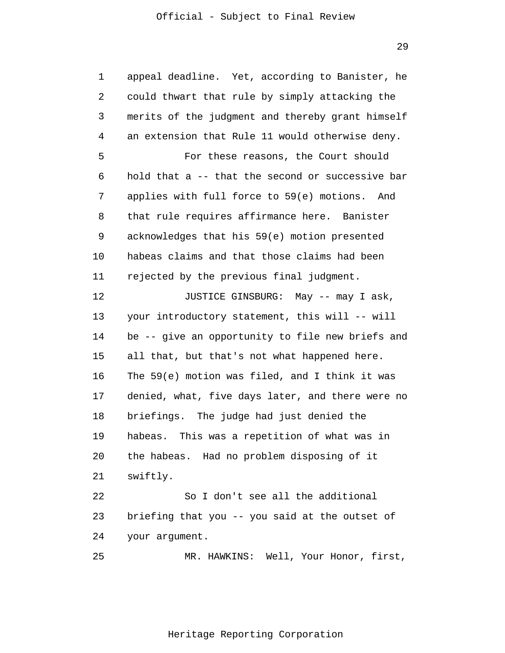29

| $\mathbf{1}$ | appeal deadline. Yet, according to Banister, he  |  |
|--------------|--------------------------------------------------|--|
| 2            | could thwart that rule by simply attacking the   |  |
| 3            | merits of the judgment and thereby grant himself |  |
| 4            | an extension that Rule 11 would otherwise deny.  |  |
| 5            | For these reasons, the Court should              |  |
| 6            | hold that a -- that the second or successive bar |  |
| 7            | applies with full force to 59(e) motions. And    |  |
| 8            | that rule requires affirmance here. Banister     |  |
| 9            | acknowledges that his 59(e) motion presented     |  |
| 10           | habeas claims and that those claims had been     |  |
| 11           | rejected by the previous final judgment.         |  |
| 12           | JUSTICE GINSBURG: May -- may I ask,              |  |
| 13           | your introductory statement, this will -- will   |  |
| 14           | be -- give an opportunity to file new briefs and |  |
| 15           | all that, but that's not what happened here.     |  |
| 16           | The 59(e) motion was filed, and I think it was   |  |
| 17           | denied, what, five days later, and there were no |  |
| 18           | briefings. The judge had just denied the         |  |
| 19           | habeas. This was a repetition of what was in     |  |
| 20           | the habeas. Had no problem disposing of it       |  |
| 21           | swiftly.                                         |  |
| 22           | So I don't see all the additional                |  |
| 23           | briefing that you -- you said at the outset of   |  |
| 24           | your argument.                                   |  |
| 25           | MR. HAWKINS: Well, Your Honor, first,            |  |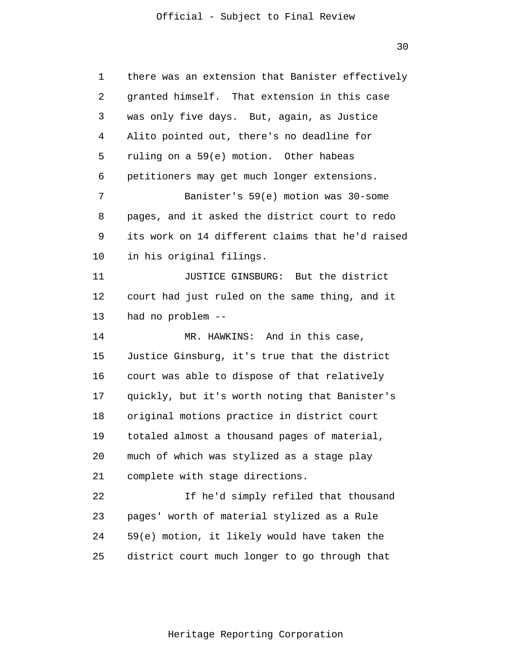| 1  | there was an extension that Banister effectively |  |
|----|--------------------------------------------------|--|
| 2  | granted himself. That extension in this case     |  |
| 3  | was only five days. But, again, as Justice       |  |
| 4  | Alito pointed out, there's no deadline for       |  |
| 5  | ruling on a 59(e) motion. Other habeas           |  |
| 6  | petitioners may get much longer extensions.      |  |
| 7  | Banister's 59(e) motion was 30-some              |  |
| 8  | pages, and it asked the district court to redo   |  |
| 9  | its work on 14 different claims that he'd raised |  |
| 10 | in his original filings.                         |  |
| 11 | JUSTICE GINSBURG: But the district               |  |
| 12 | court had just ruled on the same thing, and it   |  |
| 13 | had no problem --                                |  |
| 14 | MR. HAWKINS: And in this case,                   |  |
| 15 | Justice Ginsburg, it's true that the district    |  |
| 16 | court was able to dispose of that relatively     |  |
| 17 | quickly, but it's worth noting that Banister's   |  |
| 18 | original motions practice in district court      |  |
| 19 | totaled almost a thousand pages of material,     |  |
| 20 | much of which was stylized as a stage play       |  |
| 21 | complete with stage directions.                  |  |
| 22 | If he'd simply refiled that thousand             |  |
| 23 | pages' worth of material stylized as a Rule      |  |
| 24 | 59(e) motion, it likely would have taken the     |  |
| 25 | district court much longer to go through that    |  |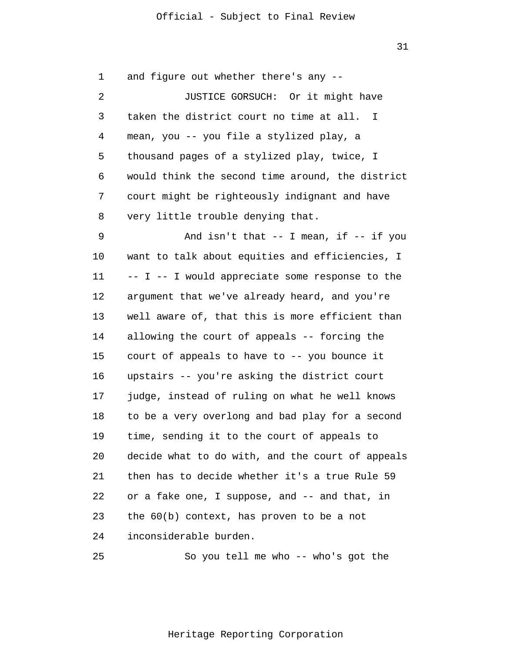31

| 1  | and figure out whether there's any --            |
|----|--------------------------------------------------|
| 2  | JUSTICE GORSUCH: Or it might have                |
| 3  | taken the district court no time at all. I       |
| 4  | mean, you -- you file a stylized play, a         |
| 5  | thousand pages of a stylized play, twice, I      |
| 6  | would think the second time around, the district |
| 7  | court might be righteously indignant and have    |
| 8  | very little trouble denying that.                |
| 9  | And isn't that $--$ I mean, if $--$ if you       |
| 10 | want to talk about equities and efficiencies, I  |
| 11 | -- I -- I would appreciate some response to the  |
| 12 | argument that we've already heard, and you're    |
| 13 | well aware of, that this is more efficient than  |
| 14 | allowing the court of appeals -- forcing the     |
| 15 | court of appeals to have to -- you bounce it     |
| 16 | upstairs -- you're asking the district court     |
| 17 | judge, instead of ruling on what he well knows   |
| 18 | to be a very overlong and bad play for a second  |
| 19 | time, sending it to the court of appeals to      |
| 20 | decide what to do with, and the court of appeals |
| 21 | then has to decide whether it's a true Rule 59   |
| 22 | or a fake one, I suppose, and -- and that, in    |
| 23 | the $60(b)$ context, has proven to be a not      |
| 24 | inconsiderable burden.                           |
|    |                                                  |

25 So you tell me who -- who's got the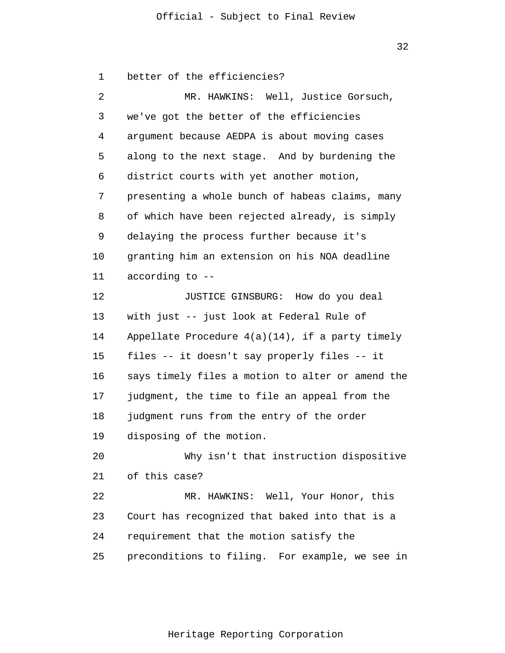32

1  $\overline{2}$ 3 4 5 6 7 8 9 10 11 12 13 14 15 16 17 18 19 20 21 22 23 24 25 better of the efficiencies? MR. HAWKINS: Well, Justice Gorsuch, we've got the better of the efficiencies argument because AEDPA is about moving cases along to the next stage. And by burdening the district courts with yet another motion, presenting a whole bunch of habeas claims, many of which have been rejected already, is simply delaying the process further because it's granting him an extension on his NOA deadline according to -- JUSTICE GINSBURG: How do you deal with just -- just look at Federal Rule of Appellate Procedure  $4(a)(14)$ , if a party timely files -- it doesn't say properly files -- it says timely files a motion to alter or amend the judgment, the time to file an appeal from the judgment runs from the entry of the order disposing of the motion. Why isn't that instruction dispositive of this case? MR. HAWKINS: Well, Your Honor, this Court has recognized that baked into that is a requirement that the motion satisfy the preconditions to filing. For example, we see in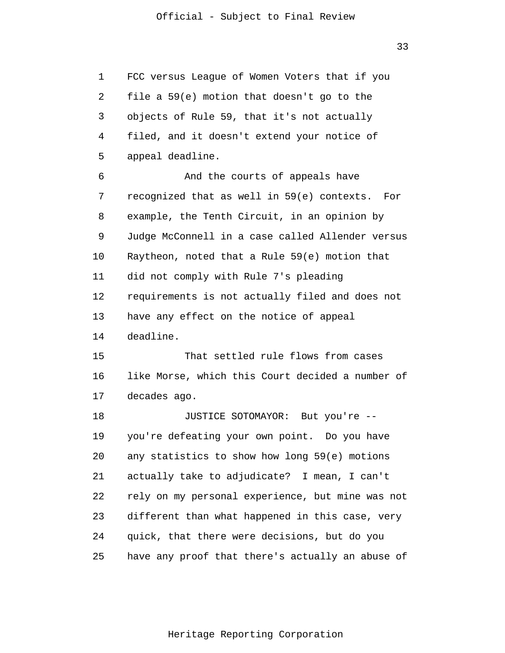33

1  $\overline{2}$ 3 4 5 6 7 8 9 10 11 12 13 14 15 16 17 18 19 20 21 22 23 24 25 FCC versus League of Women Voters that if you file a 59(e) motion that doesn't go to the objects of Rule 59, that it's not actually filed, and it doesn't extend your notice of appeal deadline. And the courts of appeals have recognized that as well in 59(e) contexts. For example, the Tenth Circuit, in an opinion by Judge McConnell in a case called Allender versus Raytheon, noted that a Rule 59(e) motion that did not comply with Rule 7's pleading requirements is not actually filed and does not have any effect on the notice of appeal deadline. That settled rule flows from cases like Morse, which this Court decided a number of decades ago. JUSTICE SOTOMAYOR: But you're - you're defeating your own point. Do you have any statistics to show how long 59(e) motions actually take to adjudicate? I mean, I can't rely on my personal experience, but mine was not different than what happened in this case, very quick, that there were decisions, but do you have any proof that there's actually an abuse of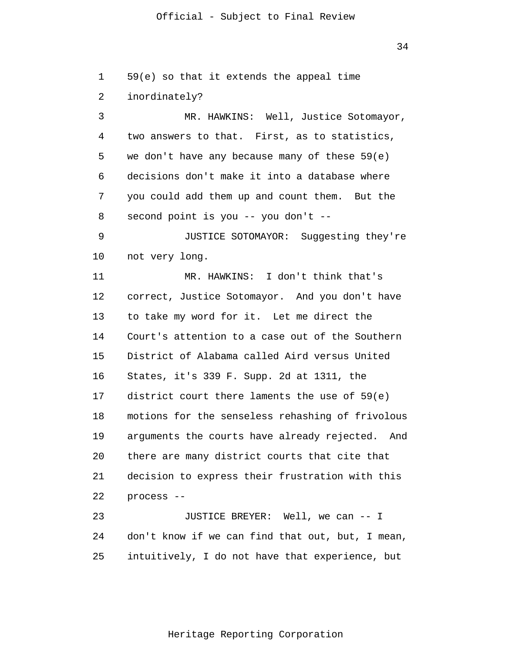34

1  $\overline{2}$ 3 4 5 6 7 8 9 10 11 12 13 14 15 16 17 18 19 20 21 22 23 24 25 59(e) so that it extends the appeal time inordinately? MR. HAWKINS: Well, Justice Sotomayor, two answers to that. First, as to statistics, we don't have any because many of these 59(e) decisions don't make it into a database where you could add them up and count them. But the second point is you -- you don't -- JUSTICE SOTOMAYOR: Suggesting they're not very long. MR. HAWKINS: I don't think that's correct, Justice Sotomayor. And you don't have to take my word for it. Let me direct the Court's attention to a case out of the Southern District of Alabama called Aird versus United States, it's 339 F. Supp. 2d at 1311, the district court there laments the use of 59(e) motions for the senseless rehashing of frivolous arguments the courts have already rejected. And there are many district courts that cite that decision to express their frustration with this process -- JUSTICE BREYER: Well, we can -- I don't know if we can find that out, but, I mean, intuitively, I do not have that experience, but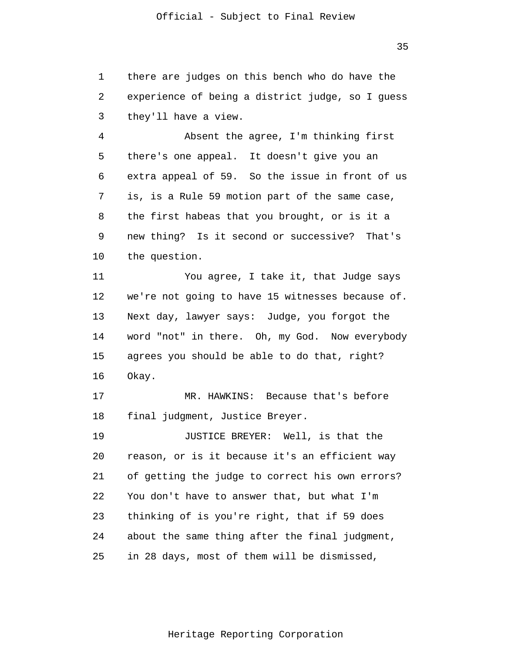1 2 3 there are judges on this bench who do have the experience of being a district judge, so I guess they'll have a view.

4 5 6 7 8 9 10 Absent the agree, I'm thinking first there's one appeal. It doesn't give you an extra appeal of 59. So the issue in front of us is, is a Rule 59 motion part of the same case, the first habeas that you brought, or is it a new thing? Is it second or successive? That's the question.

11 12 13 14 15 16 You agree, I take it, that Judge says we're not going to have 15 witnesses because of. Next day, lawyer says: Judge, you forgot the word "not" in there. Oh, my God. Now everybody agrees you should be able to do that, right? Okay.

17 18 MR. HAWKINS: Because that's before final judgment, Justice Breyer.

19 20 21 22 23 24 25 JUSTICE BREYER: Well, is that the reason, or is it because it's an efficient way of getting the judge to correct his own errors? You don't have to answer that, but what I'm thinking of is you're right, that if 59 does about the same thing after the final judgment, in 28 days, most of them will be dismissed,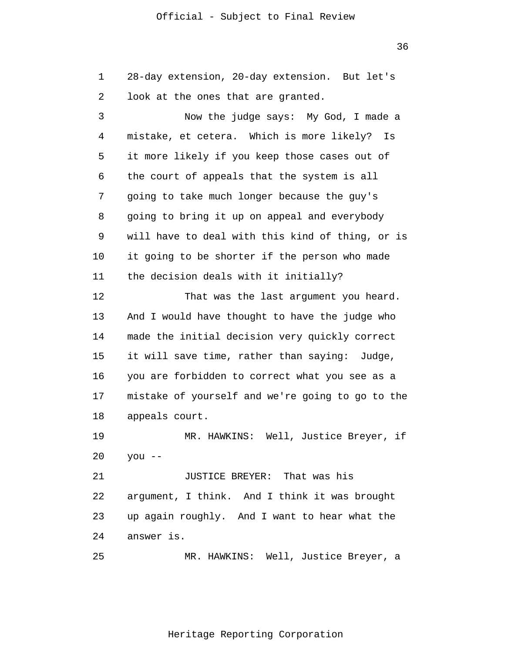36

1  $\overline{2}$ 28-day extension, 20-day extension. But let's look at the ones that are granted.

3 4 5 6 7 8 9 10 11 12 13 14 15 16 Now the judge says: My God, I made a mistake, et cetera. Which is more likely? Is it more likely if you keep those cases out of the court of appeals that the system is all going to take much longer because the guy's going to bring it up on appeal and everybody will have to deal with this kind of thing, or is it going to be shorter if the person who made the decision deals with it initially? That was the last argument you heard. And I would have thought to have the judge who made the initial decision very quickly correct it will save time, rather than saying: Judge, you are forbidden to correct what you see as a

17 18 mistake of yourself and we're going to go to the appeals court.

19 20 MR. HAWKINS: Well, Justice Breyer, if you --

21 22 23 24 JUSTICE BREYER: That was his argument, I think. And I think it was brought up again roughly. And I want to hear what the answer is.

25 MR. HAWKINS: Well, Justice Breyer, a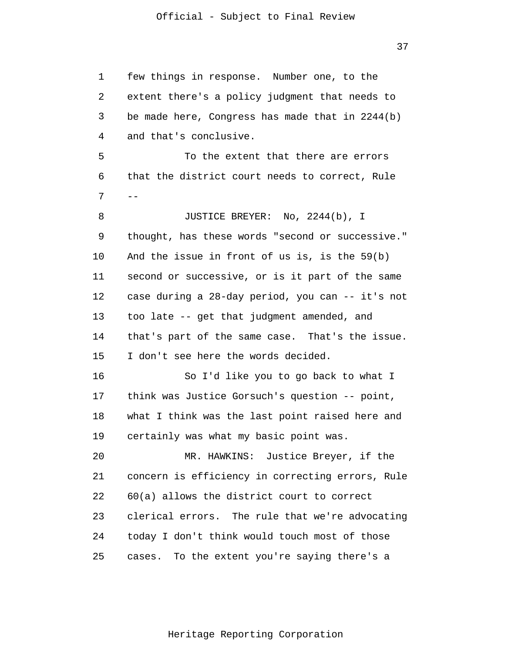37

1 2 3 4 5 6 7 8 9 10 11 12 13 14 15 16 17 18 19 20 21 22 23 24 25 - few things in response. Number one, to the extent there's a policy judgment that needs to be made here, Congress has made that in 2244(b) and that's conclusive. To the extent that there are errors that the district court needs to correct, Rule JUSTICE BREYER: No, 2244(b), I thought, has these words "second or successive." And the issue in front of us is, is the 59(b) second or successive, or is it part of the same case during a 28-day period, you can -- it's not too late -- get that judgment amended, and that's part of the same case. That's the issue. I don't see here the words decided. So I'd like you to go back to what I think was Justice Gorsuch's question -- point, what I think was the last point raised here and certainly was what my basic point was. MR. HAWKINS: Justice Breyer, if the concern is efficiency in correcting errors, Rule 60(a) allows the district court to correct clerical errors. The rule that we're advocating today I don't think would touch most of those cases. To the extent you're saying there's a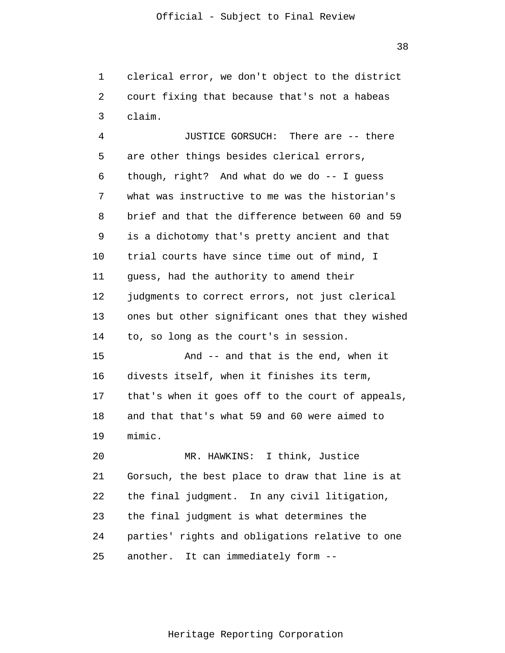1  $\overline{2}$ 3 clerical error, we don't object to the district court fixing that because that's not a habeas claim.

4 5 6 7 8 9 10 11 12 13 14 15 16 17 18 19 20 JUSTICE GORSUCH: There are -- there are other things besides clerical errors, though, right? And what do we do -- I guess what was instructive to me was the historian's brief and that the difference between 60 and 59 is a dichotomy that's pretty ancient and that trial courts have since time out of mind, I guess, had the authority to amend their judgments to correct errors, not just clerical ones but other significant ones that they wished to, so long as the court's in session. And -- and that is the end, when it divests itself, when it finishes its term, that's when it goes off to the court of appeals, and that that's what 59 and 60 were aimed to mimic. MR. HAWKINS: I think, Justice

21 22 23 24 25 Gorsuch, the best place to draw that line is at the final judgment. In any civil litigation, the final judgment is what determines the parties' rights and obligations relative to one another. It can immediately form --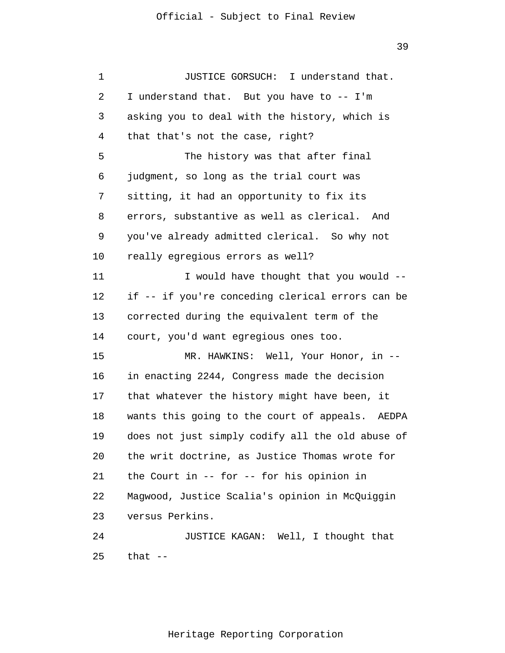1  $\overline{2}$ 3 4 5 6 7 8 9 10 11 12 13 14 15 16 17 18 19 20 21 22 23 24 25 JUSTICE GORSUCH: I understand that. I understand that. But you have to -- I'm asking you to deal with the history, which is that that's not the case, right? The history was that after final judgment, so long as the trial court was sitting, it had an opportunity to fix its errors, substantive as well as clerical. And you've already admitted clerical. So why not really egregious errors as well? I would have thought that you would - if -- if you're conceding clerical errors can be corrected during the equivalent term of the court, you'd want egregious ones too. MR. HAWKINS: Well, Your Honor, in -in enacting 2244, Congress made the decision that whatever the history might have been, it wants this going to the court of appeals. AEDPA does not just simply codify all the old abuse of the writ doctrine, as Justice Thomas wrote for the Court in -- for -- for his opinion in Magwood, Justice Scalia's opinion in McQuiggin versus Perkins. JUSTICE KAGAN: Well, I thought that that --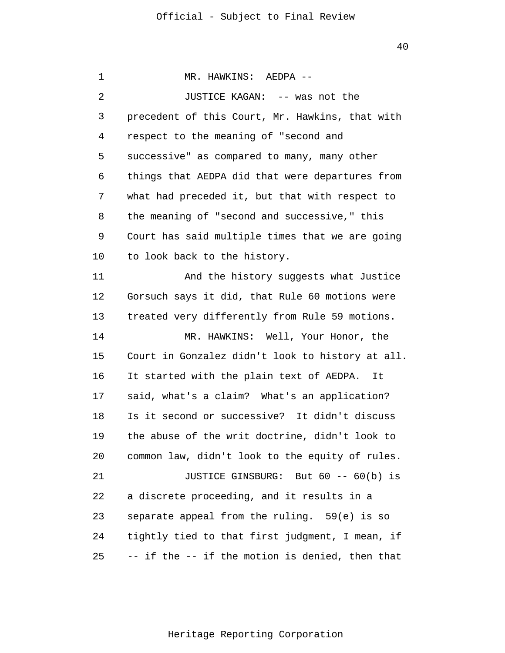1 2 3 4 5 6 7 8 9 10 11 12 13 14 15 16 17 18 19 20 21 22 23 24 25 MR. HAWKINS: AEDPA -- JUSTICE KAGAN: -- was not the precedent of this Court, Mr. Hawkins, that with respect to the meaning of "second and successive" as compared to many, many other things that AEDPA did that were departures from what had preceded it, but that with respect to the meaning of "second and successive," this Court has said multiple times that we are going to look back to the history. And the history suggests what Justice Gorsuch says it did, that Rule 60 motions were treated very differently from Rule 59 motions. MR. HAWKINS: Well, Your Honor, the Court in Gonzalez didn't look to history at all. It started with the plain text of AEDPA. It said, what's a claim? What's an application? Is it second or successive? It didn't discuss the abuse of the writ doctrine, didn't look to common law, didn't look to the equity of rules. JUSTICE GINSBURG: But 60 -- 60(b) is a discrete proceeding, and it results in a separate appeal from the ruling. 59(e) is so tightly tied to that first judgment, I mean, if -- if the -- if the motion is denied, then that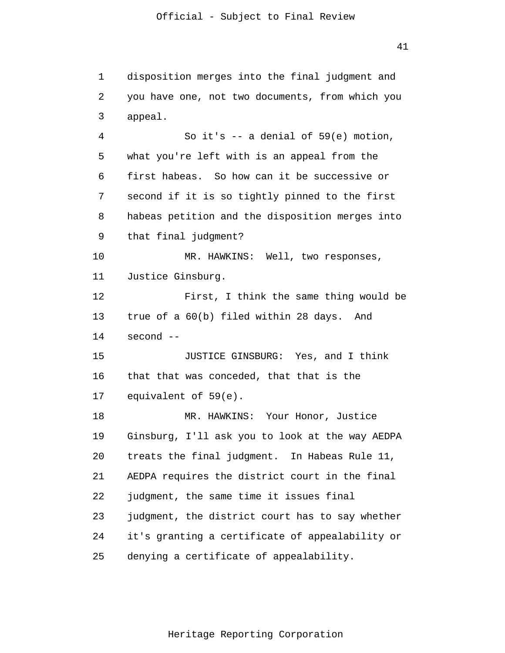1 2 3 4 5 6 7 8 9 10 11 12 13 14 15 16 17 18 19 20 21 22 23 24 25 disposition merges into the final judgment and you have one, not two documents, from which you appeal. So it's -- a denial of 59(e) motion, what you're left with is an appeal from the first habeas. So how can it be successive or second if it is so tightly pinned to the first habeas petition and the disposition merges into that final judgment? MR. HAWKINS: Well, two responses, Justice Ginsburg. First, I think the same thing would be true of a 60(b) filed within 28 days. And second -- JUSTICE GINSBURG: Yes, and I think that that was conceded, that that is the equivalent of 59(e). MR. HAWKINS: Your Honor, Justice Ginsburg, I'll ask you to look at the way AEDPA treats the final judgment. In Habeas Rule 11, AEDPA requires the district court in the final judgment, the same time it issues final judgment, the district court has to say whether it's granting a certificate of appealability or denying a certificate of appealability.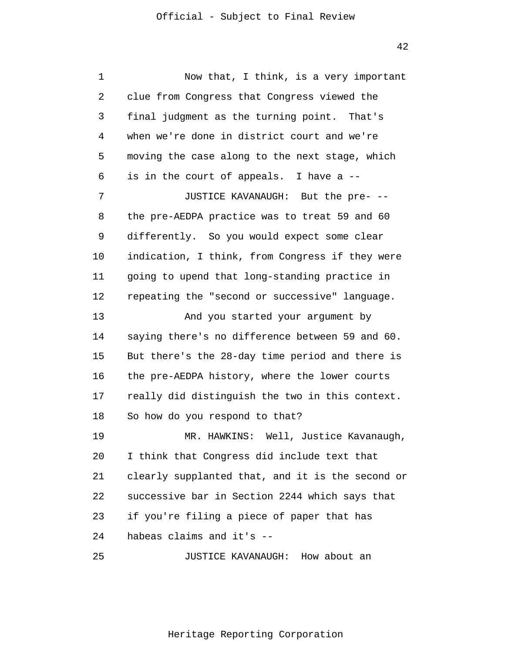| 1  | Now that, I think, is a very important           |
|----|--------------------------------------------------|
| 2  | clue from Congress that Congress viewed the      |
| 3  | final judgment as the turning point. That's      |
| 4  | when we're done in district court and we're      |
| 5  | moving the case along to the next stage, which   |
| 6  | is in the court of appeals. I have a --          |
| 7  | JUSTICE KAVANAUGH: But the pre- --               |
| 8  | the pre-AEDPA practice was to treat 59 and 60    |
| 9  | differently. So you would expect some clear      |
| 10 | indication, I think, from Congress if they were  |
| 11 | going to upend that long-standing practice in    |
| 12 | repeating the "second or successive" language.   |
| 13 | And you started your argument by                 |
| 14 | saying there's no difference between 59 and 60.  |
| 15 | But there's the 28-day time period and there is  |
| 16 | the pre-AEDPA history, where the lower courts    |
| 17 | really did distinguish the two in this context.  |
| 18 | So how do you respond to that?                   |
| 19 | MR. HAWKINS: Well, Justice Kavanaugh,            |
| 20 | I think that Congress did include text that      |
| 21 | clearly supplanted that, and it is the second or |
| 22 | successive bar in Section 2244 which says that   |
| 23 | if you're filing a piece of paper that has       |
| 24 | habeas claims and it's --                        |
| 25 | JUSTICE KAVANAUGH: How about an                  |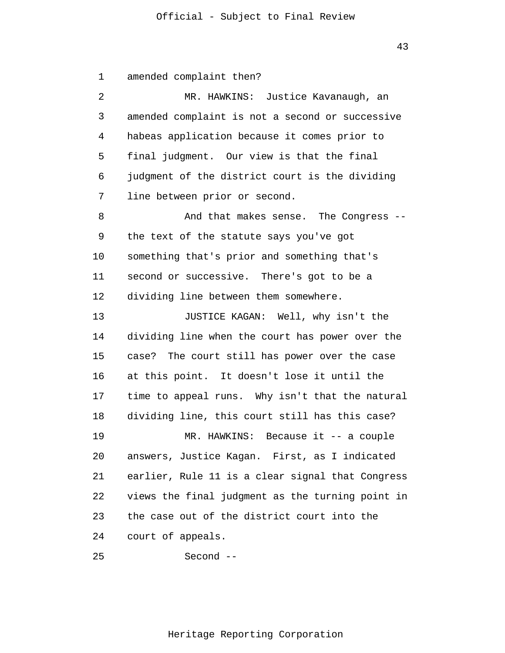1 amended complaint then?

| 2  | MR. HAWKINS: Justice Kavanaugh, an               |
|----|--------------------------------------------------|
| 3  | amended complaint is not a second or successive  |
| 4  | habeas application because it comes prior to     |
| 5  | final judgment. Our view is that the final       |
| 6  | judgment of the district court is the dividing   |
| 7  | line between prior or second.                    |
| 8  | And that makes sense. The Congress -             |
| 9  | the text of the statute says you've got          |
| 10 | something that's prior and something that's      |
| 11 | second or successive. There's got to be a        |
| 12 | dividing line between them somewhere.            |
| 13 | JUSTICE KAGAN: Well, why isn't the               |
| 14 | dividing line when the court has power over the  |
| 15 | case? The court still has power over the case    |
| 16 | at this point. It doesn't lose it until the      |
| 17 | time to appeal runs. Why isn't that the natural  |
| 18 | dividing line, this court still has this case?   |
| 19 | MR. HAWKINS: Because it -- a couple              |
| 20 | answers, Justice Kagan. First, as I indicated    |
| 21 | earlier, Rule 11 is a clear signal that Congress |
| 22 | views the final judgment as the turning point in |
| 23 | the case out of the district court into the      |
| 24 | court of appeals.                                |
|    |                                                  |

25 Second --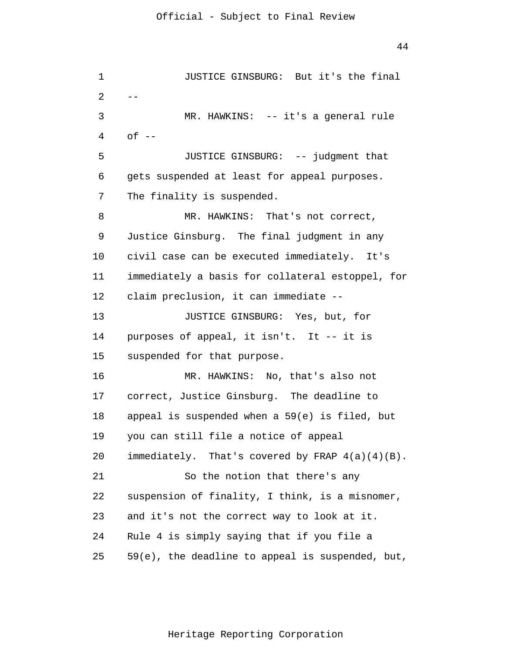```
1 
 \overline{2}3 
 4 
 5 
 6 
 7 
 8 
 9 
10 
11 
12 
13 
14 
15 
16 
17 
18 
19 
20 
21 
22 
23 
24 
25 
      --
                JUSTICE GINSBURG: But it's the final 
                MR. HAWKINS: -- it's a general rule
      of --JUSTICE GINSBURG: -- judgment that 
      gets suspended at least for appeal purposes. 
      The finality is suspended. 
                MR. HAWKINS: That's not correct, 
      Justice Ginsburg. The final judgment in any 
      civil case can be executed immediately. It's 
      immediately a basis for collateral estoppel, for 
      claim preclusion, it can immediate --
                JUSTICE GINSBURG: Yes, but, for 
      purposes of appeal, it isn't. It -- it is 
      suspended for that purpose. 
                MR. HAWKINS: No, that's also not 
      correct, Justice Ginsburg. The deadline to 
      appeal is suspended when a 59(e) is filed, but 
      you can still file a notice of appeal 
      immediately. That's covered by FRAP 4(a)(4)(B). 
                So the notion that there's any 
      suspension of finality, I think, is a misnomer, 
      and it's not the correct way to look at it. 
      Rule 4 is simply saying that if you file a 
      59(e), the deadline to appeal is suspended, but,
```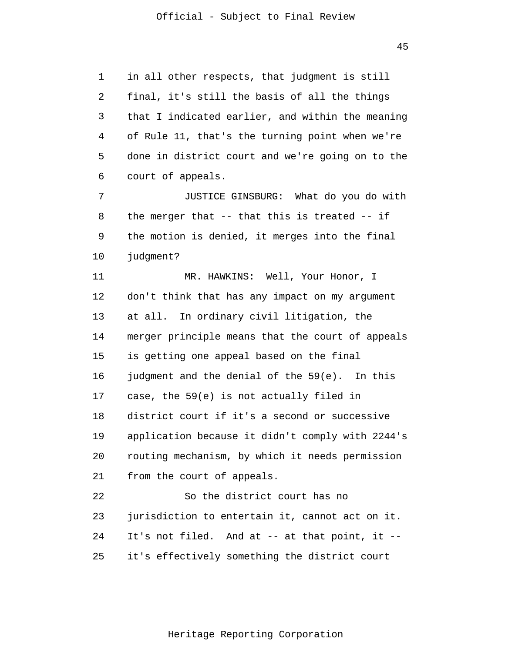45

1  $\overline{2}$ 3 4 5 6 in all other respects, that judgment is still final, it's still the basis of all the things that I indicated earlier, and within the meaning of Rule 11, that's the turning point when we're done in district court and we're going on to the court of appeals.

7 8 9 10 JUSTICE GINSBURG: What do you do with the merger that -- that this is treated -- if the motion is denied, it merges into the final judgment?

11 12 13 14 15 16 17 18 19 20 21 22 23 24 MR. HAWKINS: Well, Your Honor, I don't think that has any impact on my argument at all. In ordinary civil litigation, the merger principle means that the court of appeals is getting one appeal based on the final judgment and the denial of the 59(e). In this case, the 59(e) is not actually filed in district court if it's a second or successive application because it didn't comply with 2244's routing mechanism, by which it needs permission from the court of appeals. So the district court has no jurisdiction to entertain it, cannot act on it. It's not filed. And at -- at that point, it --

25 it's effectively something the district court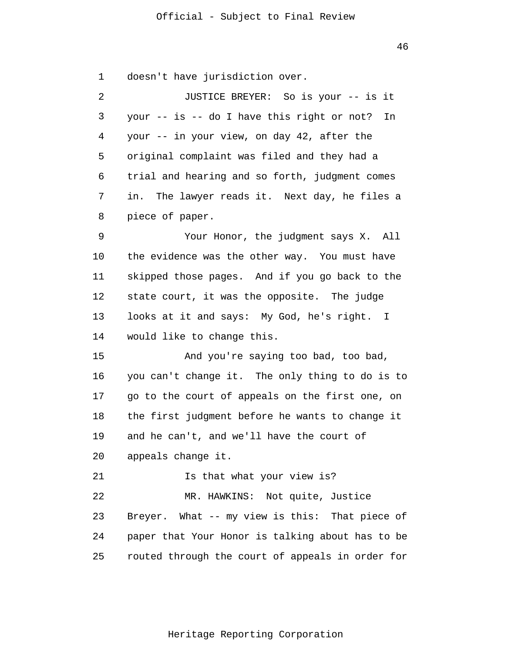46

1 doesn't have jurisdiction over.

| 2  | JUSTICE BREYER: So is your -- is it              |
|----|--------------------------------------------------|
| 3  | your -- is -- do I have this right or not?<br>In |
| 4  | your -- in your view, on day 42, after the       |
| 5  | original complaint was filed and they had a      |
| 6  | trial and hearing and so forth, judgment comes   |
| 7  | in. The lawyer reads it. Next day, he files a    |
| 8  | piece of paper.                                  |
| 9  | Your Honor, the judgment says X. All             |
| 10 | the evidence was the other way. You must have    |
| 11 | skipped those pages. And if you go back to the   |
| 12 | state court, it was the opposite. The judge      |
| 13 | looks at it and says: My God, he's right. I      |
| 14 | would like to change this.                       |
| 15 | And you're saying too bad, too bad,              |
| 16 | you can't change it. The only thing to do is to  |
| 17 | go to the court of appeals on the first one, on  |
| 18 | the first judgment before he wants to change it  |
| 19 | and he can't, and we'll have the court of        |
| 20 | appeals change it.                               |
| 21 | Is that what your view is?                       |
| 22 | MR. HAWKINS: Not quite, Justice                  |
| 23 | Breyer. What -- my view is this: That piece of   |
| 24 | paper that Your Honor is talking about has to be |
| 25 | routed through the court of appeals in order for |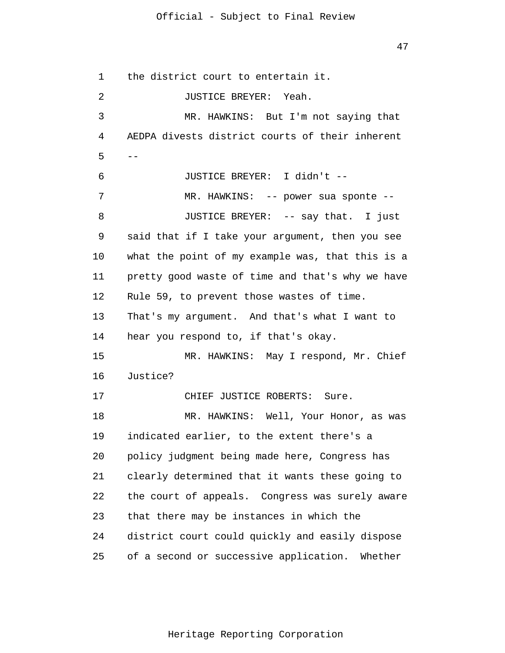47

1  $\overline{2}$ 3 4 5 6 7 8 9 10 11 12 13 14 15 16 17 18 19 20 21 22 23 24 25 - the district court to entertain it. JUSTICE BREYER: Yeah. MR. HAWKINS: But I'm not saying that AEDPA divests district courts of their inherent JUSTICE BREYER: I didn't -- MR. HAWKINS: -- power sua sponte -- JUSTICE BREYER: -- say that. I just said that if I take your argument, then you see what the point of my example was, that this is a pretty good waste of time and that's why we have Rule 59, to prevent those wastes of time. That's my argument. And that's what I want to hear you respond to, if that's okay. MR. HAWKINS: May I respond, Mr. Chief Justice? CHIEF JUSTICE ROBERTS: Sure. MR. HAWKINS: Well, Your Honor, as was indicated earlier, to the extent there's a policy judgment being made here, Congress has clearly determined that it wants these going to the court of appeals. Congress was surely aware that there may be instances in which the district court could quickly and easily dispose of a second or successive application. Whether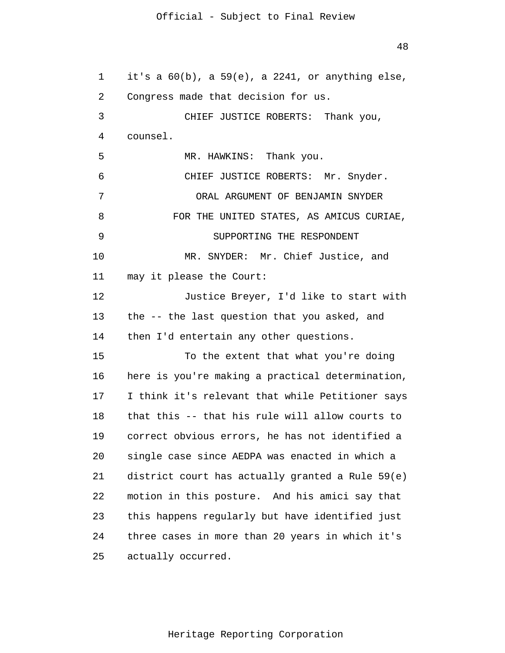1 2 3 4 5 6 7 8 9 10 11 12 13 14 15 16 17 18 19 20 21 22 23 24 25 it's a  $60(b)$ , a  $59(e)$ , a  $2241$ , or anything else, Congress made that decision for us. CHIEF JUSTICE ROBERTS: Thank you, counsel. MR. HAWKINS: Thank you. CHIEF JUSTICE ROBERTS: Mr. Snyder. ORAL ARGUMENT OF BENJAMIN SNYDER FOR THE UNITED STATES, AS AMICUS CURIAE, SUPPORTING THE RESPONDENT MR. SNYDER: Mr. Chief Justice, and may it please the Court: Justice Breyer, I'd like to start with the -- the last question that you asked, and then I'd entertain any other questions. To the extent that what you're doing here is you're making a practical determination, I think it's relevant that while Petitioner says that this -- that his rule will allow courts to correct obvious errors, he has not identified a single case since AEDPA was enacted in which a district court has actually granted a Rule 59(e) motion in this posture. And his amici say that this happens regularly but have identified just three cases in more than 20 years in which it's actually occurred.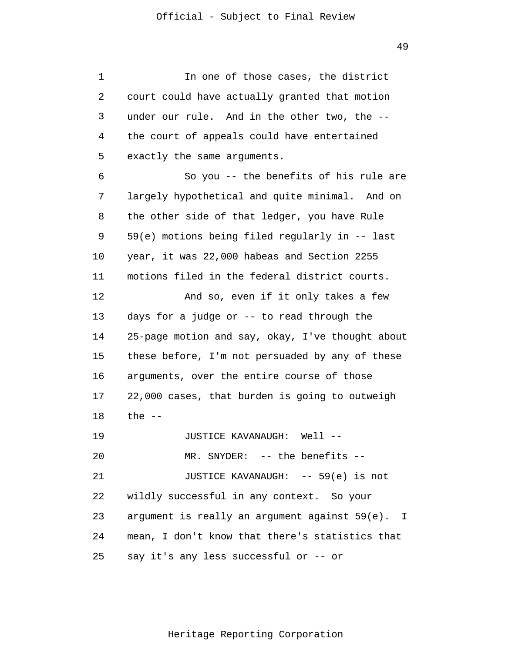1 2 3 4 5 6 7 8 9 10 11 12 13 14 15 16 17 18 19 20 21 22 23 24 25 In one of those cases, the district court could have actually granted that motion under our rule. And in the other two, the - the court of appeals could have entertained exactly the same arguments. So you -- the benefits of his rule are largely hypothetical and quite minimal. And on the other side of that ledger, you have Rule 59(e) motions being filed regularly in -- last year, it was 22,000 habeas and Section 2255 motions filed in the federal district courts. And so, even if it only takes a few days for a judge or -- to read through the 25-page motion and say, okay, I've thought about these before, I'm not persuaded by any of these arguments, over the entire course of those 22,000 cases, that burden is going to outweigh the  $--$ JUSTICE KAVANAUGH: Well -- MR. SNYDER: -- the benefits -- JUSTICE KAVANAUGH: -- 59(e) is not wildly successful in any context. So your argument is really an argument against 59(e). I mean, I don't know that there's statistics that say it's any less successful or -- or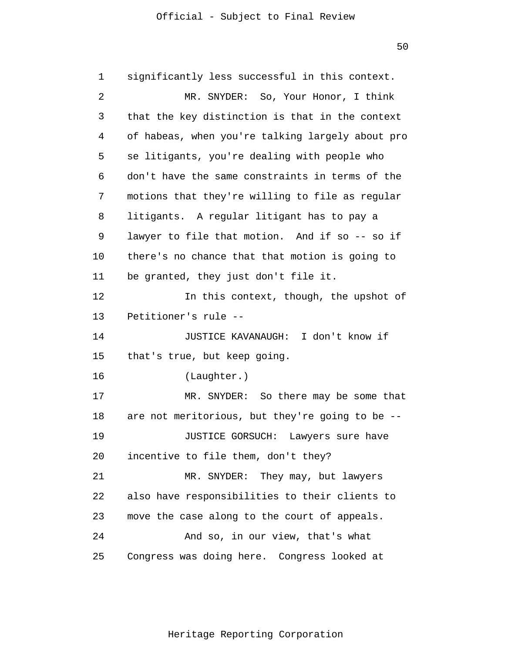1  $\overline{2}$ 3 4 5 6 7 8 9 10 11 12 13 14 15 16 17 18 19 20 21 22 23 24 25 significantly less successful in this context. MR. SNYDER: So, Your Honor, I think that the key distinction is that in the context of habeas, when you're talking largely about pro se litigants, you're dealing with people who don't have the same constraints in terms of the motions that they're willing to file as regular litigants. A regular litigant has to pay a lawyer to file that motion. And if so -- so if there's no chance that that motion is going to be granted, they just don't file it. In this context, though, the upshot of Petitioner's rule -- JUSTICE KAVANAUGH: I don't know if that's true, but keep going. (Laughter.) MR. SNYDER: So there may be some that are not meritorious, but they're going to be -- JUSTICE GORSUCH: Lawyers sure have incentive to file them, don't they? MR. SNYDER: They may, but lawyers also have responsibilities to their clients to move the case along to the court of appeals. And so, in our view, that's what Congress was doing here. Congress looked at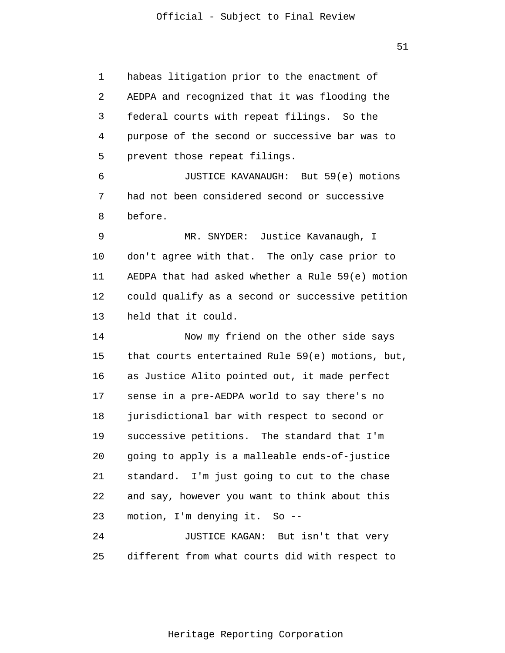1 2 3 4 5 6 7 8 9 10 11 12 13 14 15 16 17 18 19 20 21 22 23 24 habeas litigation prior to the enactment of AEDPA and recognized that it was flooding the federal courts with repeat filings. So the purpose of the second or successive bar was to prevent those repeat filings. JUSTICE KAVANAUGH: But 59(e) motions had not been considered second or successive before. MR. SNYDER: Justice Kavanaugh, I don't agree with that. The only case prior to AEDPA that had asked whether a Rule 59(e) motion could qualify as a second or successive petition held that it could. Now my friend on the other side says that courts entertained Rule 59(e) motions, but, as Justice Alito pointed out, it made perfect sense in a pre-AEDPA world to say there's no jurisdictional bar with respect to second or successive petitions. The standard that I'm going to apply is a malleable ends-of-justice standard. I'm just going to cut to the chase and say, however you want to think about this motion, I'm denying it. So -- JUSTICE KAGAN: But isn't that very

Heritage Reporting Corporation

different from what courts did with respect to

25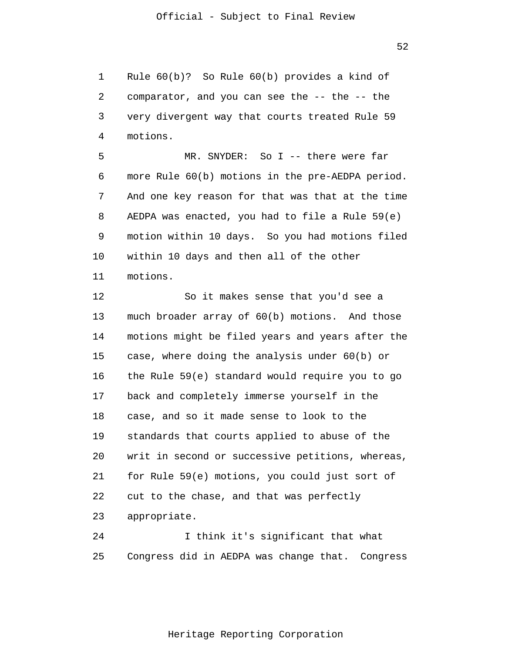1 2 3 4 Rule 60(b)? So Rule 60(b) provides a kind of comparator, and you can see the -- the -- the very divergent way that courts treated Rule 59 motions.

5 6 7 8 9 10 11 MR. SNYDER: So I -- there were far more Rule 60(b) motions in the pre-AEDPA period. And one key reason for that was that at the time AEDPA was enacted, you had to file a Rule 59(e) motion within 10 days. So you had motions filed within 10 days and then all of the other motions.

12 13 14 15 16 17 18 19 20 21 22 23 So it makes sense that you'd see a much broader array of 60(b) motions. And those motions might be filed years and years after the case, where doing the analysis under 60(b) or the Rule 59(e) standard would require you to go back and completely immerse yourself in the case, and so it made sense to look to the standards that courts applied to abuse of the writ in second or successive petitions, whereas, for Rule 59(e) motions, you could just sort of cut to the chase, and that was perfectly appropriate.

24 25 I think it's significant that what Congress did in AEDPA was change that. Congress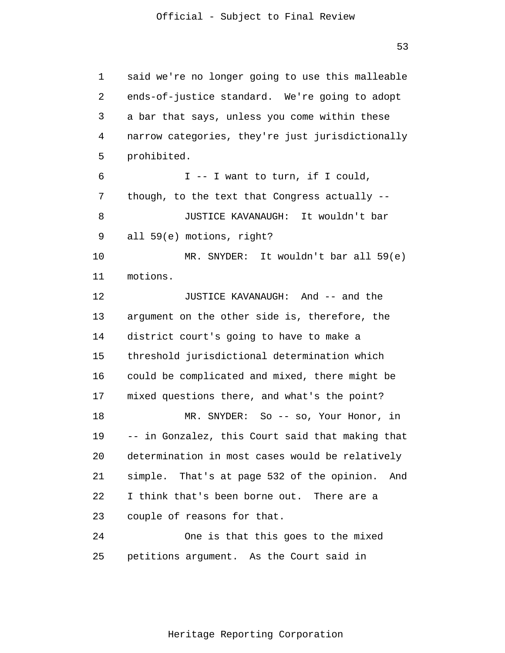1  $\overline{2}$ 3 4 5 6 7 8 9 10 11 12 13 14 15 16 17 18 19 20 21 22 23 24 25 said we're no longer going to use this malleable ends-of-justice standard. We're going to adopt a bar that says, unless you come within these narrow categories, they're just jurisdictionally prohibited. I -- I want to turn, if I could, though, to the text that Congress actually -- JUSTICE KAVANAUGH: It wouldn't bar all 59(e) motions, right? MR. SNYDER: It wouldn't bar all 59(e) motions. JUSTICE KAVANAUGH: And -- and the argument on the other side is, therefore, the district court's going to have to make a threshold jurisdictional determination which could be complicated and mixed, there might be mixed questions there, and what's the point? MR. SNYDER: So -- so, Your Honor, in -- in Gonzalez, this Court said that making that determination in most cases would be relatively simple. That's at page 532 of the opinion. And I think that's been borne out. There are a couple of reasons for that. One is that this goes to the mixed petitions argument. As the Court said in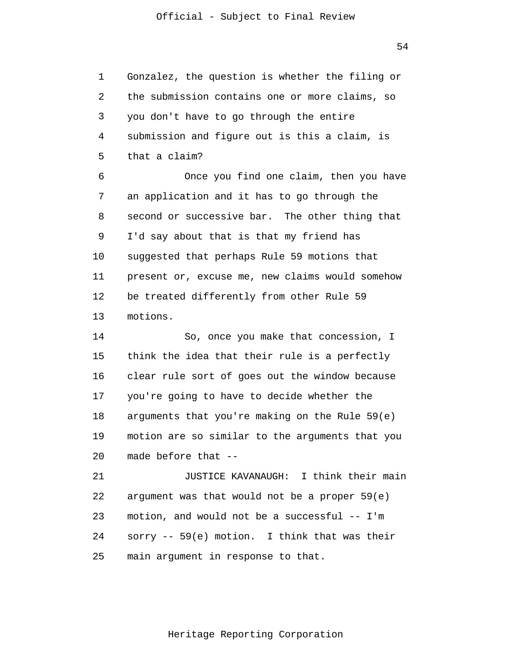54

1 2 3 4 5 Gonzalez, the question is whether the filing or the submission contains one or more claims, so you don't have to go through the entire submission and figure out is this a claim, is that a claim?

6 7 8 9 10 11 12 13 Once you find one claim, then you have an application and it has to go through the second or successive bar. The other thing that I'd say about that is that my friend has suggested that perhaps Rule 59 motions that present or, excuse me, new claims would somehow be treated differently from other Rule 59 motions.

14 15 16 17 18 19 20 So, once you make that concession, I think the idea that their rule is a perfectly clear rule sort of goes out the window because you're going to have to decide whether the arguments that you're making on the Rule 59(e) motion are so similar to the arguments that you made before that --

21 22 23 24 25 JUSTICE KAVANAUGH: I think their main argument was that would not be a proper 59(e) motion, and would not be a successful -- I'm sorry -- 59(e) motion. I think that was their main argument in response to that.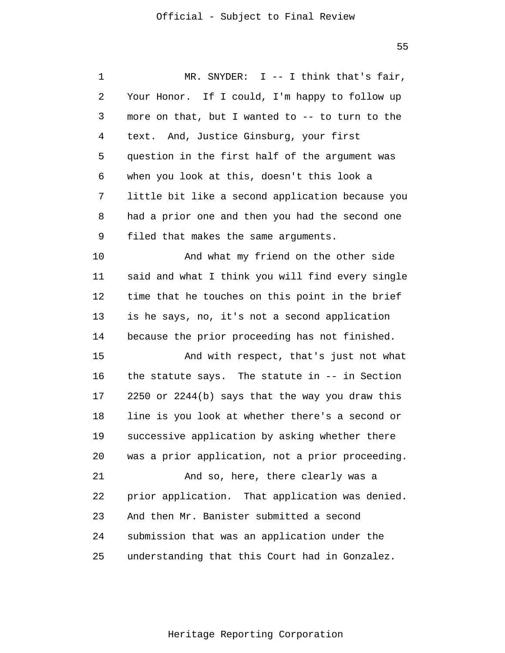| 1  | MR. SNYDER: $I$ -- I think that's fair,          |
|----|--------------------------------------------------|
| 2  | Your Honor. If I could, I'm happy to follow up   |
| 3  | more on that, but I wanted to -- to turn to the  |
| 4  | text. And, Justice Ginsburg, your first          |
| 5  | question in the first half of the argument was   |
| 6  | when you look at this, doesn't this look a       |
| 7  | little bit like a second application because you |
| 8  | had a prior one and then you had the second one  |
| 9  | filed that makes the same arguments.             |
| 10 | And what my friend on the other side             |
| 11 | said and what I think you will find every single |
| 12 | time that he touches on this point in the brief  |
| 13 | is he says, no, it's not a second application    |
| 14 | because the prior proceeding has not finished.   |
| 15 | And with respect, that's just not what           |
| 16 | the statute says. The statute in $--$ in Section |
| 17 | 2250 or 2244(b) says that the way you draw this  |
| 18 | line is you look at whether there's a second or  |
| 19 | successive application by asking whether there   |
| 20 | was a prior application, not a prior proceeding. |
| 21 | And so, here, there clearly was a                |
| 22 | prior application. That application was denied.  |
| 23 | And then Mr. Banister submitted a second         |
| 24 | submission that was an application under the     |
| 25 | understanding that this Court had in Gonzalez.   |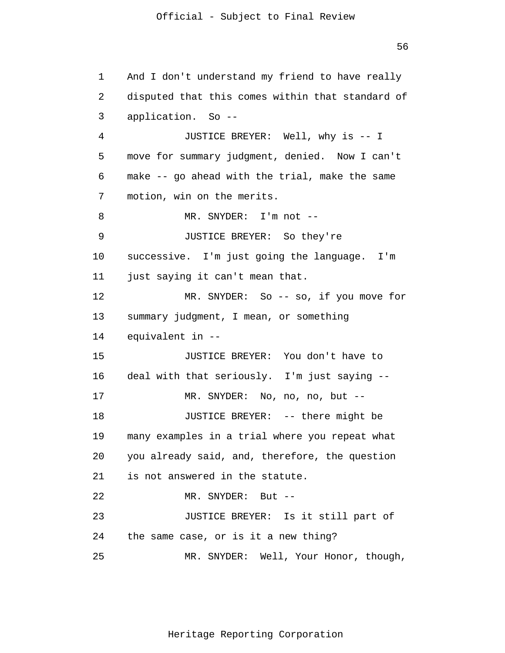56

1 2 3 4 5 6 7 8 9 10 11 12 13 14 15 16 17 18 19 20 21 22 23 24 25 And I don't understand my friend to have really disputed that this comes within that standard of application. So -- JUSTICE BREYER: Well, why is -- I move for summary judgment, denied. Now I can't make -- go ahead with the trial, make the same motion, win on the merits. MR. SNYDER: I'm not -- JUSTICE BREYER: So they're successive. I'm just going the language. I'm just saying it can't mean that. MR. SNYDER: So -- so, if you move for summary judgment, I mean, or something equivalent in -- JUSTICE BREYER: You don't have to deal with that seriously. I'm just saying -- MR. SNYDER: No, no, no, but -- JUSTICE BREYER: -- there might be many examples in a trial where you repeat what you already said, and, therefore, the question is not answered in the statute. MR. SNYDER: But -- JUSTICE BREYER: Is it still part of the same case, or is it a new thing? MR. SNYDER: Well, Your Honor, though,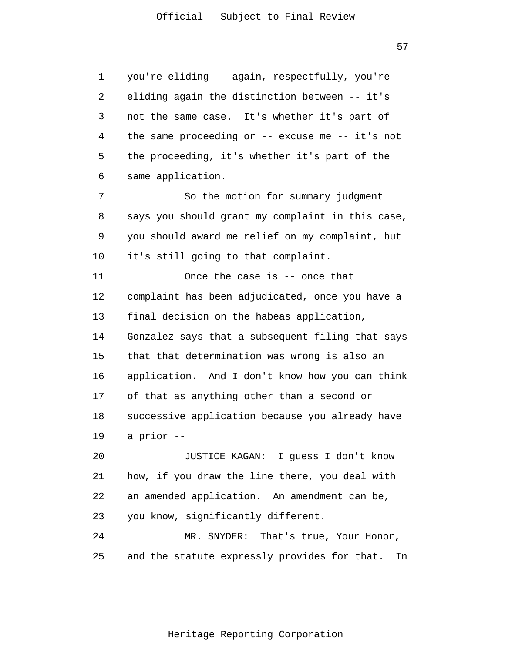57

1  $\overline{2}$ 3 4 5 6 7 8 9 10 11 12 13 14 15 16 17 18 19 20 21 22 23 24 25 you're eliding -- again, respectfully, you're eliding again the distinction between -- it's not the same case. It's whether it's part of the same proceeding or -- excuse me -- it's not the proceeding, it's whether it's part of the same application. So the motion for summary judgment says you should grant my complaint in this case, you should award me relief on my complaint, but it's still going to that complaint. Once the case is -- once that complaint has been adjudicated, once you have a final decision on the habeas application, Gonzalez says that a subsequent filing that says that that determination was wrong is also an application. And I don't know how you can think of that as anything other than a second or successive application because you already have a prior -- JUSTICE KAGAN: I guess I don't know how, if you draw the line there, you deal with an amended application. An amendment can be, you know, significantly different. MR. SNYDER: That's true, Your Honor, and the statute expressly provides for that. In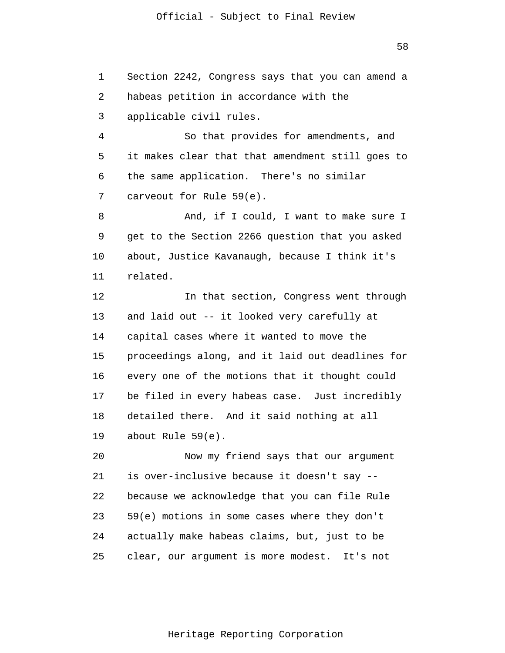1  $\overline{2}$ 3 Section 2242, Congress says that you can amend a habeas petition in accordance with the applicable civil rules.

4 5 6 7 So that provides for amendments, and it makes clear that that amendment still goes to the same application. There's no similar carveout for Rule 59(e).

8 9 10 11 And, if I could, I want to make sure I get to the Section 2266 question that you asked about, Justice Kavanaugh, because I think it's related.

12 13 14 15 16 17 18 19 In that section, Congress went through and laid out -- it looked very carefully at capital cases where it wanted to move the proceedings along, and it laid out deadlines for every one of the motions that it thought could be filed in every habeas case. Just incredibly detailed there. And it said nothing at all about Rule 59(e).

20 21 22 23 24 25 Now my friend says that our argument is over-inclusive because it doesn't say - because we acknowledge that you can file Rule 59(e) motions in some cases where they don't actually make habeas claims, but, just to be clear, our argument is more modest. It's not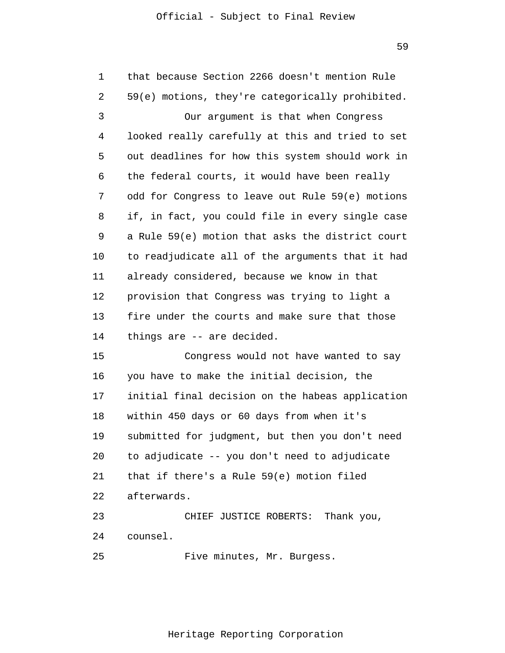| 1  | that because Section 2266 doesn't mention Rule   |
|----|--------------------------------------------------|
| 2  | 59(e) motions, they're categorically prohibited. |
| 3  | Our argument is that when Congress               |
| 4  | looked really carefully at this and tried to set |
| 5  | out deadlines for how this system should work in |
| 6  | the federal courts, it would have been really    |
| 7  | odd for Congress to leave out Rule 59(e) motions |
| 8  | if, in fact, you could file in every single case |
| 9  | a Rule 59(e) motion that asks the district court |
| 10 | to readjudicate all of the arguments that it had |
| 11 | already considered, because we know in that      |
| 12 | provision that Congress was trying to light a    |
| 13 | fire under the courts and make sure that those   |
| 14 | things are -- are decided.                       |
| 15 | Congress would not have wanted to say            |
| 16 | you have to make the initial decision, the       |
| 17 | initial final decision on the habeas application |
| 18 | within 450 days or 60 days from when it's        |
| 19 | submitted for judgment, but then you don't need  |
| 20 | to adjudicate -- you don't need to adjudicate    |
| 21 | that if there's a Rule 59(e) motion filed        |
| 22 | afterwards.                                      |
| 23 | CHIEF JUSTICE ROBERTS: Thank you,                |
| 24 | counsel.                                         |
| 25 | Five minutes, Mr. Burgess.                       |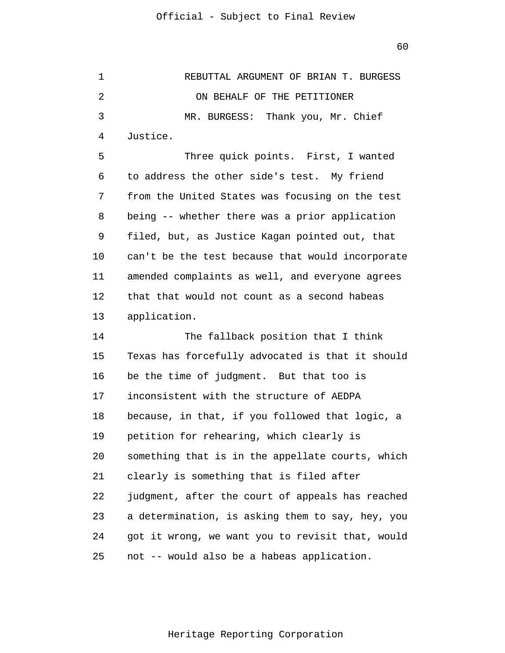1 2 3 4 5 6 REBUTTAL ARGUMENT OF BRIAN T. BURGESS ON BEHALF OF THE PETITIONER MR. BURGESS: Thank you, Mr. Chief Justice. Three quick points. First, I wanted to address the other side's test. My friend

7 8 9 10 11 12 13 from the United States was focusing on the test being -- whether there was a prior application filed, but, as Justice Kagan pointed out, that can't be the test because that would incorporate amended complaints as well, and everyone agrees that that would not count as a second habeas application.

14 15 16 17 18 19 20 21 22 23 24 25 The fallback position that I think Texas has forcefully advocated is that it should be the time of judgment. But that too is inconsistent with the structure of AEDPA because, in that, if you followed that logic, a petition for rehearing, which clearly is something that is in the appellate courts, which clearly is something that is filed after judgment, after the court of appeals has reached a determination, is asking them to say, hey, you got it wrong, we want you to revisit that, would not -- would also be a habeas application.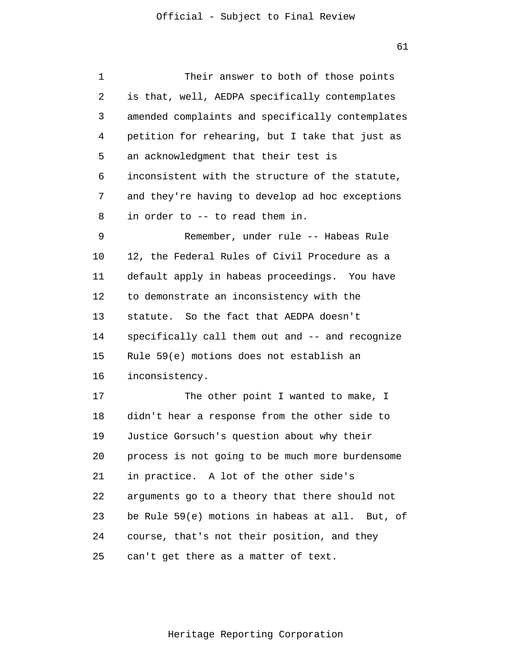| 1  | Their answer to both of those points             |
|----|--------------------------------------------------|
| 2  | is that, well, AEDPA specifically contemplates   |
| 3  | amended complaints and specifically contemplates |
| 4  | petition for rehearing, but I take that just as  |
| 5  | an acknowledgment that their test is             |
| 6  | inconsistent with the structure of the statute,  |
| 7  | and they're having to develop ad hoc exceptions  |
| 8  | in order to -- to read them in.                  |
| 9  | Remember, under rule -- Habeas Rule              |
| 10 | 12, the Federal Rules of Civil Procedure as a    |
| 11 | default apply in habeas proceedings. You have    |
| 12 | to demonstrate an inconsistency with the         |
| 13 | statute. So the fact that AEDPA doesn't          |
| 14 | specifically call them out and -- and recognize  |
| 15 | Rule 59(e) motions does not establish an         |
| 16 | inconsistency.                                   |
| 17 | The other point I wanted to make, I              |
| 18 | didn't hear a response from the other side to    |
| 19 | Justice Gorsuch's question about why their       |
| 20 | process is not going to be much more burdensome  |
| 21 | in practice. A lot of the other side's           |
| 22 | arguments go to a theory that there should not   |
| 23 | be Rule 59(e) motions in habeas at all. But, of  |
| 24 | course, that's not their position, and they      |
| 25 | can't get there as a matter of text.             |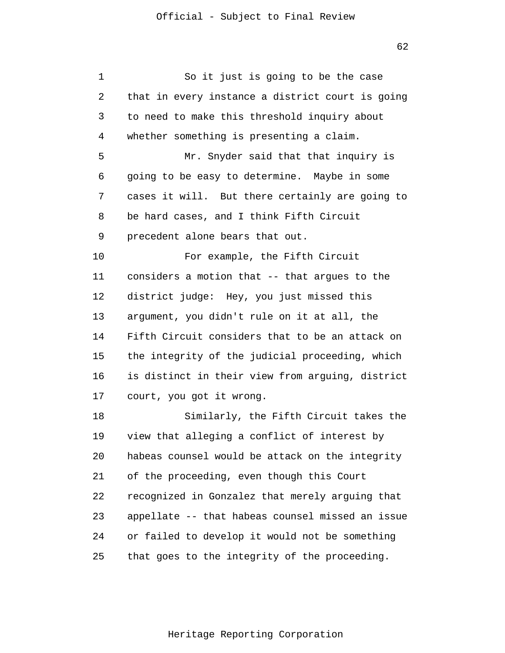| 1  | So it just is going to be the case               |
|----|--------------------------------------------------|
| 2  | that in every instance a district court is going |
| 3  | to need to make this threshold inquiry about     |
| 4  | whether something is presenting a claim.         |
| 5  | Mr. Snyder said that that inquiry is             |
| 6  | going to be easy to determine. Maybe in some     |
| 7  | cases it will. But there certainly are going to  |
| 8  | be hard cases, and I think Fifth Circuit         |
| 9  | precedent alone bears that out.                  |
| 10 | For example, the Fifth Circuit                   |
| 11 | considers a motion that -- that argues to the    |
| 12 | district judge: Hey, you just missed this        |
| 13 | argument, you didn't rule on it at all, the      |
| 14 | Fifth Circuit considers that to be an attack on  |
| 15 | the integrity of the judicial proceeding, which  |
| 16 | is distinct in their view from arguing, district |
| 17 | court, you got it wrong.                         |
| 18 | Similarly, the Fifth Circuit takes the           |
| 19 | view that alleging a conflict of interest by     |
| 20 | habeas counsel would be attack on the integrity  |
| 21 | of the proceeding, even though this Court        |
| 22 | recognized in Gonzalez that merely arguing that  |
| 23 | appellate -- that habeas counsel missed an issue |
| 24 | or failed to develop it would not be something   |
| 25 | that goes to the integrity of the proceeding.    |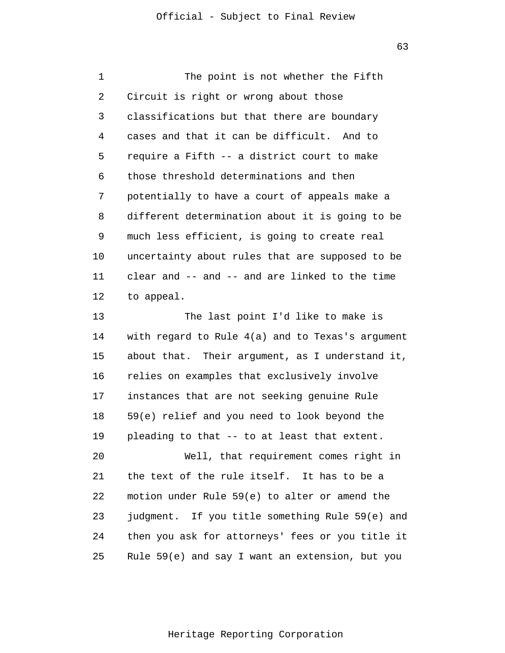1  $\overline{2}$ 3 4 5 6 7 8 9 10 11 12 13 14 15 16 17 18 19 The point is not whether the Fifth Circuit is right or wrong about those classifications but that there are boundary cases and that it can be difficult. And to require a Fifth -- a district court to make those threshold determinations and then potentially to have a court of appeals make a different determination about it is going to be much less efficient, is going to create real uncertainty about rules that are supposed to be clear and -- and -- and are linked to the time to appeal. The last point I'd like to make is with regard to Rule 4(a) and to Texas's argument about that. Their argument, as I understand it, relies on examples that exclusively involve instances that are not seeking genuine Rule 59(e) relief and you need to look beyond the pleading to that -- to at least that extent.

20 21 22 23 24 25 Well, that requirement comes right in the text of the rule itself. It has to be a motion under Rule 59(e) to alter or amend the judgment. If you title something Rule 59(e) and then you ask for attorneys' fees or you title it Rule 59(e) and say I want an extension, but you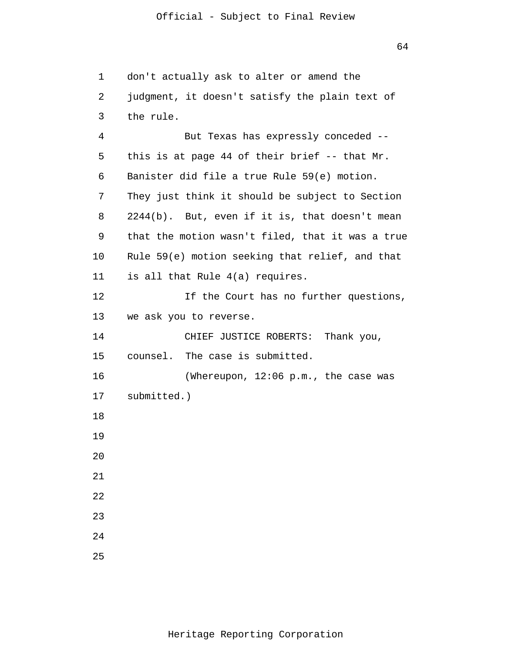1 2 3 4 5 6 7 8 9 10 11 12 13 14 15 16 17 18 19 20 21 22 23 24 25 don't actually ask to alter or amend the judgment, it doesn't satisfy the plain text of the rule. But Texas has expressly conceded - this is at page 44 of their brief -- that Mr. Banister did file a true Rule 59(e) motion. They just think it should be subject to Section 2244(b). But, even if it is, that doesn't mean that the motion wasn't filed, that it was a true Rule 59(e) motion seeking that relief, and that is all that Rule 4(a) requires. If the Court has no further questions, we ask you to reverse. CHIEF JUSTICE ROBERTS: Thank you, counsel. The case is submitted. (Whereupon, 12:06 p.m., the case was submitted.)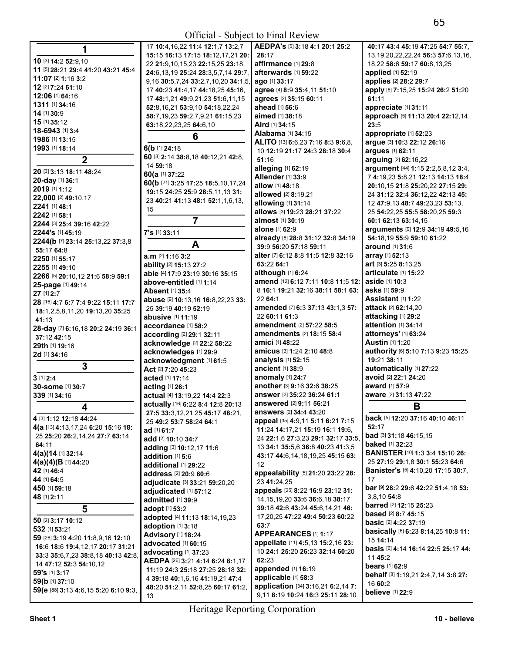| 1                                                      | 17 <sup>1</sup> |
|--------------------------------------------------------|-----------------|
|                                                        | 15:             |
| 10 [3] 14:2 52:9,10                                    | 22:             |
| 11 [5] 28:21 29:4 41:20 43:21 45:4                     | 24:             |
| 11:07 [2] 1:16 3:2                                     | 9,16            |
| 12 [2] 7:24 61:10                                      | 17 <sub>4</sub> |
| 12:06 [1] 64:16                                        | 17 <sub>4</sub> |
| 1311 [1] 34:16                                         | 52:             |
| 14 [1] 30:9                                            |                 |
| 15 [1] 35:12                                           | 58:             |
| 18-6943 [1] 3:4                                        | 63:             |
| 1986 [1] 13:15                                         |                 |
| 1993 [1] 18:14                                         | 6(b             |
|                                                        | 60 [8           |
| 2                                                      | 14 <sub>1</sub> |
| 20 [3] 3:13 18:11 48:24                                | 60(a            |
| 20-day [1] 36:1                                        | 60(k            |
| 2019 [1] 1:12                                          | 19:             |
| 22,000 [2] 49:10,17                                    | 23 <sub>4</sub> |
| 2241 [1] 48:1                                          |                 |
| 2242 [1] 58:1                                          | 15              |
| 2244 [3] 25:4 39:16 42:22                              |                 |
| 2244's [1] 45:19                                       | 7's l           |
| 2244(b [7] 23:14 25:13,22 37:3,8                       |                 |
| 55:17 64:8                                             |                 |
| 2250 [1] 55:17                                         | a.m             |
| 2255 [1] 49:10                                         | abil            |
| 2266 [5] 20:10,12 21:6 58:9 59:1                       | able            |
|                                                        | abo             |
| 25-page [1] 49:14<br>27 [1] 2:7                        | Abs             |
|                                                        | abu             |
| 28 [16] 4:7 6:7 7:4 9:22 15:11 17:7                    | 25:             |
| 18:1,2,5,8,11,20 19:13,20 35:25                        | abu             |
| 41:13                                                  | acc             |
| 28-day [7] 6:16,18 20:2 24:19 36:1                     | acc             |
| 37:12 42:15                                            | ack⊧            |
| <b>29th</b> [1] 19:16                                  | ack⊧            |
| 2d [1] 34:16                                           | ack⊧            |
| 3                                                      | Act             |
|                                                        |                 |
|                                                        |                 |
| $3$ [1] $2:4$                                          | acte            |
| 30-some [1] 30:7                                       | acti            |
| 339 [1] 34:16                                          | actı            |
| 4                                                      | actı            |
|                                                        | ‼27:            |
| 4 [3] 1:12 12:18 44:24                                 | 25 <sub>4</sub> |
| 4(a [13] 4:13,17,24 6:20 15:16 18:                     | ad l            |
| 25 25:20 26:2,14,24 27:7 63:14                         | add             |
| 64:11                                                  | add             |
| 4(a)(14 [1] 32:14                                      | add             |
| 4(a)(4)(B [1] 44:20                                    | add             |
| 42 [1] 46:4                                            | add             |
| 44 [1] 64:5                                            | adjı            |
| 450 [1] 59:18                                          | adju            |
| 48 [1] 2:11                                            | adn             |
| 5                                                      | ado             |
|                                                        | ado             |
| 50 [2] 3:17 10:12                                      | ado             |
| 532 [1] 53:21                                          | Adv             |
| 59 [26] 3:19 4:20 11:8,9,16 12:10                      | adv             |
| 16:6 18:6 19:4, 12, 17 20:17 31:21                     | adv             |
| 33:3 35:6,7,23 38:8,18 40:13 42:8,                     | AEL             |
| 14 47:12 52:3 54:10,12                                 | 11:             |
| <b>59's</b> [1] <b>3:</b> 17                           | 4 39            |
| 59(b [1] 37:10<br>59(e [88] 3:13 4:6,15 5:20 6:10 9:3, | 48:             |

| 14 [1] 30:9                          | <b>JZ.0, 10, Z 1 JJ.J, 10 J4. 10, ZZ, Z4</b> | ancau wo.u                                          | appleciate mol.m                       |
|--------------------------------------|----------------------------------------------|-----------------------------------------------------|----------------------------------------|
|                                      | 58:7,19,23 59:2,7,9,21 61:15,23              | aimed [1] 38:18                                     | approach [5] 11:13 20:4 22:12,14       |
| 15 [1] 35:12                         | 63:18,22,23,25 64:6,10                       | Aird [1] 34:15                                      | 23:5                                   |
| 18-6943 [1] 3:4                      | 6                                            | Alabama [1] 34:15                                   | appropriate [1] 52:23                  |
| 1986 [1] 13:15                       |                                              | ALITO [13] 6:6,23 7:16 8:3 9:6,8,                   | argue [3] 10:3 22:12 26:16             |
| 1993 [1] 18:14                       | 6(b [1] 24:18                                | 10 12:19 21:17 24:3 28:18 30:4                      | argues [1] 62:11                       |
| $\overline{2}$                       | 60 [8] 2:14 38:8,18 40:12,21 42:8,           | 51:16                                               | arguing [2] 62:16,22                   |
|                                      | 14 59:18                                     | alleging [1] 62:19                                  | argument [44] 1:15 2:2,5,8,12 3:4,     |
| 20 [3] 3:13 18:11 48:24              | 60(a [1] 37:22                               | Allender [1] 33:9                                   | 7 4:19,23 5:8,21 12:13 14:13 18:4      |
| 20-day [1] 36:1                      | 60(b [21] 3:25 17:25 18:5,10,17,24           | allow [1] 48:18                                     | 20:10,15 21:8 25:20,22 27:15 29:       |
| 2019 [1] 1:12                        | 19:15 24:25 25:9 28:5,11,13 31:              | allowed [2] 8:19,21                                 | 24 31:12 32:4 36:12,22 42:13 45:       |
| 22,000 [2] 49:10,17                  | 23 40:21 41:13 48:1 52:1,1,6,13,             | allowing [1] 31:14                                  | 12 47:9.13 48:7 49:23.23 53:13.        |
| 2241 [1] 48:1                        | 15                                           | allows [3] 19:23 28:21 37:22                        | 25 54:22,25 55:5 58:20,25 59:3         |
| 2242 [1] 58:1                        | $\overline{7}$                               | almost [1] 30:19                                    | 60:1 62:13 63:14.15                    |
| 2244 [3] 25:4 39:16 42:22            |                                              | <b>alone</b> [1] 62:9                               | arguments [9] 12:9 34:19 49:5,16       |
| 2244's [1] 45:19                     | 7's [1] 33:11                                | already [8] 28:8 31:12 32:8 34:19                   | 54:18,19 55:9 59:10 61:22              |
| 2244(b [7] 23:14 25:13,22 37:3,8     | A                                            | 39:9 56:20 57:18 59:11                              | <b>around</b> [1] <b>31:</b> 6         |
| 55:17 64:8                           |                                              | alter [7] 6:12 8:8 11:5 12:8 32:16                  |                                        |
| 2250 [1] 55:17                       | a.m [2] 1:16 3:2                             |                                                     | array [1] 52:13                        |
| 2255 [1] 49:10                       | ability [2] 15:13 27:2                       | 63:22 64:1                                          | art [3] 5:25 8:13,25                   |
| 2266 [5] 20:10,12 21:6 58:9 59:1     | able [4] 17:9 23:19 30:16 35:15              | although [1] 6:24                                   | articulate [1] 15:22                   |
| 25-page [1] 49:14                    | above-entitled [1] 1:14                      | amend [12] 6:12 7:11 10:8 11:5 12:   aside [1] 10:3 |                                        |
| 27 [1] 2:7                           | <b>Absent [1] 35:4</b>                       | 8 16:1 19:21 32:16 38:11 58:1 63:                   | asks [1] 59:9                          |
| 28 [16] 4:7 6:7 7:4 9:22 15:11 17:7  | abuse [9] 10:13,16 16:8,22,23 33:            | 22 64:1                                             | <b>Assistant</b> [1] <b>1:22</b>       |
| 18:1,2,5,8,11,20 19:13,20 35:25      | 25 39:19 40:19 52:19                         | amended [7] 6:3 37:13 43:1,3 57:                    | <b>attack</b> [2] <b>62:14,20</b>      |
| 41:13                                | abusive [1] 11:19                            | 22 60:11 61:3                                       | attacking [1] 29:2                     |
| 28-day [7] 6:16,18 20:2 24:19 36:1   | accordance [1] 58:2                          | amendment [2] 57:22 58:5                            | attention [1] 34:14                    |
| 37:12 42:15                          | according [2] 29:1 32:11                     | amendments [2] 18:15 58:4                           | attorneys' [1] 63:24                   |
| 29th [1] 19:16                       | acknowledge [2] 22:2 58:22                   | amici [1] 48:22                                     | <b>Austin [1] 1:20</b>                 |
| 2d [1] 34:16                         | acknowledges [1] 29:9                        | amicus [3] 1:24 2:10 48:8                           | authority [6] 5:10 7:13 9:23 15:25     |
|                                      | acknowledgment [1] 61:5                      | analysis [1] 52:15                                  | 19:21 38:11                            |
| 3                                    | Act [2] 7:20 45:23                           | ancient [1] 38:9                                    | automatically [1] 27:22                |
| $3$ [1] $2:4$                        | acted [1] 17:14                              | anomaly [1] 24:7                                    | avoid [2] 22:1 24:20                   |
| 30-some [1] 30:7                     | acting [1] 26:1                              | another [3] 9:16 32:6 38:25                         | award [1] 57:9                         |
| 339 [1] 34:16                        | actual [4] 13:19,22 14:4 22:3                | <b>answer</b> [3] 35:22 36:24 61:1                  | aware [2] 31:13 47:22                  |
| 4                                    | actually [16] 6:22 8:4 12:8 20:13            | answered [2] 9:11 56:21                             | B                                      |
|                                      | 27:5 33:3,12,21,25 45:17 48:21,              | <b>answers</b> [2] 34:4 43:20                       |                                        |
| 4 [3] 1:12 12:18 44:24               | 25 49:2 53:7 58:24 64:1                      | appeal [35] 4:9,11 5:11 6:21 7:15                   | back [5] 12:20 37:16 40:10 46:11       |
| 4(a [13] 4:13,17,24 6:20 15:16 18:   | ad [1] 61:7                                  | 11:24 14:17,21 15:19 16:1 19:6,                     | 52:17                                  |
| 25 25:20 26:2,14,24 27:7 63:14       | add [2] 10:10 34:7                           | 24 22:1,6 27:3,23 29:1 32:17 33:5.                  | bad [3] 31:18 46:15,15                 |
| 64:11                                | adding [3] 10:12,17 11:6                     | 13 34:1 35:5,6 36:8 40:23 41:3,5                    | <b>baked</b> [1] 32:23                 |
| 4(a)(14 [1] 32:14                    | addition [1] 5:6                             | 43:17 44:6,14,18,19,25 45:15 63:                    | <b>BANISTER</b> [10] 1:3 3:4 15:10 26: |
| 4(a)(4)(B [1] 44:20                  | additional [1] 29:22                         | 12                                                  | 25 27:19 29:1.8 30:1 55:23 64:6        |
| 42 [1] 46:4                          | address [2] 20:9 60:6                        | appealability [5] 21:20 23:22 28:                   | Banister's [5] 4:10,20 17:15 30:7.     |
| 44 [1] 64:5                          | adjudicate [3] 33:21 59:20,20                | 23 41:24,25                                         | 17                                     |
| 450 [1] 59:18                        | adjudicated [1] 57:12                        | appeals [25] 8:22 16:9 23:12 31:                    | bar [9] 28:2 29:6 42:22 51:4,18 53:    |
| 48 [1] 2:11                          | admitted [1] 39:9                            | 14, 15, 19, 20 33: 6 36: 6, 18 38: 17               | 3,8,10 54:8                            |
| 5                                    | adopt [1] 53:2                               | 39:18 42:6 43:24 45:6,14,21 46:                     | barred [2] 12:15 25:23                 |
|                                      | adopted [4] 11:13 18:14,19,23                | 17,20,25 47:22 49:4 50:23 60:22                     | <b>based</b> [2] 8:7 45:15             |
| 50 [2] 3:17 10:12                    | adoption [1] 3:18                            | 63:7                                                | <b>basic</b> [2] 4:22 37:19            |
| 532 [1] 53:21                        |                                              | APPEARANCES [1] 1:17                                | basically [6] 6:23 8:14,25 10:8 11:    |
| 59 [26] 3:19 4:20 11:8,9,16 12:10    | Advisory [1] 18:24                           |                                                     | 15 14:14                               |
| 16:6 18:6 19:4, 12, 17 20:17 31:21   | advocated [1] 60:15                          | appellate [11] 4:5,13 15:2,16 23:                   | basis [6] 4:14 16:14 22:5 25:17 44:    |
| 33:3 35:6,7,23 38:8,18 40:13 42:8,   | advocating [1] 37:23                         | 10 24:1 25:20 26:23 32:14 60:20                     | 11 45:2                                |
| 14 47:12 52:3 54:10.12               | AEDPA [26] 3:21 4:14 6:24 8:1.17             | 62:23                                               | <b>bears</b> [1] <b>62:9</b>           |
| 59's [1] 3:17                        | 11:19 24:3 25:18 27:25 28:18 32:             | appended [1] 16:19                                  | behalf [8] 1:19,21 2:4,7,14 3:8 27:    |
| 59(b [1] 37:10                       | 4 39:18 40:1,6,16 41:19,21 47:4              | applicable [1] 58:3                                 | 16 60:2                                |
| 59(e [88] 3:13 4:6,15 5:20 6:10 9:3, | 48:20 51:2,11 52:8,25 60:17 61:2,            | application [34] 3:16,21 6:2,14 7:                  | <b>believe</b> [1] 22:9                |
|                                      | 13                                           | 9,11 8:19 10:24 16:3 25:11 28:10                    |                                        |
| Sheet 1                              |                                              | Heritage Reporting Corporation                      | 10 - believe                           |

15:15 16:13 17:15 18:12, 17, 21 20: 28:17<br>10 3 14:2 52:9, 10 22:9, 10 22:21:9, 10, 15, 23 22:15, 25 23:18 affirmance [1] 29:8 23:22 24:56:357:6, 13, 16,<br>11 5 28:21 29:4 41:20 43:21 45:4 24:6, 13, 19 25:24 28:3,5,7, 14 29:7 **11:** 13,19 **12:**24 **28:3,5,7,14 <b>29:7, afterwards [1] <b>59:**22 **applied [1] <b>52:19 applies** [2] **28:2 29:7**<br>17 **40:23 41:4,17 44:18,25 45:16, agree** [4] **8:9 35:4,11 <b>51:10 apply** [6] **7:15,25 15:2** 17 40:23 41:4,17 44:18,25 45:16, agree [4] 8:9 35:4,11 51:10 | apply [6] 7:15,25 15:24 26:2 51:20<br>17 48:1,21 49:9,21,23 51:6,11,15 | agrees [2] 35:15 60:11 | 61:11 | 61:11 **12:06** [1] **64:**16 17 **48:**1,21 **49:**9,21,23 **51:**6,11,15 **agrees** [2] **35:**15 **60:**11 **61:**<sup>11</sup> **1311** [1] **34:**16 **52:**8,16,21 **53:**9,10 **54:**18,22,24 **ahead** [1] **56:**6 **appreciate** [1] **31:**<sup>11</sup> **ALITO** [13] **6:**6,23 **7:**16 **8:**3 **9:**6,8, **alleging** [1] **62:**19 **Allender** [1] **33:**9 **allow** [1] **48:**18 **allowed** [2] **8:**19,21 **allowing** [1] **31:**14 **allows** [3] **19:**23 **28:**21 **37:**22 **39:**9 **56:**20 **57:**18 **59:**11 **48** [1] **2:**11 **admitted** [1] **39:**9 14,15,19,20 **33:**6 **36:**6,18 **38:**17 3,8,10 **54:**<sup>8</sup> **39:**18 **42:**6 **43:**24 **45:**6,14,21 **46:**  17,20,25 **47:**22 **49:**4 **50:**23 **60:**22 **APPEARANCES** [1] **1:**17 **appellate** [11] **4:**5,13 **15:**2,16 **23:**  10 **24:**1 **25:**20 **26:**23 **32:**14 **60:**20 **appended** [1] **16:**19 **applicable** [1] **58:**3 **application** [34] **3:**16,21 **6:**2,14 **7:**  9,11 **8:**19 **10:**24 **16:**3 **25:**11 **28:**10 **bears** [1] **62:**9 **behalf** [8] **1:**19,21 **2:**4,7,14 **3:**8 **27:**  16 **60:**2 **believe** [1] **22:**9

**1** <sup>17</sup>**10:**4,16,22 **11:**4 **12:**1,7 **13:**2,7 **AEDPA's** [5] **3:**18 **4:**1 **20:**1 **25:**2 **40:**17 **43:**4 **45:**19 **47:**25 **54:**7 **55:**7, **appropriate** [1] **52:**23 **argue** [3] **10:**3 **22:**12 **26:**16 **2 60** [8] **2:**14 **38:**8,18 **40:**12,21 **42:**8, **51:**16 **arguing** [2] **62:**16,22 **argument** [44] **1:**15 **2:**2,5,8,12 **3:**4, 7 **4:**19,23 **5:**8,21 **12:**13 **14:**13 **18:**4 **20:**10,15 **21:**8 **25:**20,22 **27:**15 **29:**  24 **31:**12 **32:**4 **36:**12,22 **42:**13 **45:**  12 **47:**9,13 **48:**7 **49:**23,23 **53:**13, 25 **54:**22,25 **55:**5 **58:**20,25 **59:**3 **54:**18,19 **55:**9 **59:**10 **61:**22 **around** [1] **31:**6 **barred** [2] **12:**15 **25:**23 **based** [2] **8:**7 **45:**15 **basic** [2] **4:**22 **37:**19 **basically** [6] **6:**23 **8:**14,25 **10:**8 **11:**  15 **14:**14 **basis** [6] **4:**14 **16:**14 **22:**5 **25:**17 **44:**  11 **45:**2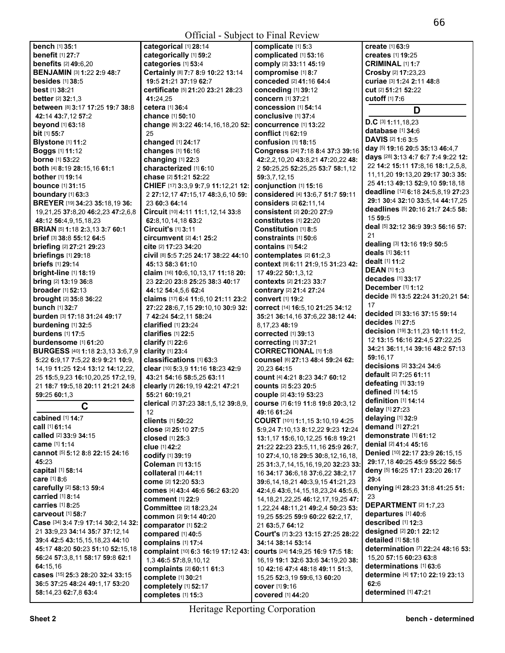|                                            |                                           | $\sum_{i=1}^{n}$                                                     |                                                     |
|--------------------------------------------|-------------------------------------------|----------------------------------------------------------------------|-----------------------------------------------------|
| bench [1] 35:1                             | categorical [1] 28:14                     | complicate [1] 5:3                                                   | create [1] 63:9                                     |
| benefit [1] 27:7                           | categorically [1] 59:2                    | complicated [1] 53:16                                                | <b>creates</b> [1] <b>19:25</b>                     |
| <b>benefits</b> [2] 49:6,20                | categories [1] 53:4                       | comply [2] 33:11 45:19                                               | <b>CRIMINAL [1] 1:7</b>                             |
| <b>BENJAMIN [3] 1:22 2:9 48:7</b>          | Certainly [8] 7:7 8:9 10:22 13:14         | compromise [1] 8:7                                                   | Crosby [2] 17:23,23                                 |
| besides $[1]$ 38:5                         | 19:5 21:21 37:19 62:7                     | conceded [2] 41:16 64:4                                              | curiae [3] 1:24 2:11 48:8                           |
| <b>best</b> $[1]$ 38:21                    | certificate [5] 21:20 23:21 28:23         | conceding [1] 39:12                                                  | <b>cut</b> [2] 51:21 52:22                          |
| <b>better</b> $[2]$ 32:1,3                 | 41:24,25                                  | concern [1] 37:21                                                    | <b>cutoff</b> [1] <b>7:6</b>                        |
| between [8] 3:17 17:25 19:7 38:8           | cetera [1] 36:4                           | concession [1] 54:14                                                 | D                                                   |
| 42:14 43:7,12 57:2                         | <b>chance</b> [1] <b>50:10</b>            | <b>conclusive</b> [1] 37:4                                           |                                                     |
| beyond [1] 63:18                           | change [6] 3:22 46:14,16,18,20 52:        | concurrence [1] 13:22                                                | D.C [3] 1:11,18,23                                  |
| bit [1] 55:7                               | 25                                        | <b>conflict</b> [1] <b>62:19</b>                                     | database [1] 34:6                                   |
| Blystone [1] 11:2                          | changed [1] 24:17                         | <b>confusion</b> [1] 18:15                                           | <b>DAVIS</b> [2] <b>1:6 3:5</b>                     |
| <b>Boggs</b> [1] 11:12                     | changes [1] 16:16                         | Congress [24] 7:18 8:4 37:3 39:16                                    | day [5] 19:16 20:5 35:13 46:4.7                     |
| <b>borne</b> [1] 53:22                     | changing [1] 22:3                         | 42:2,2,10,20 43:8,21 47:20,22 48:                                    | days [28] 3:13 4:7 6:7 7:4 9:22 12:                 |
| both [4] 8:19 28:15,16 61:1                | characterized [1] 6:10                    | 2 50:25,25 52:25,25 53:7 58:1,12                                     | 22 14:2 15:11 17:8,16 18:1,2,5,8,                   |
| <b>bother</b> [1] <b>19:14</b>             | <b>chase</b> [2] <b>51:21 52:22</b>       | 59:3,7,12,15                                                         | 11, 11, 20 19: 13, 20 29: 17 30: 335:               |
| <b>bounce</b> [1] 31:15                    | CHIEF [17] 3:3,9 9:7,9 11:12,21 12:       | conjunction [1] 15:16                                                | 25 41:13 49:13 52:9,10 59:18,18                     |
| boundary [1] 63:3                          | 2 27:12,17 47:15,17 48:3,6,10 59:         | considered [4] 13:6,7 51:7 59:11                                     | deadline [12] 6:18 24:5,8,19 27:23                  |
| BREYER [19] 34:23 35:18,19 36:             | 23 60:3 64:14                             | considers [2] 62:11,14                                               | 29:1 30:4 32:10 33:5.14 44:17.25                    |
| 19,21,25 37:8,20 46:2,23 47:2,6,8          | Circuit [10] 4:11 11:1,12,14 33:8         | <b>consistent</b> [2] 20:20 27:9                                     | deadlines [5] 20:16 21:7 24:5 58:                   |
| 48:12 56:4,9,15,18,23                      | 62:8,10,14,18 63:2                        | <b>constitutes</b> [1] 22:20                                         | 15 59:5                                             |
| <b>BRIAN [5] 1:18 2:3,13 3:7 60:1</b>      | Circuit's [1] 3:11                        | Constitution [1] 8:5                                                 | deal [5] 32:12 36:9 39:3 56:16 57:                  |
| <b>brief</b> [3] $38:8$ 55:12 64:5         | circumvent $[2]$ 4:1 25:2                 | <b>constraints</b> [1] 50:6                                          | 21                                                  |
| <b>briefing</b> [2] 27:21 29:23            | cite [2] 17:23 34:20                      | contains $[1]$ 54:2                                                  | dealing [3] 13:16 19:9 50:5                         |
| briefings [1] 29:18                        | Civil [8] 5:5 7:25 24:17 38:22 44:10      | contemplates [2] 61:2.3                                              | deals [1] 36:11                                     |
| briefs [1] 29:14                           | 45:13 58:3 61:10                          | context [9] 6:11 21:9,15 31:23 42:                                   | <b>dealt</b> [1] <b>11:2</b><br><b>DEAN [1] 1:3</b> |
| <b>bright-line</b> [1] 18:19               | claim [16] 10:6, 10, 13, 17 11: 18 20:    | 17 49:22 50:1,3,12                                                   |                                                     |
| <b>bring</b> $[2]$ 13:19 36:8              | 23 22:20 23:8 25:25 38:3 40:17            | <b>contexts</b> [2] 21:23 33:7                                       | decades $[1]$ 33:17<br>December $[1]$ 1:12          |
| <b>broader</b> $[1]$ 52:13                 | 44:12 54:4,5,6 62:4                       | contrary [2] 21:4 27:24                                              | decide [5] 13:5 22:24 31:20,21 54:                  |
| <b>brought</b> [2] 35:8 36:22              | claims [17] 6:4 11:6,10 21:11 23:2        | convert [1] 19:2                                                     | 17                                                  |
| <b>bunch</b> [1] 32:7                      | 27:22 28:6,7,15 29:10,10 30:9 32:         | correct [14] 16:5,10 21:25 34:12                                     | decided [3] 33:16 37:15 59:14                       |
| <b>burden</b> [3] <b>17:18 31:24 49:17</b> | 7 42:24 54:2,11 58:24                     | 35:21 36:14,16 37:6,22 38:12 44:                                     | decides [1] 27:5                                    |
| burdening [1] 32:5                         | clarified [1] 23:24                       | 8,17,23 48:19                                                        | decision [19] 3:11,23 10:11 11:2,                   |
| <b>burdens</b> [1] 17:5                    | clarifies $[1]$ 22:5                      | <b>corrected</b> [1] 39:13                                           | 12 13:15 16:16 22:4,5 27:22,25                      |
| burdensome [1] 61:20                       | clarify [1] 22:6                          | correcting [1] 37:21                                                 | 34:21 36:11,14 39:16 48:2 57:13                     |
| <b>BURGESS</b> [40] 1:18 2:3,13 3:6,7,9    | clarity [1] 23:4                          | <b>CORRECTIONAL [1] 1:8</b>                                          | 59:16,17                                            |
| 5:22 6:9,17 7:5,22 8:9 9:21 10:9,          | classifications [1] 63:3                  | COUNSel [6] 27:13 48:4 59:24 62:                                     | decisions [2] 33:24 34:6                            |
| 14, 19 11: 25 12: 4 13: 12 14: 12, 22,     | clear [10] 5:3.9 11:16 18:23 42:9         | 20,23 64:15                                                          | <b>default</b> [2] 7:25 61:11                       |
| 25 15:5,9,23 16:10,20,25 17:2,19,          | 43:21 54:16 58:5,25 63:11                 | count [4] 4:21 8:23 34:7 60:12                                       | defeating [1] 33:19                                 |
| 21 18:7 19:5,18 20:11 21:21 24:8           | clearly [7] 26:19,19 42:21 47:21          | <b>counts</b> [2] 5:23 20:5                                          | <b>defined</b> [1] <b>14:15</b>                     |
| 59:25 60:1,3                               | 55:21 60:19,21                            | couple [2] 43:19 53:23                                               | definition [1] 14:14                                |
| C.                                         | clerical [7] 37:23 38:1,5,12 39:8,9,      | course [7] 6:19 11:8 19:8 20:3.12                                    | delay [1] 27:23                                     |
| cabined [1] 14:7                           | 12                                        | 49:16 61:24                                                          | delaying [1] 32:9                                   |
| call [1] 61:14                             | clients [1] 50:22<br>close [2] 25:10 27:5 | COURT [101] 1:1,15 3:10,19 4:25<br>5:9,24 7:10,13 8:12,22 9:23 12:24 | demand [1] 27:21                                    |
| called [2] 33:9 34:15                      | <b>closed</b> [1] 25:3                    | 13:1,17 15:6,10,12,25 16:8 19:21                                     | demonstrate [1] 61:12                               |
| came [1] 1:14                              | clue [1] 42:2                             | 21:22 22:23 23:5,11,16 25:9 26:7,                                    | denial [2] 41:4 45:16                               |
| cannot [5] 5:12 8:8 22:15 24:16            | codify [1] 39:19                          | 10 27:4, 10, 18 29:5 30:8, 12, 16, 18,                               | Denied [10] 22:17 23:9 26:15,15                     |
| 45:23                                      | Coleman [1] 13:15                         | 25 31:3,7,14,15,16,19,20 32:23 33:                                   | 29:17,18 40:25 45:9 55:22 56:5                      |
| capital [1] 58:14                          | collateral [1] 44:11                      | 16 34:17 36:6.18 37:6.22 38:2.17                                     | deny [5] 16:25 17:1 23:20 26:17                     |
| care [1] 8:6                               | come [2] 12:20 53:3                       | 39:6, 14, 18, 21 40: 3, 9, 15 41: 21, 23                             | 29:4                                                |
| carefully [2] 58:13 59:4                   | comes [4] 43:4 46:6 56:2 63:20            | 42:4,6 43:6,14,15,18,23,24 45:5,6,                                   | denying [4] 28:23 31:8 41:25 51:                    |
| carried [1] 8:14                           | <b>comment</b> [1] 22:9                   | 14, 18, 21, 22, 25 46: 12, 17, 19, 25 47:                            | 23                                                  |
| carries [1] 8:25                           | <b>Committee</b> [2] 18:23,24             | 1,22,24 48:11,21 49:2,4 50:23 53:                                    | DEPARTMENT [2] 1:7,23                               |
| <b>carveout</b> [1] 58:7                   | <b>common</b> [2] 9:14 40:20              | 19,25 55:25 59:9 60:22 62:2,17,                                      | departures [1] 40:6                                 |
| Case [34] 3:4 7:9 17:14 30:2,14 32:        | comparator [1] 52:2                       | 21 63:5,7 64:12                                                      | described [1] 12:3                                  |
| 21 33:9,23 34:14 35:7 37:12,14             | compared [1] 40:5                         | Court's [7] 3:23 13:15 27:25 28:22                                   | designed [2] 20:1 22:12                             |
| 39:4 42:5 43:15,15,18,23 44:10             | complains [1] 17:4                        | 34:14 38:14 53:14                                                    | detailed [1] 58:18                                  |
| 45:17 48:20 50:23 51:10 52:15,18           | complaint [10] 6:3 16:19 17:12 43:        | courts [24] 14:9,25 16:9 17:5 18:                                    | determination [7] 22:24 48:16 53:                   |
| 56:24 57:3,8,11 58:17 59:8 62:1            | 1,3 46:5 57:8,9,10,12                     | 16,19 19:1 32:6 33:6 34:19,20 38:                                    | 15,20 57:15 60:23 63:8                              |
| 64:15,16                                   | complaints [2] 60:11 61:3                 | 10 42:16 47:4 48:18 49:11 51:3,                                      | determinations [1] 63:6                             |
| cases [15] 25:3 28:20 32:4 33:15           | complete [1] 30:21                        | 15,25 52:3,19 59:6,13 60:20                                          | determine [4] 17:10 22:19 23:13                     |
| 36:5 37:25 48:24 49:1,17 53:20             | completely [1] 52:17                      | <b>cover</b> [1] 9:16                                                | 62:6                                                |
| 58:14,23 62:7,8 63:4                       | completes [1] 15:3                        | covered [1] 44:20                                                    | determined [1] 47:21                                |
|                                            |                                           |                                                                      |                                                     |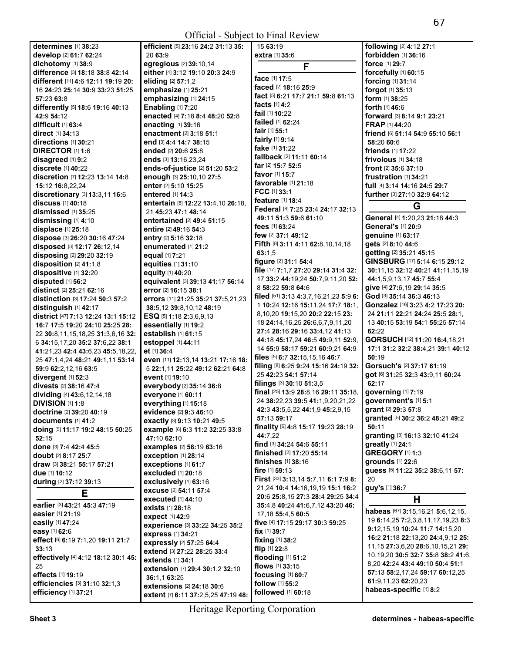| determines [1] 38:23                              | efficient [5] 23:16 24:2 31:13 35:       | 15 63:19                                | following [2] 4:12 27:1                   |
|---------------------------------------------------|------------------------------------------|-----------------------------------------|-------------------------------------------|
| develop [2] 61:7 62:24                            | 20 63:9                                  | <b>extra</b> [1] 35:6                   | forbidden [1] 36:16                       |
| dichotomy [1] 38:9                                | egregious [2] 39:10,14                   | F                                       | force [1] 29:7                            |
| difference [3] 18:18 38:8 42:14                   | either [4] 3:12 19:10 20:3 24:9          |                                         | forcefully [1] 60:15                      |
| different [11] 4:6 12:11 19:19 20:                | eliding [2] 57:1,2                       | face [1] 17:5                           | forcing [1] 31:14                         |
| 16 24:23 25:14 30:9 33:23 51:25                   | emphasize [1] 25:21                      | faced [2] 18:16 25:9                    | forgot [1] 35:13                          |
| 57:23 63:8                                        | emphasizing [1] 24:15                    | fact [5] 6:21 17:7 21:1 59:8 61:13      | <b>form</b> $[1]$ 38:25                   |
| differently [5] 18:6 19:16 40:13                  | <b>Enabling [1] 7:20</b>                 | <b>facts</b> [1] <b>4:2</b>             | <b>forth</b> $[1]$ 46:6                   |
| 42:9 54:12                                        | enacted [4] 7:18 8:4 48:20 52:8          | fail [1] 10:22                          | forward [3] 8:14 9:1 23:21                |
| difficult [1] 63:4                                | enacting [1] 39:16                       | <b>failed</b> [1] <b>62:24</b>          | <b>FRAP</b> [1] <b>44:20</b>              |
| <b>direct</b> [1] <b>34:13</b>                    | enactment [2] 3:18 51:1                  | <b>fair</b> [1] <b>55:1</b>             | friend [6] 51:14 54:9 55:10 56:1          |
| directions [1] 30:21                              | end [3] 4:4 14:7 38:15                   | fairly [1] 9:14                         | 58:20 60:6                                |
| <b>DIRECTOR [1] 1:6</b>                           | ended [2] 20:6 25:8                      | fake [1] 31:22                          | friends [1] 17:22                         |
| disagreed [1] 9:2                                 | ends [3] 13:16,23,24                     | fallback [2] 11:11 60:14                | frivolous [1] 34:18                       |
| discrete [1] 40:22                                | ends-of-justice [2] 51:20 53:2           | <b>far</b> [2] <b>15:7 52:5</b>         | front [2] 35:6 37:10                      |
| discretion [7] 12:23 13:14 14:8                   | enough [3] 25:10,10 27:5                 | <b>favor</b> [1] <b>15:7</b>            | frustration $[1]$ 34:21                   |
| 15:12 16:8,22,24                                  | enter [2] 5:10 15:25                     | <b>favorable</b> [1] <b>21:18</b>       | full [4] 3:14 14:16 24:5 29:7             |
| discretionary [3] 13:3,11 16:6                    | entered [1] 14:3                         | FCC [1] 33:1                            | further [3] 27:10 32:9 64:12              |
| discuss [1] 40:18                                 | entertain [8] 12:22 13:4,10 26:18,       | <b>feature</b> [1] <b>18:4</b>          | G                                         |
| dismissed $[1]$ 35:25                             | 21 45:23 47:1 48:14                      | Federal [8] 7:25 23:4 24:17 32:13       |                                           |
| dismissing [1] 4:10                               | <b>entertained</b> [2] <b>49:4 51:15</b> | 49:11 51:3 59:6 61:10                   | General [4] 1:20,23 21:18 44:3            |
| displace [1] 25:18                                | entire [2] 49:16 54:3                    | fees [1] 63:24                          | General's [1] 20:9                        |
| dispose [3] 26:20 30:16 47:24                     | entry [2] 5:16 32:18                     | few [2] 37:1 49:12                      | genuine [1] 63:17                         |
| disposed [3] 12:17 26:12,14                       | enumerated [1] 21:2                      | Fifth [8] 3:11 4:11 62:8,10,14,18       | qets [2] 8:10 44:6                        |
| disposing [2] 29:20 32:19                         | equal [1] 7:21                           | 63:1,5                                  | getting [2] 35:21 45:15                   |
| disposition [2] 41:1,8                            | equities [1] 31:10                       | figure [2] 31:1 54:4                    | GINSBURG [17] 5:14 6:15 29:12             |
| dispositive [1] 32:20                             | equity [1] 40:20                         | file [17] 7:1,7 27:20 29:14 31:4 32:    | 30:11,15 32:12 40:21 41:11,15,19          |
| disputed [1] 56:2                                 | equivalent [3] 39:13 41:17 56:14         | 17 33:2 44:19,24 50:7,9,11,20 52:       | 44:1,5,9,13,17 45:7 55:4                  |
| distinct [2] 25:21 62:16                          | error [2] 16:15 38:1                     | 8 58:22 59:8 64:6                       | give [4] 27:6,19 29:14 35:5               |
| <b>distinction</b> [3] <b>17:24 50:3 57:2</b>     | errors [11] 21:25 35:21 37:5,21,23       | filed $[51]$ 3:13 4:3,7,16,21,23 5:9 6: | God [3] 35:14 36:3 46:13                  |
| distinguish [1] 42:17                             | 38:5,12 39:8,10,12 48:19                 | 1 10:24 12:16 15:11,24 17:7 18:1,       | Gonzalez [16] 3:23 4:2 17:23 20:          |
| <b>district</b> [47] <b>7:13 12:24 13:1 15:12</b> | ESQ [5] 1:18 2:3,6,9,13                  | 8,10,20 19:15,20 20:2 22:15 23:         | 24 21:11 22:21 24:24 25:5 28:1,           |
| 16:7 17:5 19:20 24:10 25:25 28:                   | essentially [1] 19:2                     | 18 24:14, 16, 25 26:6, 6, 7, 9, 11, 20  | 13 40:15 53:19 54:1 55:25 57:14           |
| 22 30:8,11,15,18,25 31:3,6,16 32:                 | establish [1] 61:15                      | 27:4 28:16 29:16 33:4,12 41:13          | 62:22                                     |
| 6 34:15,17,20 35:2 37:6,22 38:1                   | estoppel [1] 44:11                       | 44:18 45:17,24 46:5 49:9,11 52:9,       | GORSUCH [12] 11:20 16:4,18,21             |
| 41:21,23 42:4 43:6,23 45:5,18,22,                 | et [1] 36:4                              | 14 55:9 58:17 59:21 60:9,21 64:9        | 17:1 31:2 32:2 38:4,21 39:1 40:12         |
| 25 47:1,4,24 48:21 49:1,11 53:14                  | even [11] 12:13,14 13:21 17:16 18:       | files [5] 6:7 32:15,15,16 46:7          | 50:19                                     |
| 59:9 62:2,12,16 63:5                              | 5 22:1,11 25:22 49:12 62:21 64:8         | filing [8] 6:25 9:24 15:16 24:19 32:    | Gorsuch's [2] 37:17 61:19                 |
| divergent [1] 52:3                                | event [1] 19:10                          | 25 42:23 54:1 57:14                     | got [6] 31:25 32:3 43:9,11 60:24          |
| <b>divests</b> [2] 38:16 47:4                     | everybody [2] 35:14 36:8                 | filings [3] 30:10 51:3,5                | 62:17                                     |
| dividing [4] 43:6, 12, 14, 18                     | everyone [1] 60:11                       | final [25] 13:9 28:8,16 29:11 35:18,    | governing [1] 7:19                        |
| <b>DIVISION [1] 1:8</b>                           | everything [1] 15:18                     | 24 38:22,23 39:5 41:1,9,20,21,22        | government's [1] 5:1                      |
| doctrine [2] 39:20 40:19                          | evidence [2] 9:3 46:10                   | 42:3 43:5,5,22 44:1,9 45:2,9,15         | grant [2] 29:3 57:8                       |
| documents [1] 41:2                                | exactly [3] 9:13 10:21 49:5              | 57:13 59:17                             | granted [5] 30:2 36:2 48:21 49:2          |
| doing [5] 11:17 19:2 48:15 50:25                  | example [6] 6:3 11:2 32:25 33:8          | finality [6] 4:8 15:17 19:23 28:19      | 50:11                                     |
| 52:15                                             | 47:10 62:10                              | 44:7,22                                 | granting [3] 16:13 32:10 41:24            |
| done [3] 7:4 42:4 45:5                            | examples [2] 56:19 63:16                 | find [3] 34:24 54:6 55:11               | greatly [1] 24:1                          |
| <b>doubt</b> [2] <b>8:17 25:7</b>                 | exception [1] 28:14                      | finished [2] 17:20 55:14                | <b>GREGORY</b> [1] 1:3                    |
| draw [3] 38:21 55:17 57:21                        | exceptions [1] 61:7                      | <b>finishes</b> [1] 38:16               | grounds [1] 22:6                          |
| due [1] 10:12                                     | excluded [1] 20:18                       | fire $[1]$ 59:13                        | guess [5] 11:22 35:2 38:6,11 57:          |
| during [2] 37:12 39:13                            | exclusively [1] 63:16                    | First [33] 3:13,14 5:7,11 6:1 7:9 8:    | 20                                        |
| Е                                                 | <b>excuse</b> [2] 54:11 57:4             | 21,24 10:4 14:16,19,19 15:1 16:2        | guy's [1] 36:7                            |
|                                                   | executed $[1]$ 44:10                     | 20:6 25:8,15 27:3 28:4 29:25 34:4       | H                                         |
| earlier [3] 43:21 45:3 47:19                      | <b>exists</b> [1] 28:18                  | 35:4,8 40:24 41:6,7,12 43:20 46:        | habeas [67] 3:15,16,21 5:6,12,15,         |
| easier [1] 21:19                                  | expect [1] 42:9                          | 17,18 55:4,5 60:5                       | 19 6:14,25 7:2,3,8,11,17,19,23 8:3        |
| easily [1] 47:24                                  | experience [3] 33:22 34:25 35:2          | five [4] 17:15 29:17 30:3 59:25         | 9:12, 15, 19 10:24 11:7 14:15, 20         |
| easy [1] 62:6                                     | express [1] 34:21                        | fix $[1]$ 39:7                          | 16:2 21:18 22:13,20 24:4,9,12 25:         |
| effect [6] 6:19 7:1,20 19:11 21:7                 | expressly [2] 57:25 64:4                 | <b>fixing</b> $[1]$ 38:2                | 11, 15 27: 3, 6, 20 28: 6, 10, 15, 21 29: |
| 33:13                                             | extend [3] 27:22 28:25 33:4              | flip $[1]$ 22:8                         | 10, 19, 20 30: 5 32: 7 35: 8 38: 2 41: 6, |
| effectively [4] 4:12 18:12 30:1 45:               | extends [1] 34:1                         | flooding [1] 51:2                       | 8,20 42:24 43:4 49:10 50:4 51:1           |
| 25                                                | extension [7] 29:4 30:1,2 32:10          | flows [1] 33:15                         | 57:13 58:2,17,24 59:17 60:12,25           |
| effects [1] 19:19                                 | 36:1,1 63:25                             | focusing [1] 60:7                       | 61:9,11,23 62:20,23                       |
| efficiencies [3] 31:10 32:1,3                     | extensions [2] 24:18 30:6                | follow [1] 55:2                         | habeas-specific [1] 8:2                   |
| efficiency [1] 37:21                              | extent [7] 6:11 37:2,5,25 47:19 48:      | followed [1] 60:18                      |                                           |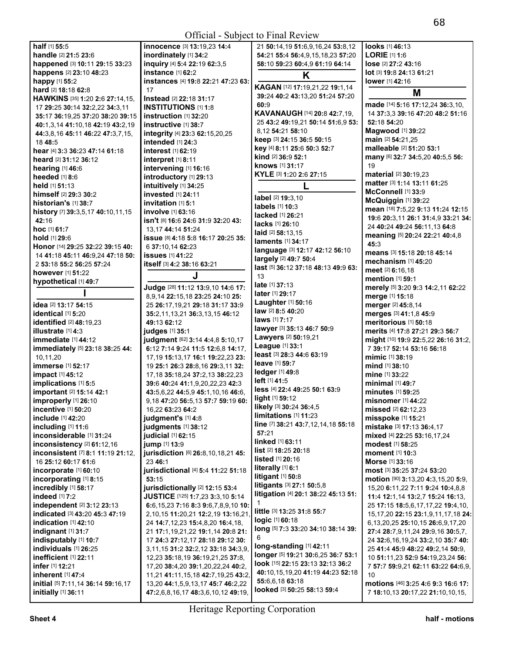| half [1] 55:5                                 | innocence [3] 13:19,23 14:4                | 21 50:14,19 51:6,9,16,24 53:8,12               | looks [1] 46:13                                                          |
|-----------------------------------------------|--------------------------------------------|------------------------------------------------|--------------------------------------------------------------------------|
| handle [2] 21:5 23:6                          | inordinately [1] 34:2                      | 54:21 55:4 56:4,9,15,18,23 57:20               | LORIE [1] 1:6                                                            |
| happened [3] 10:11 29:15 33:23                | inquiry [4] 5:4 22:19 62:3,5               | 58:10 59:23 60:4,9 61:19 64:14                 | lose [2] 27:2 43:16                                                      |
| happens [2] 23:10 48:23                       | instance $[1]$ 62:2                        | Κ                                              | <b>lot</b> [3] <b>19:8 24:13 61:21</b>                                   |
| happy [1] 55:2                                | instances [4] 19:8 22:21 47:23 63:         |                                                | lower [1] 42:16                                                          |
| <b>hard</b> [2] <b>18:18 62:8</b>             | 17                                         | KAGAN [12] 17:19,21,22 19:1,14                 | M                                                                        |
| <b>HAWKINS</b> [35] <b>1:20 2:6 27:14,15,</b> | Instead [2] 22:18 31:17                    | 39:24 40:2 43:13,20 51:24 57:20                |                                                                          |
| 17 29:25 30:14 32:2,22 34:3,11                | <b>INSTITUTIONS [1] 1:8</b>                | 60:9                                           | made [14] 5:16 17:12,24 36:3,10,                                         |
| 35:17 36:19,25 37:20 38:20 39:15              | instruction [1] 32:20                      | KAVANAUGH [14] 20:8 42:7,19,                   | 14 37:3,3 39:16 47:20 48:2 51:16                                         |
| 40:1,3,14 41:10,18 42:19 43:2,19              | instructive [1] 38:7                       | 25 43:2 49:19,21 50:14 51:6,9 53:              | 52:18 54:20                                                              |
| 44:3,8,16 45:11 46:22 47:3,7,15,              | integrity [4] 23:3 62:15,20,25             | 8,12 54:21 58:10                               | Magwood [1] 39:22                                                        |
| 18 48:5                                       | intended [1] 24:3                          | keep [3] 24:15 36:5 50:15                      | <b>main</b> [2] <b>54:</b> 21,25                                         |
| hear [4] 3:3 36:23 47:14 61:18                | <b>interest</b> [1] <b>62:19</b>           | key [4] 8:11 25:6 50:3 52:7                    | malleable [2] 51:20 53:1                                                 |
| heard [2] 31:12 36:12                         | interpret [1] 8:11                         | kind [2] 36:9 52:1                             | many [6] 32:7 34:5,20 40:5,5 56:                                         |
| hearing [1] 46:6                              | intervening [1] 16:16                      | knows [1] 31:17                                | 19                                                                       |
| heeded [1] 8:6                                | introductory [1] 29:13                     | KYLE [3] 1:20 2:6 27:15                        | material [2] 30:19,23                                                    |
| held [1] 51:13                                | intuitively [1] 34:25                      | L                                              | matter [3] 1:14 13:11 61:25                                              |
| himself [2] 29:3 30:2                         | invested [1] 24:11                         |                                                | McConnell [1] 33:9                                                       |
| historian's [1] 38:7                          | invitation [1] 5:1                         | label [2] 19:3,10                              | McQuiggin [1] 39:22                                                      |
| history [7] 39:3,5,17 40:10,11,15             | involve [1] 63:16                          | labels [1] 10:3                                | mean [18] 7:5,22 9:13 11:24 12:15                                        |
| 42:16                                         | isn't [8] 16:6 24:6 31:9 32:20 43:         | lacked [1] 26:21                               | 19:6 20:3.11 26:1 31:4.9 33:21 34:                                       |
| hoc [1] 61:7                                  | 13, 17 44: 14 51: 24                       | lacks [1] 26:10                                | 24 40:24 49:24 56:11,13 64:8                                             |
| hold [1] 29:6                                 | <b>issue</b> [8] 4:18 5:8 16:17 20:25 35:  | laid [2] 58:13.15                              | meaning [5] 20:24 22:21 40:4,8                                           |
| Honor [14] 29:25 32:22 39:15 40:              | 6 37:10,14 62:23                           | laments [1] 34:17                              | 45:3                                                                     |
| 14 41:18 45:11 46:9,24 47:18 50:              | <b>issues</b> [1] 41:22                    | language [3] 12:17 42:12 56:10                 | means [3] 15:18 20:18 45:14                                              |
| 2 53:18 55:2 56:25 57:24                      | itself [3] 4:2 38:16 63:21                 | largely [2] 49:7 50:4                          | mechanism [1] 45:20                                                      |
| <b>however</b> [1] <b>51:22</b>               |                                            | last [5] 36:12 37:18 48:13 49:9 63:            | meet [2] 6:16,18                                                         |
| hypothetical [1] 49:7                         | J                                          | 13                                             | mention [1] 59:1                                                         |
|                                               | Judge [28] 11:12 13:9,10 14:6 17:          | late [1] 37:13                                 | merely [5] 3:20 9:3 14:2,11 62:22                                        |
|                                               | 8,9,14 22:15,18 23:25 24:10 25:            | later [1] 29:17                                | merge [1] 15:18                                                          |
| idea [2] 13:17 54:15                          | 25 26:17,19,21 29:18 31:17 33:9            | <b>Laughter</b> [1] <b>50:16</b>               | merger [2] 45:8,14                                                       |
| identical [1] 5:20                            | 35:2,11,13,21 36:3,13,15 46:12             | <b>law</b> [2] <b>8:5 40:20</b>                | merges [3] 41:1,8 45:9                                                   |
| <b>identified</b> [2] 48:19,23                | 49:13 62:12                                | <b>laws</b> [1] <b>7:17</b>                    | meritorious [1] 50:18                                                    |
| illustrate [1] 4:3                            | judges [1] 35:1                            | lawyer [3] 35:13 46:7 50:9                     | merits [4] 17:8 27:21 29:3 56:7                                          |
| $immediate$ [1] $44:12$                       | judgment [62] 3:14 4:4,8 5:10,17           | <b>Lawyers</b> [2] 50:19,21                    | might [10] 19:9 22:5,22 26:16 31:2,                                      |
| immediately [5] 23:18 38:25 44:               | 6:12 7:14 9:24 11:5 12:6,8 14:17,          | League [1] 33:1                                | 7 39:17 52:14 53:16 56:18                                                |
| 10,11,20                                      | 17, 19 15: 13, 17 16: 1 19: 22, 23 23:     | least [3] 28:3 44:6 63:19                      | mimic [1] 38:19                                                          |
|                                               |                                            |                                                |                                                                          |
| <b>immerse</b> [1] 52:17                      | 19 25:1 26:3 28:8,16 29:3,11 32:           | <b>leave</b> [1] 59:7                          | mind $[1]$ 38:10                                                         |
| <b>impact</b> [1] 45:12                       | 17, 18 35: 18, 24 37: 2, 13 38: 22, 23     | ledger [1] 49:8                                | mine [1] 33:22                                                           |
| implications [1] 5:5                          | 39:6 40:24 41:1,9,20,22,23 42:3            | left [ 1141:5                                  | minimal $[1]$ 49:7                                                       |
| important [2] 15:14 42:1                      | 43:5,6,22 44:5,9 45:1,10,16 46:6,          | less [4] 22:4 49:25 50:1 63:9                  | <b>minutes</b> [1] <b>59:25</b>                                          |
| improperly [1] 26:10                          | 9,18 47:20 56:5,13 57:7 59:19 60:          | light [1] 59:12                                | misnomer $[1]$ 44:22                                                     |
| incentive $[1]$ 50:20                         | 16,22 63:23 64:2                           | likely [3] 30:24 36:4,5                        | missed [2] 62:12,23                                                      |
| <b>include</b> [1] 42:20                      | judgment's [1] 4:8                         | limitations [1] 11:23                          | misspoke [1] 15:21                                                       |
| including [1] 11:6                            | judgments [1] 38:12                        | line [7] 38:21 43:7,12,14,18 55:18             | mistake [3] 17:13 36:4,17                                                |
| inconsiderable [1] 31:24                      | judicial [1] 62:15                         | 57:21                                          | mixed [4] 22:25 53:16,17,24                                              |
| inconsistency [2] 61:12,16                    | jump [1] 13:9                              | linked [1] 63:11                               | modest [1] 58:25                                                         |
| inconsistent [7] 8:1 11:19 21:12.             | jurisdiction [6] 26:8,10,18,21 45:         | list [2] 18:25 20:18                           | <b>moment</b> [1] 10:3                                                   |
| 16 25:12 60:17 61:6                           | 23 46:1                                    | <b>listed</b> $[1]$ 20:16                      | <b>Morse</b> [1] 33:16                                                   |
| incorporate [1] 60:10                         | jurisdictional [4] 5:4 11:22 51:18         | literally $[1]$ 6:1                            | most [3] 35:25 37:24 53:20                                               |
| incorporating [1] 8:15                        | 53:15                                      | litigant $[1]$ 50:8                            | <b>motion</b> [90] <b>3:</b> 13,20 <b>4:</b> 3,15,20 <b>5:</b> 9,        |
| incredibly [1] 58:17                          | jurisdictionally [2] 12:15 53:4            | litigants [3] 27:1 50:5,8                      | 15,20 6:11,22 7:11 9:24 10:4,8,8                                         |
| <b>indeed</b> [1] 7:2                         | JUSTICE [125] 1:7,23 3:3,10 5:14           | litigation [4] 20:1 38:22 45:13 51:            | 11:4 12:1,14 13:2,7 15:24 16:13,                                         |
| independent [2] 3:12 23:13                    | 6:6,15,23 7:16 8:3 9:6,7,8,9,10 10:        | 1                                              | 25 17:15 18:5,6,17,17,22 19:4,10,                                        |
| indicated [3] 43:20 45:3 47:19                | 2, 10, 15 11: 20, 21 12: 2, 19 13: 16, 21, | little [3] 13:25 31:8 55:7                     | 15, 17, 20 22: 15 23: 1, 9, 11, 17, 18 24:                               |
| indication $[1]$ 42:10                        | 24 14:7,12,23 15:4,8,20 16:4,18,           | logic [1] 60:18                                | 6, 13, 20, 25 25: 10, 15 26: 6, 9, 17, 20                                |
| indignant [1] 31:7                            | 21 17:1,19,21,22 19:1,14 20:8 21:          | long [5] 7:3 33:20 34:10 38:14 39:             | 27:4 28:7,9,11,24 29:9,16 30:5,7,                                        |
| indisputably [1] 10:7                         | 17 24:3 27:12,17 28:18 29:12 30:           | 6                                              | 24 32:6, 16, 19, 24 33: 2, 10 35: 7 40:                                  |
| individuals [1] 26:25                         | 3,11,15 31:2 32:2,12 33:18 34:3,9,         | long-standing [1] 42:11                        | 25 41:4 45:9 48:22 49:2,14 50:9,                                         |
| inefficient [1] 22:11                         | 12,23 35:18,19 36:19,21,25 37:8,           | longer [5] 19:21 30:6,25 36:7 53:1             | 10 51:11,23 52:9 54:19,23,24 56:                                         |
| infer [1] 12:21                               | 17,20 38:4,20 39:1,20,22,24 40:2,          | look [15] 22:15 23:13 32:13 36:2               |                                                                          |
| inherent [1] 47:4                             | 11,21 41:11,15,18 42:7,19,25 43:2,         | 40:10,15,19,20 41:19 44:23 52:18               | 10                                                                       |
| initial [5] 7:11,14 36:14 59:16,17            | 13,20 44:1,5,9,13,17 45:7 46:2,22          | 55:6,6,18 63:18<br>looked [3] 50:25 58:13 59:4 | 7 57:7 59:9,21 62:11 63:22 64:6,9,<br>motions [46] 3:25 4:6 9:3 16:6 17: |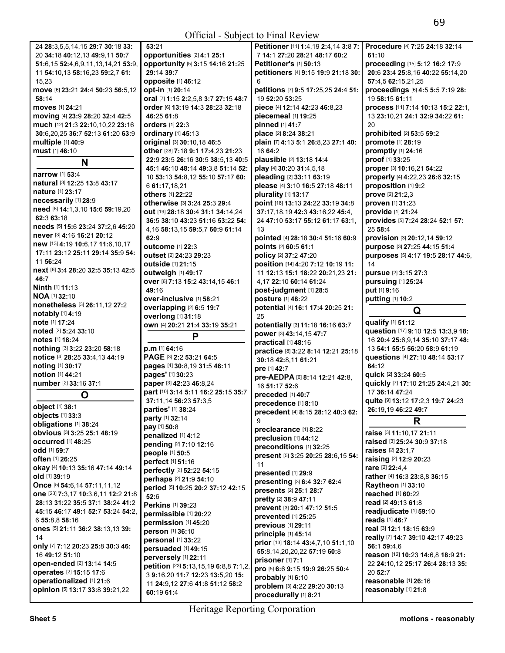| 24 28:3,5,5,14,15 29:7 30:18 33:                                   | 53:21                                 |  |  |
|--------------------------------------------------------------------|---------------------------------------|--|--|
| 20 34:18 40:12.13 49:9.11 50:7                                     | opportunities [2] 4:1 25:1            |  |  |
| 51:6,15 52:4,6,9,11,13,14,21 53:9,                                 | opportunity [5] 3:15 14:16 21:25      |  |  |
|                                                                    |                                       |  |  |
| 11 54:10,13 58:16,23 59:2,7 61:                                    | 29:14 39:7                            |  |  |
| 15.23                                                              | opposite [1] 46:12                    |  |  |
| move [6] 23:21 24:4 50:23 56:5.12                                  | opt-in [1] 20:14                      |  |  |
| 58:14                                                              | oral [7] 1:15 2:2,5,8 3:7 27:15 48:7  |  |  |
|                                                                    |                                       |  |  |
| moves [1] 24:21                                                    | order [6] 13:19 14:3 28:23 32:18      |  |  |
| moving [4] 23:9 28:20 32:4 42:5                                    | 46:25 61:8                            |  |  |
| much [12] 21:3 22:10,10,22 23:16                                   | <b>orders</b> [1] 22:3                |  |  |
| 30:6,20,25 36:7 52:13 61:20 63:9                                   | ordinary [1] 45:13                    |  |  |
|                                                                    |                                       |  |  |
| multiple [1] 40:9                                                  | original [3] 30:10,18 46:5            |  |  |
| must [1] 46:10                                                     | other [28] 7:18 9:1 17:4,23 21:23     |  |  |
| N                                                                  | 22:9 23:5 26:16 30:5 38:5,13 40:5     |  |  |
|                                                                    | 45:1 46:10 48:14 49:3.8 51:14 52:     |  |  |
| <b>narrow</b> [1] 53:4                                             | 10 53:13 54:8.12 55:10 57:17 60:      |  |  |
| natural [3] 12:25 13:8 43:17                                       |                                       |  |  |
| nature [1] 23:17                                                   | 6 61:17,18,21                         |  |  |
|                                                                    | <b>others</b> [1] 22:22               |  |  |
| necessarily [1] 28:9                                               | otherwise [3] 3:24 25:3 29:4          |  |  |
| need [8] 14:1,3,10 15:6 59:19,20                                   | out [19] 28:18 30:4 31:1 34:14,24     |  |  |
| 62:3 63:18                                                         |                                       |  |  |
| needs [5] 15:6 23:24 37:2.6 45:20                                  | 36:5 38:10 43:23 51:16 53:22 54:      |  |  |
| never [3] 4:16 16:21 20:12                                         | 4,16 58:13,15 59:5,7 60:9 61:14       |  |  |
|                                                                    | 62:9                                  |  |  |
| new [13] 4:19 10:6,17 11:6,10,17                                   | <b>outcome</b> [1] 22:3               |  |  |
| 17:11 23:12 25:11 29:14 35:9 54:                                   | outset [2] 24:23 29:23                |  |  |
| 11 56:24                                                           | <b>outside</b> [1] 21:15              |  |  |
| next [6] 3:4 28:20 32:5 35:13 42:5                                 | outweigh [1] 49:17                    |  |  |
| 46:7                                                               |                                       |  |  |
| Ninth [1] 11:13                                                    | OVer [6] 7:13 15:2 43:14,15 46:1      |  |  |
| NOA [1] 32:10                                                      | 49:16                                 |  |  |
|                                                                    | over-inclusive [1] 58:21              |  |  |
| nonetheless [3] 26:11,12 27:2                                      | overlapping [2] 6:5 19:7              |  |  |
| notably [1] 4:19                                                   | overlong [1] 31:18                    |  |  |
|                                                                    |                                       |  |  |
| note [1] 17:24                                                     |                                       |  |  |
| noted [2] 5:24 33:10                                               | own [4] 20:21 21:4 33:19 35:21        |  |  |
| notes [1] 18:24                                                    | Р                                     |  |  |
|                                                                    |                                       |  |  |
| nothing [3] 3:22 23:20 58:18                                       | p.m [1] 64:16                         |  |  |
| notice [4] 28:25 33:4,13 44:19                                     | PAGE [3] 2:2 53:21 64:5               |  |  |
| noting [1] 30:17                                                   | pages [4] 30:8,19 31:5 46:11          |  |  |
| notion [1] 44:21                                                   | pages' [1] 30:23                      |  |  |
| number [2] 33:16 37:1                                              | paper [3] 42:23 46:8,24               |  |  |
|                                                                    | part [10] 3:14 5:11 16:2 25:15 35:7   |  |  |
|                                                                    | 37:11,14 56:23 57:3,5                 |  |  |
| object [1] 38:1                                                    | parties' [1] 38:24                    |  |  |
| objects [1] 33:3                                                   |                                       |  |  |
| obligations [1] 38:24                                              | party [1] 32:14                       |  |  |
| <b>obvious</b> [3] 3:25 25:1 48:19                                 | pay [1] 50:8                          |  |  |
| <b>occurred</b> [1] 48:25                                          | penalized [1] 4:12                    |  |  |
|                                                                    | pending [2] 7:10 12:16                |  |  |
| odd [1] 59:7                                                       | people [1] 50:5                       |  |  |
| <b>often</b> [1] 26:25                                             | perfect [1] 51:16                     |  |  |
| okay [4] 10:13 35:16 47:14 49:14                                   | perfectly [2] 52:22 54:15             |  |  |
| old [1] 39:19                                                      |                                       |  |  |
| Once [5] 54:6,14 57:11,11,12                                       | perhaps [2] 21:9 54:10                |  |  |
|                                                                    | period [5] 10:25 20:2 37:12 42:15     |  |  |
| one [23] 7:3,17 10:3,6,11 12:2 21:8                                | 52:6                                  |  |  |
| 28:13 31:22 35:5 37:1 38:24 41:2                                   | Perkins [1] 39:23                     |  |  |
| 45:15 46:17 49:1 52:7 53:24 54:2.                                  | permissible [1] 20:22                 |  |  |
| 6 55:8,8 58:16                                                     | permission [1] 45:20                  |  |  |
| ones [5] 21:11 36:2 38:13,13 39:                                   | person [1] 36:10                      |  |  |
| 14                                                                 |                                       |  |  |
| Only [7] 7:12 20:23 25:8 30:3 46:                                  | personal [1] 33:22                    |  |  |
|                                                                    | persuaded [1] 49:15                   |  |  |
| 16 49:12 51:10                                                     | perversely [1] 22:11                  |  |  |
| open-ended [2] 13:14 14:5                                          | petition [23] 5:13,15,19 6:8,8 7:1,2, |  |  |
| operates [2] 15:15 17:6                                            | 3 9:16,20 11:7 12:23 13:5,20 15:      |  |  |
| <b>operationalized</b> [1] 21:6<br>opinion [5] 13:17 33:8 39:21,22 | 11 24:9,12 27:6 41:8 51:12 58:2       |  |  |

|                                      | Petitioner [11] 1:4,19 2:4,14 3:8 7: | Procedure [4] 7:25 24:18 32:14      |
|--------------------------------------|--------------------------------------|-------------------------------------|
| es [2] 4:1 25:1                      | 7 14:1 27:20 28:21 48:17 60:2        | 61:10                               |
| [5] 3:15 14:16 21:25                 | Petitioner's [1] 50:13               | proceeding [15] 5:12 16:2 17:9      |
|                                      | petitioners [4] 9:15 19:9 21:18 30:  | 20:6 23:4 25:8,16 40:22 55:14,20    |
| 46:12                                | 6                                    | 57:4,5 62:15,21,25                  |
| 14                                   | petitions [7] 9:5 17:25,25 24:4 51:  | proceedings [6] 4:5 5:5 7:19 28:    |
| :2,5,8 3:7 27:15 48:7                | 19 52:20 53:25                       | 19 58:15 61:11                      |
| 9 14:3 28:23 32:18                   | piece [4] 12:14 42:23 46:8,23        |                                     |
|                                      |                                      | process [11] 7:14 10:13 15:2 22:1,  |
|                                      | piecemeal [1] 19:25                  | 13 23:10,21 24:1 32:9 34:22 61:     |
| 3                                    | pinned [1] 41:7                      | 20                                  |
| 5:13                                 | place [2] 8:24 38:21                 | prohibited [2] 53:5 59:2            |
| $2:10.18$ 46:5                       | plain [7] 4:13 5:1 26:8,23 27:1 40:  | promote [1] 28:19                   |
| 3 9:1 17:4,23 21:23                  | 1664:2                               | promptly [1] 24:16                  |
| 16 30:5 38:5,13 40:5                 | plausible [2] 13:18 14:4             | proof [1] 33:25                     |
| 8:14 49:3,8 51:14 52:                | play [4] 30:20 31:4,5,18             | proper [3] 10:16,21 54:22           |
| 8,12 55:10 57:17 60:                 | pleading [2] 33:11 63:19             | properly [4] 4:22,23 26:6 32:15     |
|                                      |                                      |                                     |
|                                      | please [4] 3:10 16:5 27:18 48:11     | proposition [1] 9:2                 |
| 22                                   | plurality [1] 13:17                  | prove [2] 21:2,3                    |
| 3:24 25:3 29:4                       | point [18] 13:13 24:22 33:19 34:8    | proven [1] 31:23                    |
| 30:4 31:1 34:14,24                   | 37:17,18,19 42:3 43:16,22 45:4,      | provide [1] 21:24                   |
| 3:23 51:16 53:22 54:                 | 24 47:10 53:17 55:12 61:17 63:1,     | provides [5] 7:24 28:24 52:1 57:    |
| 5 59:5,7 60:9 61:14                  | 13                                   | 25 58:4                             |
|                                      | pointed [4] 28:18 30:4 51:16 60:9    | provision [3] 20:12,14 59:12        |
|                                      |                                      |                                     |
| 22:3                                 | points [2] 60:5 61:1                 | purpose [3] 27:25 44:15 51:4        |
| 23 <b>29:</b> 23                     | policy [2] 37:2 47:20                | purposes [5] 4:17 19:5 28:17 44:6,  |
| l:15                                 | position [14] 4:20 7:12 10:19 11:    | 14                                  |
| 49:17                                | 11 12:13 15:1 18:22 20:21.23 21:     | pursue [2] 3:15 27:3                |
| 15:2 43:14,15 46:1                   | 4,17 22:10 60:14 61:24               | pursuing [1] 25:24                  |
|                                      | post-judgment [1] 28:5               | put [1] 9:16                        |
| ve [1] 58:21                         | posture [1] 48:22                    | putting [1] 10:2                    |
| [2] 6:5 19:7                         | potential [4] 16:1 17:4 20:25 21:    |                                     |
|                                      |                                      | Q                                   |
| 31:18                                | 25                                   | qualify [1] 51:12                   |
| 21:4 33:19 35:21                     | potentially [3] 11:18 16:16 63:7     | question [17] 9:10 12:5 13:3,9 18:  |
| P                                    | power [3] 43:14,15 47:7              |                                     |
|                                      | practical [1] 48:16                  | 16 20:4 25:6,9,14 35:10 37:17 48:   |
|                                      | practice [8] 3:22 8:14 12:21 25:18   | 13 54:1 55:5 56:20 58:9 61:19       |
| 53:21 64:5                           | 30:18 42:8,11 61:21                  | questions [4] 27:10 48:14 53:17     |
| 8,19 31:5 46:11                      | pre [1] 42:7                         | 64:12                               |
| 23                                   | pre-AEDPA [6] 8:14 12:21 42:8,       | quick [2] 33:24 60:5                |
| 23 46:8,24                           |                                      | quickly [7] 17:10 21:25 24:4,21 30: |
| 5:11 16:2 25:15 35:7                 | 16 51:17 52:6                        | 17 36:14 47:24                      |
|                                      | preceded [1] 40:7                    | quite [9] 13:12 17:2,3 19:7 24:23   |
| 23 57:3,5                            | precedence [1] 8:10                  |                                     |
| 3:24                                 |                                      |                                     |
|                                      | precedent [4] 8:15 28:12 40:3 62:    | 26:19,19 46:22 49:7                 |
| 4                                    | 9                                    |                                     |
|                                      |                                      | R                                   |
| 4:12                                 | preclearance [1] 8:22                | raise [3] 11:10,17 21:11            |
|                                      | preclusion [1] 44:12                 | raised [3] 25:24 30:9 37:18         |
| $:10$ 12:16                          | preconditions [1] 32:25              | raises [2] 23:1.7                   |
| :5                                   | present [5] 3:25 20:25 28:6,15 54:   |                                     |
| :16                                  | 11                                   | raising [2] 12:9 20:23              |
| <b>52:22 54:1</b> 5                  | presented [1] 29:9                   | rare [2] 22:4,4                     |
| 1:9 54:10                            |                                      | rather [4] 16:3 23:8,8 36:15        |
| 25 20:2 37:12 42:15                  | presenting [3] 6:4 32:7 62:4         | Raytheon [1] 33:10                  |
|                                      | presents [2] 25:1 28:7               | reached [1] 60:22                   |
|                                      | pretty [2] 38:9 47:11                | read [2] 49:13 61:8                 |
| ):23                                 | prevent [3] 20:1 47:12 51:5          | readjudicate [1] 59:10              |
| $[1]$ 20:22                          | prevented [1] 25:25                  | reads [1] 46:7                      |
| $[1]$ 45:20                          | previous [1] 29:11                   |                                     |
| :10                                  | principle [1] 45:14                  | real [3] 12:1 18:15 63:9            |
| 33:22                                |                                      | really [7] 14:7 39:10 42:17 49:23   |
| 1] 49:15                             | prior [13] 18:14 43:4,7,10 51:1,10   | 56:1 59:4,6                         |
| 1] 22:11                             | 55:8,14,20,20,22 57:19 60:8          | reason [12] 10:23 14:6,8 18:9 21:   |
|                                      | prisoner [1] 7:1                     | 22 24:10,12 25:17 26:4 28:13 35:    |
| $\mathbf{5:}13, 15, 19$ 6:8,8 7:1,2, | pro [5] 6:6 9:15 19:9 26:25 50:4     | 20 52:7                             |
| 7 12:23 13:5,20 15:                  | probably [1] 6:10                    | reasonable [1] 26:16                |
| 7:6 41:8 51:12 58:2                  | problem [3] 4:22 29:20 30:13         |                                     |
|                                      | procedurally [1] 8:21                | reasonably [1] 21:8                 |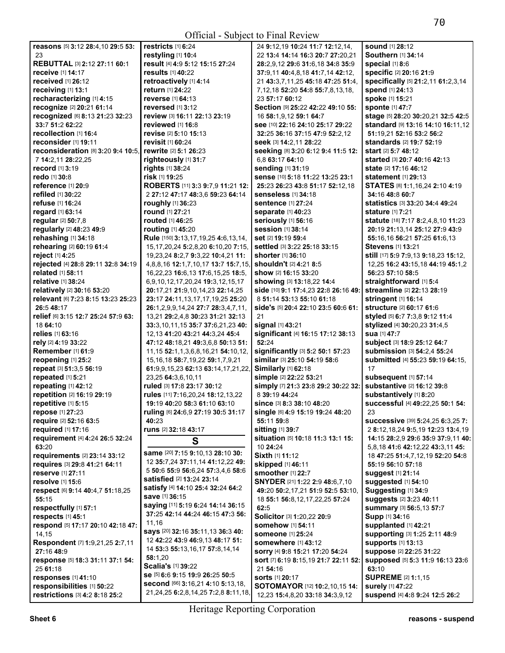| <b>sound</b> [1] 28:12<br>reasons [5] 3:12 28:4,10 29:5 53:<br>restricts $[1]$ 6:24<br>24 9:12,19 10:24 11:7 12:12,14,<br>23<br>restyling [1] 10:4<br>22 13:4 14:14 16:3 20:7 27:20,21<br>Southern [1] 34:14<br>result [4] 4:9 5:12 15:15 27:24<br>REBUTTAL [3] 2:12 27:11 60:1<br>28:2,9,12 29:6 31:6,18 34:8 35:9<br>special $[1]$ 8:6<br>specific [2] 20:16 21:9<br>receive [1] 14:17<br><b>results</b> [1] 40:22<br>37:9,11 40:4,8,18 41:7,14 42:12,<br>received [1] 26:12<br>retroactively [1] 4:14<br>specifically [5] 21:2,11 61:2,3,14<br>21 43:3,7,11,25 45:18 47:25 51:4,<br>receiving [1] 13:1<br>spend [1] 24:13<br><b>return</b> [1] 24:22<br>7, 12, 18 52: 20 54: 8 55: 7, 8, 13, 18,<br>recharacterizing [1] 4:15<br>spoke [1] 15:21<br>reverse [1] 64:13<br>23 57:17 60:12<br>recognize [2] 20:21 61:14<br>Section [9] 25:22 42:22 49:10 55:<br>sponte [1] 47:7<br>reversed $[1]$ 3:12<br>recognized [6] 8:13 21:23 32:23<br>review [3] 16:11 22:13 23:19<br>stage [5] 28:20 30:20,21 32:5 42:5<br>16 58:1,9,12 59:1 64:7<br>33:7 51:2 62:22<br>reviewed [1] 16:8<br>standard [9] 13:16 14:10 16:11,12<br>see [10] 22:16 24:10 25:17 29:22<br>recollection [1] 16:4<br>revise [2] 5:10 15:13<br>51:19.21 52:16 53:2 56:2<br>32:25 36:16 37:15 47:9 52:2.12<br>reconsider [1] 19:11<br>revisit [1] 60:24<br>standards [2] 19:7 52:19<br>Seek [3] 14:2,11 28:22<br>reconsideration [8] 3:20 9:4 10:5,<br>rewrite [2] 5:1 26:23<br>seeking [8] 3:20 6:12 9:4 11:5 12:<br>start [2] 5:7 48:12<br>6,8 63:17 64:10<br>7 14:2,11 28:22,25<br>righteously [1] 31:7<br><b>started</b> [3] <b>20:7 40:16 42:13</b><br>rights [1] 38:24<br>sending [1] 31:19<br><b>record</b> [1] <b>3</b> :19<br><b>state</b> [2] <b>17:16 46:12</b><br>redo [1] 30:8<br>risk [1] 19:25<br>sense [10] 5:18 11:22 13:25 23:1<br><b>statement</b> [1] <b>29:13</b><br>ROBERTS [11] 3:3 9:7,9 11:21 12:<br>STATES [8] 1:1, 16, 24 2:10 4:19<br>reference $[1]$ 20:9<br>25:23 26:23 43:8 51:17 52:12.18<br>refiled [1] 30:22<br>2 27:12 47:17 48:3,6 59:23 64:14<br><b>senseless</b> [1] 34:18<br>34:16 48:8 60:7<br>statistics [3] 33:20 34:4 49:24<br><b>refuse</b> [1] <b>16:24</b><br><b>roughly</b> [1] 36:23<br><b>sentence [1] 27:24</b><br><b>round</b> [1] 27:21<br>regard [1] 63:14<br><b>stature</b> [1] 7:21<br><b>separate [1] 40:23</b><br>regular [2] 50:7,8<br><b>routed</b> [1] 46:25<br>seriously [1] 56:16<br>statute [18] 7:17 8:2,4,8,10 11:23<br>regularly [2] 48:23 49:9<br>session [1] 38:14<br>routing [1] 45:20<br>20:19 21:13,14 25:12 27:9 43:9<br>rehashing [1] 34:18<br>Rule [150] 3:13,17,19,25 4:6,13,14,<br>set [2] 19:19 59:4<br>55:16,16 56:21 57:25 61:6,13<br>rehearing [2] 60:19 61:4<br>15, 17, 20, 24 5: 2, 8, 20 6: 10, 20 7: 15,<br><b>settled</b> [3] <b>3:22 25:18 33:15</b><br><b>Stevens</b> [1] <b>13:21</b><br>reject [1] 4:25<br>19,23,24 8:2,7 9:3,22 10:4,21 11:<br><b>shorter</b> [1] <b>36:10</b><br>still [17] 5:9 7:9,13 9:18,23 15:12,<br>rejected [4] 28:8 29:11 32:8 34:19<br>4,8,8,16 12:1,7,10,17 13:7 15:7,15,<br><b>shouldn't</b> [2] 4:21 8:5<br>12,25 16:2 43:15,18 44:19 45:1,2<br>related [1] 58:11<br>show [2] 16:15 33:20<br>16,22,23 16:6,13 17:6,15,25 18:5,<br>56:23 57:10 58:5<br>relative [1] 38:24<br>showing [3] 13:18,22 14:4<br>straightforward [1] 5:4<br>6,9,10,12,17,20,24 19:3,12,15,17<br>relatively [2] 30:16 53:20<br>side [10] 9:1 17:4,23 22:8 26:16 49:<br>streamline [2] 22:13 28:19<br>20:17,21 21:9,10,14,23 22:14,25<br>relevant [6] 7:23 8:15 13:23 25:23<br>8 51:14 53:13 55:10 61:18<br>stringent [1] 16:14<br>23:17 24:11,13,17,17,19,25 25:20<br>26:5 48:17<br>structure [2] 60:17 61:6<br>side's [5] 20:4 22:10 23:5 60:6 61:<br>26:1,2,9,9,14,24 27:7 28:3,4,7,11,<br>relief [6] 3:15 12:7 25:24 57:9 63:<br>13,21 29:2,4,8 30:23 31:21 32:13<br>21<br>styled [5] 6:7 7:3,8 9:12 11:4<br>18 64:10<br>33:3,10,11,15 35:7 37:6,21,23 40:<br>signal [1] 43:21<br>stylized [4] 30:20,23 31:4,5<br>relies [1] 63:16<br>significant [4] 16:15 17:12 38:13<br>sua [1] 47:7<br>12, 13 41: 20 43: 21 44: 3, 24 45: 4<br>subject [3] 18:9 25:12 64:7<br>rely [2] 4:19 33:22<br>52:24<br>47:12 48:18,21 49:3,6,8 50:13 51:<br>significantly [3] 5:2 50:1 57:23<br>Remember [1] 61:9<br>submission [3] 54:2,4 55:24<br>11, 15 52: 1, 1, 3, 6, 8, 16, 21 54: 10, 12,<br>similar [3] 25:10 54:19 58:6<br>submitted [4] 55:23 59:19 64:15,<br>reopening [1] 25:2<br>15, 16, 18 58: 7, 19, 22 59: 1, 7, 9, 21<br>repeat [3] 51:3,5 56:19<br>Similarly [1] 62:18<br>17<br>61:9,9,15,23 62:13 63:14,17,21,22,<br>repeated [1] 5:21<br>simple [2] 22:22 53:21<br>subsequent [1] 57:14<br>23,25 64:3,6,10,11<br>substantive [2] 16:12 39:8<br>repeating [1] 42:12<br>ruled [3] 17:8 23:17 30:12<br>simply [7] 21:3 23:8 29:2 30:22 32:<br>repetition [2] 16:19 29:19<br>substantively [1] 8:20<br>8 39:19 44:24<br>rules [11] 7:16,20,24 18:12,13,22<br>repetitive [1] 5:15<br>successful [4] 49:22,25 50:1 54:<br>19:19 40:20 58:3 61:10 63:10<br><b>since</b> [3] <b>8:3 38:10 48:20</b><br>repose [1] 27:23<br>ruling [6] 24:6,9 27:19 30:5 31:17<br>Single [6] 4:9 15:19 19:24 48:20<br>23<br>40:23<br>require [2] 52:16 63:5<br>55:11 59:8<br><b>successive</b> [39] <b>5:24,25 6:3,25 7:</b><br>sitting [1] 39:7<br><b>required</b> [1] 17:16<br>runs [2] 32:18 43:17<br>2 8:12, 18, 24 9:5, 19 12: 23 13: 4, 19<br>requirement [4] 4:24 26:5 32:24<br>situation [5] 10:18 11:3 13:1 15:<br>14:15 28:2,9 29:6 35:9 37:9,11 40:<br>S<br>63:20<br>10 24:24<br>5,8,18 41:6 42:12,22 43:3,11 45:<br>same [20] 7:15 9:10,13 28:10 30:<br>Sixth [1] 11:12<br>requirements [2] 23:14 33:12<br>18 47:25 51:4,7,12,19 52:20 54:8<br>12 35:7,24 37:11,14 41:12,22 49:<br>skipped [1] 46:11<br>requires [3] 29:8 41:21 64:11<br>55:19 56:10 57:18<br>5 50:6 55:9 56:6,24 57:3,4,6 58:6<br>smoother [1] 22:7<br>reserve [1] 27:11<br><b>suggest [1] 21:14</b><br><b>satisfied</b> [2] <b>13:24 23:14</b><br>SNYDER [21] 1:22 2:9 48:6,7,10<br>resolve [1] 15:6<br><b>suggested</b> [1] 54:10<br>satisfy [4] 14:10 25:4 32:24 64:2<br>Suggesting [1] 34:9<br>respect [6] 9:14 40:4,7 51:18,25<br>49:20 50:2,17,21 51:9 52:5 53:10,<br>save [1] 36:15<br>55:15<br>suggests [2] 3:23 40:11<br>18 55:1 56:8, 12, 17, 22, 25 57: 24<br>saying [11] 5:19 6:24 14:14 36:15<br>respectfully [1] 57:1<br>62:5<br>summary [3] 56:5,13 57:7<br>37:25 42:14 44:24 46:15 47:3 56:<br>respects [1] 45:1<br>Solicitor [3] 1:20,22 20:9<br>Supp [1] 34:16<br>11,16<br>respond [5] 17:17 20:10 42:18 47:<br><b>somehow</b> [1] 54:11<br>supplanted [1] 42:21<br>says [20] 32:16 35:11,13 36:3 40:<br>supporting [3] 1:25 2:11 48:9<br>14,15<br><b>someone</b> [1] 25:24<br>12 42:22 43:9 46:9,13 48:17 51:<br>Respondent [7] 1:9,21,25 2:7,11<br><b>supports [1] 13:13</b><br><b>somewhere</b> [1] 43:12<br>14 53:3 55:13,16,17 57:8,14,14<br>27:16 48:9<br>suppose [2] 22:25 31:22<br>sorry [4] 9:8 15:21 17:20 54:24<br>58:1,20<br>response [5] 18:3 31:11 37:1 54:<br>sort [7] 6:19 8:15,19 21:7 22:11 52:<br>supposed [5] 5:3 11:9 16:13 23:6<br>Scalia's [1] 39:22<br>63:10<br>25 61:18<br>21 54:16<br>se [5] 6:6 9:15 19:9 26:25 50:5<br><b>SUPREME</b> [2] <b>1:1,15</b><br>responses [1] 41:10<br><b>sorts</b> [1] 20:17<br>second [66] 3:16,21 4:10 5:13,18,<br>responsibilities [1] 50:22<br><b>SOTOMAYOR</b> [12] <b>10:2,10,15 14:</b><br><b>surely</b> [1] 47:22<br>21, 24, 25 6: 2, 8, 14, 25 7: 2, 8 8: 11, 18,<br>suspend [4] 4:8 9:24 12:5 26:2<br>restrictions [3] 4:2 8:18 25:2<br>12,23 15:4,8,20 33:18 34:3,9,12 |  |  |
|--------------------------------------------------------------------------------------------------------------------------------------------------------------------------------------------------------------------------------------------------------------------------------------------------------------------------------------------------------------------------------------------------------------------------------------------------------------------------------------------------------------------------------------------------------------------------------------------------------------------------------------------------------------------------------------------------------------------------------------------------------------------------------------------------------------------------------------------------------------------------------------------------------------------------------------------------------------------------------------------------------------------------------------------------------------------------------------------------------------------------------------------------------------------------------------------------------------------------------------------------------------------------------------------------------------------------------------------------------------------------------------------------------------------------------------------------------------------------------------------------------------------------------------------------------------------------------------------------------------------------------------------------------------------------------------------------------------------------------------------------------------------------------------------------------------------------------------------------------------------------------------------------------------------------------------------------------------------------------------------------------------------------------------------------------------------------------------------------------------------------------------------------------------------------------------------------------------------------------------------------------------------------------------------------------------------------------------------------------------------------------------------------------------------------------------------------------------------------------------------------------------------------------------------------------------------------------------------------------------------------------------------------------------------------------------------------------------------------------------------------------------------------------------------------------------------------------------------------------------------------------------------------------------------------------------------------------------------------------------------------------------------------------------------------------------------------------------------------------------------------------------------------------------------------------------------------------------------------------------------------------------------------------------------------------------------------------------------------------------------------------------------------------------------------------------------------------------------------------------------------------------------------------------------------------------------------------------------------------------------------------------------------------------------------------------------------------------------------------------------------------------------------------------------------------------------------------------------------------------------------------------------------------------------------------------------------------------------------------------------------------------------------------------------------------------------------------------------------------------------------------------------------------------------------------------------------------------------------------------------------------------------------------------------------------------------------------------------------------------------------------------------------------------------------------------------------------------------------------------------------------------------------------------------------------------------------------------------------------------------------------------------------------------------------------------------------------------------------------------------------------------------------------------------------------------------------------------------------------------------------------------------------------------------------------------------------------------------------------------------------------------------------------------------------------------------------------------------------------------------------------------------------------------------------------------------------------------------------------------------------------------------------------------------------------------------------------------------------------------------------------------------------------------------------------------------------------------------------------------------------------------------------------------------------------------------------------------------------------------------------------------------------------------------------------------------------------------------------------------------------------------------------------------------------------------------------------------------------------------------------------------------------------------------------------------------------------------------------------------------------------------------------------------------------------------------------------------------------------------------------------------------------------------------------------------------------------------------------------------------------------------------------------------------------------------------------------------------------------------------------------------------------------------------------------------------------------------------------------------------------------------------------------------------------------------------------------------------------------------------------------------------------------------------------------------------------------------------------------------------------------------------------------------------------------------------------------------------------------------------------------------------------------------------------------------------------------------------------------------------------------------------------------------------------------------------------------------------------------------------------------------------------------------------------------------------------------------------------------------------------------------------------------------------------------------------------------------------------------------------------------------------------------------------------------------------------------------------------------------------------------------------------------------------------------------------------------|--|--|
|                                                                                                                                                                                                                                                                                                                                                                                                                                                                                                                                                                                                                                                                                                                                                                                                                                                                                                                                                                                                                                                                                                                                                                                                                                                                                                                                                                                                                                                                                                                                                                                                                                                                                                                                                                                                                                                                                                                                                                                                                                                                                                                                                                                                                                                                                                                                                                                                                                                                                                                                                                                                                                                                                                                                                                                                                                                                                                                                                                                                                                                                                                                                                                                                                                                                                                                                                                                                                                                                                                                                                                                                                                                                                                                                                                                                                                                                                                                                                                                                                                                                                                                                                                                                                                                                                                                                                                                                                                                                                                                                                                                                                                                                                                                                                                                                                                                                                                                                                                                                                                                                                                                                                                                                                                                                                                                                                                                                                                                                                                                                                                                                                                                                                                                                                                                                                                                                                                                                                                                                                                                                                                                                                                                                                                                                                                                                                                                                                                                                                                                                                                                                                                                                                                                                                                                                                                                                                                                                                                                                                                                                                                                                                                                                                                                                                                                                                                                                                                                                                                                                                                                |  |  |
|                                                                                                                                                                                                                                                                                                                                                                                                                                                                                                                                                                                                                                                                                                                                                                                                                                                                                                                                                                                                                                                                                                                                                                                                                                                                                                                                                                                                                                                                                                                                                                                                                                                                                                                                                                                                                                                                                                                                                                                                                                                                                                                                                                                                                                                                                                                                                                                                                                                                                                                                                                                                                                                                                                                                                                                                                                                                                                                                                                                                                                                                                                                                                                                                                                                                                                                                                                                                                                                                                                                                                                                                                                                                                                                                                                                                                                                                                                                                                                                                                                                                                                                                                                                                                                                                                                                                                                                                                                                                                                                                                                                                                                                                                                                                                                                                                                                                                                                                                                                                                                                                                                                                                                                                                                                                                                                                                                                                                                                                                                                                                                                                                                                                                                                                                                                                                                                                                                                                                                                                                                                                                                                                                                                                                                                                                                                                                                                                                                                                                                                                                                                                                                                                                                                                                                                                                                                                                                                                                                                                                                                                                                                                                                                                                                                                                                                                                                                                                                                                                                                                                                                |  |  |
|                                                                                                                                                                                                                                                                                                                                                                                                                                                                                                                                                                                                                                                                                                                                                                                                                                                                                                                                                                                                                                                                                                                                                                                                                                                                                                                                                                                                                                                                                                                                                                                                                                                                                                                                                                                                                                                                                                                                                                                                                                                                                                                                                                                                                                                                                                                                                                                                                                                                                                                                                                                                                                                                                                                                                                                                                                                                                                                                                                                                                                                                                                                                                                                                                                                                                                                                                                                                                                                                                                                                                                                                                                                                                                                                                                                                                                                                                                                                                                                                                                                                                                                                                                                                                                                                                                                                                                                                                                                                                                                                                                                                                                                                                                                                                                                                                                                                                                                                                                                                                                                                                                                                                                                                                                                                                                                                                                                                                                                                                                                                                                                                                                                                                                                                                                                                                                                                                                                                                                                                                                                                                                                                                                                                                                                                                                                                                                                                                                                                                                                                                                                                                                                                                                                                                                                                                                                                                                                                                                                                                                                                                                                                                                                                                                                                                                                                                                                                                                                                                                                                                                                |  |  |
|                                                                                                                                                                                                                                                                                                                                                                                                                                                                                                                                                                                                                                                                                                                                                                                                                                                                                                                                                                                                                                                                                                                                                                                                                                                                                                                                                                                                                                                                                                                                                                                                                                                                                                                                                                                                                                                                                                                                                                                                                                                                                                                                                                                                                                                                                                                                                                                                                                                                                                                                                                                                                                                                                                                                                                                                                                                                                                                                                                                                                                                                                                                                                                                                                                                                                                                                                                                                                                                                                                                                                                                                                                                                                                                                                                                                                                                                                                                                                                                                                                                                                                                                                                                                                                                                                                                                                                                                                                                                                                                                                                                                                                                                                                                                                                                                                                                                                                                                                                                                                                                                                                                                                                                                                                                                                                                                                                                                                                                                                                                                                                                                                                                                                                                                                                                                                                                                                                                                                                                                                                                                                                                                                                                                                                                                                                                                                                                                                                                                                                                                                                                                                                                                                                                                                                                                                                                                                                                                                                                                                                                                                                                                                                                                                                                                                                                                                                                                                                                                                                                                                                                |  |  |
|                                                                                                                                                                                                                                                                                                                                                                                                                                                                                                                                                                                                                                                                                                                                                                                                                                                                                                                                                                                                                                                                                                                                                                                                                                                                                                                                                                                                                                                                                                                                                                                                                                                                                                                                                                                                                                                                                                                                                                                                                                                                                                                                                                                                                                                                                                                                                                                                                                                                                                                                                                                                                                                                                                                                                                                                                                                                                                                                                                                                                                                                                                                                                                                                                                                                                                                                                                                                                                                                                                                                                                                                                                                                                                                                                                                                                                                                                                                                                                                                                                                                                                                                                                                                                                                                                                                                                                                                                                                                                                                                                                                                                                                                                                                                                                                                                                                                                                                                                                                                                                                                                                                                                                                                                                                                                                                                                                                                                                                                                                                                                                                                                                                                                                                                                                                                                                                                                                                                                                                                                                                                                                                                                                                                                                                                                                                                                                                                                                                                                                                                                                                                                                                                                                                                                                                                                                                                                                                                                                                                                                                                                                                                                                                                                                                                                                                                                                                                                                                                                                                                                                                |  |  |
|                                                                                                                                                                                                                                                                                                                                                                                                                                                                                                                                                                                                                                                                                                                                                                                                                                                                                                                                                                                                                                                                                                                                                                                                                                                                                                                                                                                                                                                                                                                                                                                                                                                                                                                                                                                                                                                                                                                                                                                                                                                                                                                                                                                                                                                                                                                                                                                                                                                                                                                                                                                                                                                                                                                                                                                                                                                                                                                                                                                                                                                                                                                                                                                                                                                                                                                                                                                                                                                                                                                                                                                                                                                                                                                                                                                                                                                                                                                                                                                                                                                                                                                                                                                                                                                                                                                                                                                                                                                                                                                                                                                                                                                                                                                                                                                                                                                                                                                                                                                                                                                                                                                                                                                                                                                                                                                                                                                                                                                                                                                                                                                                                                                                                                                                                                                                                                                                                                                                                                                                                                                                                                                                                                                                                                                                                                                                                                                                                                                                                                                                                                                                                                                                                                                                                                                                                                                                                                                                                                                                                                                                                                                                                                                                                                                                                                                                                                                                                                                                                                                                                                                |  |  |
|                                                                                                                                                                                                                                                                                                                                                                                                                                                                                                                                                                                                                                                                                                                                                                                                                                                                                                                                                                                                                                                                                                                                                                                                                                                                                                                                                                                                                                                                                                                                                                                                                                                                                                                                                                                                                                                                                                                                                                                                                                                                                                                                                                                                                                                                                                                                                                                                                                                                                                                                                                                                                                                                                                                                                                                                                                                                                                                                                                                                                                                                                                                                                                                                                                                                                                                                                                                                                                                                                                                                                                                                                                                                                                                                                                                                                                                                                                                                                                                                                                                                                                                                                                                                                                                                                                                                                                                                                                                                                                                                                                                                                                                                                                                                                                                                                                                                                                                                                                                                                                                                                                                                                                                                                                                                                                                                                                                                                                                                                                                                                                                                                                                                                                                                                                                                                                                                                                                                                                                                                                                                                                                                                                                                                                                                                                                                                                                                                                                                                                                                                                                                                                                                                                                                                                                                                                                                                                                                                                                                                                                                                                                                                                                                                                                                                                                                                                                                                                                                                                                                                                                |  |  |
|                                                                                                                                                                                                                                                                                                                                                                                                                                                                                                                                                                                                                                                                                                                                                                                                                                                                                                                                                                                                                                                                                                                                                                                                                                                                                                                                                                                                                                                                                                                                                                                                                                                                                                                                                                                                                                                                                                                                                                                                                                                                                                                                                                                                                                                                                                                                                                                                                                                                                                                                                                                                                                                                                                                                                                                                                                                                                                                                                                                                                                                                                                                                                                                                                                                                                                                                                                                                                                                                                                                                                                                                                                                                                                                                                                                                                                                                                                                                                                                                                                                                                                                                                                                                                                                                                                                                                                                                                                                                                                                                                                                                                                                                                                                                                                                                                                                                                                                                                                                                                                                                                                                                                                                                                                                                                                                                                                                                                                                                                                                                                                                                                                                                                                                                                                                                                                                                                                                                                                                                                                                                                                                                                                                                                                                                                                                                                                                                                                                                                                                                                                                                                                                                                                                                                                                                                                                                                                                                                                                                                                                                                                                                                                                                                                                                                                                                                                                                                                                                                                                                                                                |  |  |
|                                                                                                                                                                                                                                                                                                                                                                                                                                                                                                                                                                                                                                                                                                                                                                                                                                                                                                                                                                                                                                                                                                                                                                                                                                                                                                                                                                                                                                                                                                                                                                                                                                                                                                                                                                                                                                                                                                                                                                                                                                                                                                                                                                                                                                                                                                                                                                                                                                                                                                                                                                                                                                                                                                                                                                                                                                                                                                                                                                                                                                                                                                                                                                                                                                                                                                                                                                                                                                                                                                                                                                                                                                                                                                                                                                                                                                                                                                                                                                                                                                                                                                                                                                                                                                                                                                                                                                                                                                                                                                                                                                                                                                                                                                                                                                                                                                                                                                                                                                                                                                                                                                                                                                                                                                                                                                                                                                                                                                                                                                                                                                                                                                                                                                                                                                                                                                                                                                                                                                                                                                                                                                                                                                                                                                                                                                                                                                                                                                                                                                                                                                                                                                                                                                                                                                                                                                                                                                                                                                                                                                                                                                                                                                                                                                                                                                                                                                                                                                                                                                                                                                                |  |  |
|                                                                                                                                                                                                                                                                                                                                                                                                                                                                                                                                                                                                                                                                                                                                                                                                                                                                                                                                                                                                                                                                                                                                                                                                                                                                                                                                                                                                                                                                                                                                                                                                                                                                                                                                                                                                                                                                                                                                                                                                                                                                                                                                                                                                                                                                                                                                                                                                                                                                                                                                                                                                                                                                                                                                                                                                                                                                                                                                                                                                                                                                                                                                                                                                                                                                                                                                                                                                                                                                                                                                                                                                                                                                                                                                                                                                                                                                                                                                                                                                                                                                                                                                                                                                                                                                                                                                                                                                                                                                                                                                                                                                                                                                                                                                                                                                                                                                                                                                                                                                                                                                                                                                                                                                                                                                                                                                                                                                                                                                                                                                                                                                                                                                                                                                                                                                                                                                                                                                                                                                                                                                                                                                                                                                                                                                                                                                                                                                                                                                                                                                                                                                                                                                                                                                                                                                                                                                                                                                                                                                                                                                                                                                                                                                                                                                                                                                                                                                                                                                                                                                                                                |  |  |
|                                                                                                                                                                                                                                                                                                                                                                                                                                                                                                                                                                                                                                                                                                                                                                                                                                                                                                                                                                                                                                                                                                                                                                                                                                                                                                                                                                                                                                                                                                                                                                                                                                                                                                                                                                                                                                                                                                                                                                                                                                                                                                                                                                                                                                                                                                                                                                                                                                                                                                                                                                                                                                                                                                                                                                                                                                                                                                                                                                                                                                                                                                                                                                                                                                                                                                                                                                                                                                                                                                                                                                                                                                                                                                                                                                                                                                                                                                                                                                                                                                                                                                                                                                                                                                                                                                                                                                                                                                                                                                                                                                                                                                                                                                                                                                                                                                                                                                                                                                                                                                                                                                                                                                                                                                                                                                                                                                                                                                                                                                                                                                                                                                                                                                                                                                                                                                                                                                                                                                                                                                                                                                                                                                                                                                                                                                                                                                                                                                                                                                                                                                                                                                                                                                                                                                                                                                                                                                                                                                                                                                                                                                                                                                                                                                                                                                                                                                                                                                                                                                                                                                                |  |  |
|                                                                                                                                                                                                                                                                                                                                                                                                                                                                                                                                                                                                                                                                                                                                                                                                                                                                                                                                                                                                                                                                                                                                                                                                                                                                                                                                                                                                                                                                                                                                                                                                                                                                                                                                                                                                                                                                                                                                                                                                                                                                                                                                                                                                                                                                                                                                                                                                                                                                                                                                                                                                                                                                                                                                                                                                                                                                                                                                                                                                                                                                                                                                                                                                                                                                                                                                                                                                                                                                                                                                                                                                                                                                                                                                                                                                                                                                                                                                                                                                                                                                                                                                                                                                                                                                                                                                                                                                                                                                                                                                                                                                                                                                                                                                                                                                                                                                                                                                                                                                                                                                                                                                                                                                                                                                                                                                                                                                                                                                                                                                                                                                                                                                                                                                                                                                                                                                                                                                                                                                                                                                                                                                                                                                                                                                                                                                                                                                                                                                                                                                                                                                                                                                                                                                                                                                                                                                                                                                                                                                                                                                                                                                                                                                                                                                                                                                                                                                                                                                                                                                                                                |  |  |
|                                                                                                                                                                                                                                                                                                                                                                                                                                                                                                                                                                                                                                                                                                                                                                                                                                                                                                                                                                                                                                                                                                                                                                                                                                                                                                                                                                                                                                                                                                                                                                                                                                                                                                                                                                                                                                                                                                                                                                                                                                                                                                                                                                                                                                                                                                                                                                                                                                                                                                                                                                                                                                                                                                                                                                                                                                                                                                                                                                                                                                                                                                                                                                                                                                                                                                                                                                                                                                                                                                                                                                                                                                                                                                                                                                                                                                                                                                                                                                                                                                                                                                                                                                                                                                                                                                                                                                                                                                                                                                                                                                                                                                                                                                                                                                                                                                                                                                                                                                                                                                                                                                                                                                                                                                                                                                                                                                                                                                                                                                                                                                                                                                                                                                                                                                                                                                                                                                                                                                                                                                                                                                                                                                                                                                                                                                                                                                                                                                                                                                                                                                                                                                                                                                                                                                                                                                                                                                                                                                                                                                                                                                                                                                                                                                                                                                                                                                                                                                                                                                                                                                                |  |  |
|                                                                                                                                                                                                                                                                                                                                                                                                                                                                                                                                                                                                                                                                                                                                                                                                                                                                                                                                                                                                                                                                                                                                                                                                                                                                                                                                                                                                                                                                                                                                                                                                                                                                                                                                                                                                                                                                                                                                                                                                                                                                                                                                                                                                                                                                                                                                                                                                                                                                                                                                                                                                                                                                                                                                                                                                                                                                                                                                                                                                                                                                                                                                                                                                                                                                                                                                                                                                                                                                                                                                                                                                                                                                                                                                                                                                                                                                                                                                                                                                                                                                                                                                                                                                                                                                                                                                                                                                                                                                                                                                                                                                                                                                                                                                                                                                                                                                                                                                                                                                                                                                                                                                                                                                                                                                                                                                                                                                                                                                                                                                                                                                                                                                                                                                                                                                                                                                                                                                                                                                                                                                                                                                                                                                                                                                                                                                                                                                                                                                                                                                                                                                                                                                                                                                                                                                                                                                                                                                                                                                                                                                                                                                                                                                                                                                                                                                                                                                                                                                                                                                                                                |  |  |
|                                                                                                                                                                                                                                                                                                                                                                                                                                                                                                                                                                                                                                                                                                                                                                                                                                                                                                                                                                                                                                                                                                                                                                                                                                                                                                                                                                                                                                                                                                                                                                                                                                                                                                                                                                                                                                                                                                                                                                                                                                                                                                                                                                                                                                                                                                                                                                                                                                                                                                                                                                                                                                                                                                                                                                                                                                                                                                                                                                                                                                                                                                                                                                                                                                                                                                                                                                                                                                                                                                                                                                                                                                                                                                                                                                                                                                                                                                                                                                                                                                                                                                                                                                                                                                                                                                                                                                                                                                                                                                                                                                                                                                                                                                                                                                                                                                                                                                                                                                                                                                                                                                                                                                                                                                                                                                                                                                                                                                                                                                                                                                                                                                                                                                                                                                                                                                                                                                                                                                                                                                                                                                                                                                                                                                                                                                                                                                                                                                                                                                                                                                                                                                                                                                                                                                                                                                                                                                                                                                                                                                                                                                                                                                                                                                                                                                                                                                                                                                                                                                                                                                                |  |  |
|                                                                                                                                                                                                                                                                                                                                                                                                                                                                                                                                                                                                                                                                                                                                                                                                                                                                                                                                                                                                                                                                                                                                                                                                                                                                                                                                                                                                                                                                                                                                                                                                                                                                                                                                                                                                                                                                                                                                                                                                                                                                                                                                                                                                                                                                                                                                                                                                                                                                                                                                                                                                                                                                                                                                                                                                                                                                                                                                                                                                                                                                                                                                                                                                                                                                                                                                                                                                                                                                                                                                                                                                                                                                                                                                                                                                                                                                                                                                                                                                                                                                                                                                                                                                                                                                                                                                                                                                                                                                                                                                                                                                                                                                                                                                                                                                                                                                                                                                                                                                                                                                                                                                                                                                                                                                                                                                                                                                                                                                                                                                                                                                                                                                                                                                                                                                                                                                                                                                                                                                                                                                                                                                                                                                                                                                                                                                                                                                                                                                                                                                                                                                                                                                                                                                                                                                                                                                                                                                                                                                                                                                                                                                                                                                                                                                                                                                                                                                                                                                                                                                                                                |  |  |
|                                                                                                                                                                                                                                                                                                                                                                                                                                                                                                                                                                                                                                                                                                                                                                                                                                                                                                                                                                                                                                                                                                                                                                                                                                                                                                                                                                                                                                                                                                                                                                                                                                                                                                                                                                                                                                                                                                                                                                                                                                                                                                                                                                                                                                                                                                                                                                                                                                                                                                                                                                                                                                                                                                                                                                                                                                                                                                                                                                                                                                                                                                                                                                                                                                                                                                                                                                                                                                                                                                                                                                                                                                                                                                                                                                                                                                                                                                                                                                                                                                                                                                                                                                                                                                                                                                                                                                                                                                                                                                                                                                                                                                                                                                                                                                                                                                                                                                                                                                                                                                                                                                                                                                                                                                                                                                                                                                                                                                                                                                                                                                                                                                                                                                                                                                                                                                                                                                                                                                                                                                                                                                                                                                                                                                                                                                                                                                                                                                                                                                                                                                                                                                                                                                                                                                                                                                                                                                                                                                                                                                                                                                                                                                                                                                                                                                                                                                                                                                                                                                                                                                                |  |  |
|                                                                                                                                                                                                                                                                                                                                                                                                                                                                                                                                                                                                                                                                                                                                                                                                                                                                                                                                                                                                                                                                                                                                                                                                                                                                                                                                                                                                                                                                                                                                                                                                                                                                                                                                                                                                                                                                                                                                                                                                                                                                                                                                                                                                                                                                                                                                                                                                                                                                                                                                                                                                                                                                                                                                                                                                                                                                                                                                                                                                                                                                                                                                                                                                                                                                                                                                                                                                                                                                                                                                                                                                                                                                                                                                                                                                                                                                                                                                                                                                                                                                                                                                                                                                                                                                                                                                                                                                                                                                                                                                                                                                                                                                                                                                                                                                                                                                                                                                                                                                                                                                                                                                                                                                                                                                                                                                                                                                                                                                                                                                                                                                                                                                                                                                                                                                                                                                                                                                                                                                                                                                                                                                                                                                                                                                                                                                                                                                                                                                                                                                                                                                                                                                                                                                                                                                                                                                                                                                                                                                                                                                                                                                                                                                                                                                                                                                                                                                                                                                                                                                                                                |  |  |
|                                                                                                                                                                                                                                                                                                                                                                                                                                                                                                                                                                                                                                                                                                                                                                                                                                                                                                                                                                                                                                                                                                                                                                                                                                                                                                                                                                                                                                                                                                                                                                                                                                                                                                                                                                                                                                                                                                                                                                                                                                                                                                                                                                                                                                                                                                                                                                                                                                                                                                                                                                                                                                                                                                                                                                                                                                                                                                                                                                                                                                                                                                                                                                                                                                                                                                                                                                                                                                                                                                                                                                                                                                                                                                                                                                                                                                                                                                                                                                                                                                                                                                                                                                                                                                                                                                                                                                                                                                                                                                                                                                                                                                                                                                                                                                                                                                                                                                                                                                                                                                                                                                                                                                                                                                                                                                                                                                                                                                                                                                                                                                                                                                                                                                                                                                                                                                                                                                                                                                                                                                                                                                                                                                                                                                                                                                                                                                                                                                                                                                                                                                                                                                                                                                                                                                                                                                                                                                                                                                                                                                                                                                                                                                                                                                                                                                                                                                                                                                                                                                                                                                                |  |  |
|                                                                                                                                                                                                                                                                                                                                                                                                                                                                                                                                                                                                                                                                                                                                                                                                                                                                                                                                                                                                                                                                                                                                                                                                                                                                                                                                                                                                                                                                                                                                                                                                                                                                                                                                                                                                                                                                                                                                                                                                                                                                                                                                                                                                                                                                                                                                                                                                                                                                                                                                                                                                                                                                                                                                                                                                                                                                                                                                                                                                                                                                                                                                                                                                                                                                                                                                                                                                                                                                                                                                                                                                                                                                                                                                                                                                                                                                                                                                                                                                                                                                                                                                                                                                                                                                                                                                                                                                                                                                                                                                                                                                                                                                                                                                                                                                                                                                                                                                                                                                                                                                                                                                                                                                                                                                                                                                                                                                                                                                                                                                                                                                                                                                                                                                                                                                                                                                                                                                                                                                                                                                                                                                                                                                                                                                                                                                                                                                                                                                                                                                                                                                                                                                                                                                                                                                                                                                                                                                                                                                                                                                                                                                                                                                                                                                                                                                                                                                                                                                                                                                                                                |  |  |
|                                                                                                                                                                                                                                                                                                                                                                                                                                                                                                                                                                                                                                                                                                                                                                                                                                                                                                                                                                                                                                                                                                                                                                                                                                                                                                                                                                                                                                                                                                                                                                                                                                                                                                                                                                                                                                                                                                                                                                                                                                                                                                                                                                                                                                                                                                                                                                                                                                                                                                                                                                                                                                                                                                                                                                                                                                                                                                                                                                                                                                                                                                                                                                                                                                                                                                                                                                                                                                                                                                                                                                                                                                                                                                                                                                                                                                                                                                                                                                                                                                                                                                                                                                                                                                                                                                                                                                                                                                                                                                                                                                                                                                                                                                                                                                                                                                                                                                                                                                                                                                                                                                                                                                                                                                                                                                                                                                                                                                                                                                                                                                                                                                                                                                                                                                                                                                                                                                                                                                                                                                                                                                                                                                                                                                                                                                                                                                                                                                                                                                                                                                                                                                                                                                                                                                                                                                                                                                                                                                                                                                                                                                                                                                                                                                                                                                                                                                                                                                                                                                                                                                                |  |  |
|                                                                                                                                                                                                                                                                                                                                                                                                                                                                                                                                                                                                                                                                                                                                                                                                                                                                                                                                                                                                                                                                                                                                                                                                                                                                                                                                                                                                                                                                                                                                                                                                                                                                                                                                                                                                                                                                                                                                                                                                                                                                                                                                                                                                                                                                                                                                                                                                                                                                                                                                                                                                                                                                                                                                                                                                                                                                                                                                                                                                                                                                                                                                                                                                                                                                                                                                                                                                                                                                                                                                                                                                                                                                                                                                                                                                                                                                                                                                                                                                                                                                                                                                                                                                                                                                                                                                                                                                                                                                                                                                                                                                                                                                                                                                                                                                                                                                                                                                                                                                                                                                                                                                                                                                                                                                                                                                                                                                                                                                                                                                                                                                                                                                                                                                                                                                                                                                                                                                                                                                                                                                                                                                                                                                                                                                                                                                                                                                                                                                                                                                                                                                                                                                                                                                                                                                                                                                                                                                                                                                                                                                                                                                                                                                                                                                                                                                                                                                                                                                                                                                                                                |  |  |
|                                                                                                                                                                                                                                                                                                                                                                                                                                                                                                                                                                                                                                                                                                                                                                                                                                                                                                                                                                                                                                                                                                                                                                                                                                                                                                                                                                                                                                                                                                                                                                                                                                                                                                                                                                                                                                                                                                                                                                                                                                                                                                                                                                                                                                                                                                                                                                                                                                                                                                                                                                                                                                                                                                                                                                                                                                                                                                                                                                                                                                                                                                                                                                                                                                                                                                                                                                                                                                                                                                                                                                                                                                                                                                                                                                                                                                                                                                                                                                                                                                                                                                                                                                                                                                                                                                                                                                                                                                                                                                                                                                                                                                                                                                                                                                                                                                                                                                                                                                                                                                                                                                                                                                                                                                                                                                                                                                                                                                                                                                                                                                                                                                                                                                                                                                                                                                                                                                                                                                                                                                                                                                                                                                                                                                                                                                                                                                                                                                                                                                                                                                                                                                                                                                                                                                                                                                                                                                                                                                                                                                                                                                                                                                                                                                                                                                                                                                                                                                                                                                                                                                                |  |  |
|                                                                                                                                                                                                                                                                                                                                                                                                                                                                                                                                                                                                                                                                                                                                                                                                                                                                                                                                                                                                                                                                                                                                                                                                                                                                                                                                                                                                                                                                                                                                                                                                                                                                                                                                                                                                                                                                                                                                                                                                                                                                                                                                                                                                                                                                                                                                                                                                                                                                                                                                                                                                                                                                                                                                                                                                                                                                                                                                                                                                                                                                                                                                                                                                                                                                                                                                                                                                                                                                                                                                                                                                                                                                                                                                                                                                                                                                                                                                                                                                                                                                                                                                                                                                                                                                                                                                                                                                                                                                                                                                                                                                                                                                                                                                                                                                                                                                                                                                                                                                                                                                                                                                                                                                                                                                                                                                                                                                                                                                                                                                                                                                                                                                                                                                                                                                                                                                                                                                                                                                                                                                                                                                                                                                                                                                                                                                                                                                                                                                                                                                                                                                                                                                                                                                                                                                                                                                                                                                                                                                                                                                                                                                                                                                                                                                                                                                                                                                                                                                                                                                                                                |  |  |
|                                                                                                                                                                                                                                                                                                                                                                                                                                                                                                                                                                                                                                                                                                                                                                                                                                                                                                                                                                                                                                                                                                                                                                                                                                                                                                                                                                                                                                                                                                                                                                                                                                                                                                                                                                                                                                                                                                                                                                                                                                                                                                                                                                                                                                                                                                                                                                                                                                                                                                                                                                                                                                                                                                                                                                                                                                                                                                                                                                                                                                                                                                                                                                                                                                                                                                                                                                                                                                                                                                                                                                                                                                                                                                                                                                                                                                                                                                                                                                                                                                                                                                                                                                                                                                                                                                                                                                                                                                                                                                                                                                                                                                                                                                                                                                                                                                                                                                                                                                                                                                                                                                                                                                                                                                                                                                                                                                                                                                                                                                                                                                                                                                                                                                                                                                                                                                                                                                                                                                                                                                                                                                                                                                                                                                                                                                                                                                                                                                                                                                                                                                                                                                                                                                                                                                                                                                                                                                                                                                                                                                                                                                                                                                                                                                                                                                                                                                                                                                                                                                                                                                                |  |  |
|                                                                                                                                                                                                                                                                                                                                                                                                                                                                                                                                                                                                                                                                                                                                                                                                                                                                                                                                                                                                                                                                                                                                                                                                                                                                                                                                                                                                                                                                                                                                                                                                                                                                                                                                                                                                                                                                                                                                                                                                                                                                                                                                                                                                                                                                                                                                                                                                                                                                                                                                                                                                                                                                                                                                                                                                                                                                                                                                                                                                                                                                                                                                                                                                                                                                                                                                                                                                                                                                                                                                                                                                                                                                                                                                                                                                                                                                                                                                                                                                                                                                                                                                                                                                                                                                                                                                                                                                                                                                                                                                                                                                                                                                                                                                                                                                                                                                                                                                                                                                                                                                                                                                                                                                                                                                                                                                                                                                                                                                                                                                                                                                                                                                                                                                                                                                                                                                                                                                                                                                                                                                                                                                                                                                                                                                                                                                                                                                                                                                                                                                                                                                                                                                                                                                                                                                                                                                                                                                                                                                                                                                                                                                                                                                                                                                                                                                                                                                                                                                                                                                                                                |  |  |
|                                                                                                                                                                                                                                                                                                                                                                                                                                                                                                                                                                                                                                                                                                                                                                                                                                                                                                                                                                                                                                                                                                                                                                                                                                                                                                                                                                                                                                                                                                                                                                                                                                                                                                                                                                                                                                                                                                                                                                                                                                                                                                                                                                                                                                                                                                                                                                                                                                                                                                                                                                                                                                                                                                                                                                                                                                                                                                                                                                                                                                                                                                                                                                                                                                                                                                                                                                                                                                                                                                                                                                                                                                                                                                                                                                                                                                                                                                                                                                                                                                                                                                                                                                                                                                                                                                                                                                                                                                                                                                                                                                                                                                                                                                                                                                                                                                                                                                                                                                                                                                                                                                                                                                                                                                                                                                                                                                                                                                                                                                                                                                                                                                                                                                                                                                                                                                                                                                                                                                                                                                                                                                                                                                                                                                                                                                                                                                                                                                                                                                                                                                                                                                                                                                                                                                                                                                                                                                                                                                                                                                                                                                                                                                                                                                                                                                                                                                                                                                                                                                                                                                                |  |  |
|                                                                                                                                                                                                                                                                                                                                                                                                                                                                                                                                                                                                                                                                                                                                                                                                                                                                                                                                                                                                                                                                                                                                                                                                                                                                                                                                                                                                                                                                                                                                                                                                                                                                                                                                                                                                                                                                                                                                                                                                                                                                                                                                                                                                                                                                                                                                                                                                                                                                                                                                                                                                                                                                                                                                                                                                                                                                                                                                                                                                                                                                                                                                                                                                                                                                                                                                                                                                                                                                                                                                                                                                                                                                                                                                                                                                                                                                                                                                                                                                                                                                                                                                                                                                                                                                                                                                                                                                                                                                                                                                                                                                                                                                                                                                                                                                                                                                                                                                                                                                                                                                                                                                                                                                                                                                                                                                                                                                                                                                                                                                                                                                                                                                                                                                                                                                                                                                                                                                                                                                                                                                                                                                                                                                                                                                                                                                                                                                                                                                                                                                                                                                                                                                                                                                                                                                                                                                                                                                                                                                                                                                                                                                                                                                                                                                                                                                                                                                                                                                                                                                                                                |  |  |
|                                                                                                                                                                                                                                                                                                                                                                                                                                                                                                                                                                                                                                                                                                                                                                                                                                                                                                                                                                                                                                                                                                                                                                                                                                                                                                                                                                                                                                                                                                                                                                                                                                                                                                                                                                                                                                                                                                                                                                                                                                                                                                                                                                                                                                                                                                                                                                                                                                                                                                                                                                                                                                                                                                                                                                                                                                                                                                                                                                                                                                                                                                                                                                                                                                                                                                                                                                                                                                                                                                                                                                                                                                                                                                                                                                                                                                                                                                                                                                                                                                                                                                                                                                                                                                                                                                                                                                                                                                                                                                                                                                                                                                                                                                                                                                                                                                                                                                                                                                                                                                                                                                                                                                                                                                                                                                                                                                                                                                                                                                                                                                                                                                                                                                                                                                                                                                                                                                                                                                                                                                                                                                                                                                                                                                                                                                                                                                                                                                                                                                                                                                                                                                                                                                                                                                                                                                                                                                                                                                                                                                                                                                                                                                                                                                                                                                                                                                                                                                                                                                                                                                                |  |  |
|                                                                                                                                                                                                                                                                                                                                                                                                                                                                                                                                                                                                                                                                                                                                                                                                                                                                                                                                                                                                                                                                                                                                                                                                                                                                                                                                                                                                                                                                                                                                                                                                                                                                                                                                                                                                                                                                                                                                                                                                                                                                                                                                                                                                                                                                                                                                                                                                                                                                                                                                                                                                                                                                                                                                                                                                                                                                                                                                                                                                                                                                                                                                                                                                                                                                                                                                                                                                                                                                                                                                                                                                                                                                                                                                                                                                                                                                                                                                                                                                                                                                                                                                                                                                                                                                                                                                                                                                                                                                                                                                                                                                                                                                                                                                                                                                                                                                                                                                                                                                                                                                                                                                                                                                                                                                                                                                                                                                                                                                                                                                                                                                                                                                                                                                                                                                                                                                                                                                                                                                                                                                                                                                                                                                                                                                                                                                                                                                                                                                                                                                                                                                                                                                                                                                                                                                                                                                                                                                                                                                                                                                                                                                                                                                                                                                                                                                                                                                                                                                                                                                                                                |  |  |
|                                                                                                                                                                                                                                                                                                                                                                                                                                                                                                                                                                                                                                                                                                                                                                                                                                                                                                                                                                                                                                                                                                                                                                                                                                                                                                                                                                                                                                                                                                                                                                                                                                                                                                                                                                                                                                                                                                                                                                                                                                                                                                                                                                                                                                                                                                                                                                                                                                                                                                                                                                                                                                                                                                                                                                                                                                                                                                                                                                                                                                                                                                                                                                                                                                                                                                                                                                                                                                                                                                                                                                                                                                                                                                                                                                                                                                                                                                                                                                                                                                                                                                                                                                                                                                                                                                                                                                                                                                                                                                                                                                                                                                                                                                                                                                                                                                                                                                                                                                                                                                                                                                                                                                                                                                                                                                                                                                                                                                                                                                                                                                                                                                                                                                                                                                                                                                                                                                                                                                                                                                                                                                                                                                                                                                                                                                                                                                                                                                                                                                                                                                                                                                                                                                                                                                                                                                                                                                                                                                                                                                                                                                                                                                                                                                                                                                                                                                                                                                                                                                                                                                                |  |  |
|                                                                                                                                                                                                                                                                                                                                                                                                                                                                                                                                                                                                                                                                                                                                                                                                                                                                                                                                                                                                                                                                                                                                                                                                                                                                                                                                                                                                                                                                                                                                                                                                                                                                                                                                                                                                                                                                                                                                                                                                                                                                                                                                                                                                                                                                                                                                                                                                                                                                                                                                                                                                                                                                                                                                                                                                                                                                                                                                                                                                                                                                                                                                                                                                                                                                                                                                                                                                                                                                                                                                                                                                                                                                                                                                                                                                                                                                                                                                                                                                                                                                                                                                                                                                                                                                                                                                                                                                                                                                                                                                                                                                                                                                                                                                                                                                                                                                                                                                                                                                                                                                                                                                                                                                                                                                                                                                                                                                                                                                                                                                                                                                                                                                                                                                                                                                                                                                                                                                                                                                                                                                                                                                                                                                                                                                                                                                                                                                                                                                                                                                                                                                                                                                                                                                                                                                                                                                                                                                                                                                                                                                                                                                                                                                                                                                                                                                                                                                                                                                                                                                                                                |  |  |
|                                                                                                                                                                                                                                                                                                                                                                                                                                                                                                                                                                                                                                                                                                                                                                                                                                                                                                                                                                                                                                                                                                                                                                                                                                                                                                                                                                                                                                                                                                                                                                                                                                                                                                                                                                                                                                                                                                                                                                                                                                                                                                                                                                                                                                                                                                                                                                                                                                                                                                                                                                                                                                                                                                                                                                                                                                                                                                                                                                                                                                                                                                                                                                                                                                                                                                                                                                                                                                                                                                                                                                                                                                                                                                                                                                                                                                                                                                                                                                                                                                                                                                                                                                                                                                                                                                                                                                                                                                                                                                                                                                                                                                                                                                                                                                                                                                                                                                                                                                                                                                                                                                                                                                                                                                                                                                                                                                                                                                                                                                                                                                                                                                                                                                                                                                                                                                                                                                                                                                                                                                                                                                                                                                                                                                                                                                                                                                                                                                                                                                                                                                                                                                                                                                                                                                                                                                                                                                                                                                                                                                                                                                                                                                                                                                                                                                                                                                                                                                                                                                                                                                                |  |  |
|                                                                                                                                                                                                                                                                                                                                                                                                                                                                                                                                                                                                                                                                                                                                                                                                                                                                                                                                                                                                                                                                                                                                                                                                                                                                                                                                                                                                                                                                                                                                                                                                                                                                                                                                                                                                                                                                                                                                                                                                                                                                                                                                                                                                                                                                                                                                                                                                                                                                                                                                                                                                                                                                                                                                                                                                                                                                                                                                                                                                                                                                                                                                                                                                                                                                                                                                                                                                                                                                                                                                                                                                                                                                                                                                                                                                                                                                                                                                                                                                                                                                                                                                                                                                                                                                                                                                                                                                                                                                                                                                                                                                                                                                                                                                                                                                                                                                                                                                                                                                                                                                                                                                                                                                                                                                                                                                                                                                                                                                                                                                                                                                                                                                                                                                                                                                                                                                                                                                                                                                                                                                                                                                                                                                                                                                                                                                                                                                                                                                                                                                                                                                                                                                                                                                                                                                                                                                                                                                                                                                                                                                                                                                                                                                                                                                                                                                                                                                                                                                                                                                                                                |  |  |
|                                                                                                                                                                                                                                                                                                                                                                                                                                                                                                                                                                                                                                                                                                                                                                                                                                                                                                                                                                                                                                                                                                                                                                                                                                                                                                                                                                                                                                                                                                                                                                                                                                                                                                                                                                                                                                                                                                                                                                                                                                                                                                                                                                                                                                                                                                                                                                                                                                                                                                                                                                                                                                                                                                                                                                                                                                                                                                                                                                                                                                                                                                                                                                                                                                                                                                                                                                                                                                                                                                                                                                                                                                                                                                                                                                                                                                                                                                                                                                                                                                                                                                                                                                                                                                                                                                                                                                                                                                                                                                                                                                                                                                                                                                                                                                                                                                                                                                                                                                                                                                                                                                                                                                                                                                                                                                                                                                                                                                                                                                                                                                                                                                                                                                                                                                                                                                                                                                                                                                                                                                                                                                                                                                                                                                                                                                                                                                                                                                                                                                                                                                                                                                                                                                                                                                                                                                                                                                                                                                                                                                                                                                                                                                                                                                                                                                                                                                                                                                                                                                                                                                                |  |  |
|                                                                                                                                                                                                                                                                                                                                                                                                                                                                                                                                                                                                                                                                                                                                                                                                                                                                                                                                                                                                                                                                                                                                                                                                                                                                                                                                                                                                                                                                                                                                                                                                                                                                                                                                                                                                                                                                                                                                                                                                                                                                                                                                                                                                                                                                                                                                                                                                                                                                                                                                                                                                                                                                                                                                                                                                                                                                                                                                                                                                                                                                                                                                                                                                                                                                                                                                                                                                                                                                                                                                                                                                                                                                                                                                                                                                                                                                                                                                                                                                                                                                                                                                                                                                                                                                                                                                                                                                                                                                                                                                                                                                                                                                                                                                                                                                                                                                                                                                                                                                                                                                                                                                                                                                                                                                                                                                                                                                                                                                                                                                                                                                                                                                                                                                                                                                                                                                                                                                                                                                                                                                                                                                                                                                                                                                                                                                                                                                                                                                                                                                                                                                                                                                                                                                                                                                                                                                                                                                                                                                                                                                                                                                                                                                                                                                                                                                                                                                                                                                                                                                                                                |  |  |
|                                                                                                                                                                                                                                                                                                                                                                                                                                                                                                                                                                                                                                                                                                                                                                                                                                                                                                                                                                                                                                                                                                                                                                                                                                                                                                                                                                                                                                                                                                                                                                                                                                                                                                                                                                                                                                                                                                                                                                                                                                                                                                                                                                                                                                                                                                                                                                                                                                                                                                                                                                                                                                                                                                                                                                                                                                                                                                                                                                                                                                                                                                                                                                                                                                                                                                                                                                                                                                                                                                                                                                                                                                                                                                                                                                                                                                                                                                                                                                                                                                                                                                                                                                                                                                                                                                                                                                                                                                                                                                                                                                                                                                                                                                                                                                                                                                                                                                                                                                                                                                                                                                                                                                                                                                                                                                                                                                                                                                                                                                                                                                                                                                                                                                                                                                                                                                                                                                                                                                                                                                                                                                                                                                                                                                                                                                                                                                                                                                                                                                                                                                                                                                                                                                                                                                                                                                                                                                                                                                                                                                                                                                                                                                                                                                                                                                                                                                                                                                                                                                                                                                                |  |  |
|                                                                                                                                                                                                                                                                                                                                                                                                                                                                                                                                                                                                                                                                                                                                                                                                                                                                                                                                                                                                                                                                                                                                                                                                                                                                                                                                                                                                                                                                                                                                                                                                                                                                                                                                                                                                                                                                                                                                                                                                                                                                                                                                                                                                                                                                                                                                                                                                                                                                                                                                                                                                                                                                                                                                                                                                                                                                                                                                                                                                                                                                                                                                                                                                                                                                                                                                                                                                                                                                                                                                                                                                                                                                                                                                                                                                                                                                                                                                                                                                                                                                                                                                                                                                                                                                                                                                                                                                                                                                                                                                                                                                                                                                                                                                                                                                                                                                                                                                                                                                                                                                                                                                                                                                                                                                                                                                                                                                                                                                                                                                                                                                                                                                                                                                                                                                                                                                                                                                                                                                                                                                                                                                                                                                                                                                                                                                                                                                                                                                                                                                                                                                                                                                                                                                                                                                                                                                                                                                                                                                                                                                                                                                                                                                                                                                                                                                                                                                                                                                                                                                                                                |  |  |
|                                                                                                                                                                                                                                                                                                                                                                                                                                                                                                                                                                                                                                                                                                                                                                                                                                                                                                                                                                                                                                                                                                                                                                                                                                                                                                                                                                                                                                                                                                                                                                                                                                                                                                                                                                                                                                                                                                                                                                                                                                                                                                                                                                                                                                                                                                                                                                                                                                                                                                                                                                                                                                                                                                                                                                                                                                                                                                                                                                                                                                                                                                                                                                                                                                                                                                                                                                                                                                                                                                                                                                                                                                                                                                                                                                                                                                                                                                                                                                                                                                                                                                                                                                                                                                                                                                                                                                                                                                                                                                                                                                                                                                                                                                                                                                                                                                                                                                                                                                                                                                                                                                                                                                                                                                                                                                                                                                                                                                                                                                                                                                                                                                                                                                                                                                                                                                                                                                                                                                                                                                                                                                                                                                                                                                                                                                                                                                                                                                                                                                                                                                                                                                                                                                                                                                                                                                                                                                                                                                                                                                                                                                                                                                                                                                                                                                                                                                                                                                                                                                                                                                                |  |  |
|                                                                                                                                                                                                                                                                                                                                                                                                                                                                                                                                                                                                                                                                                                                                                                                                                                                                                                                                                                                                                                                                                                                                                                                                                                                                                                                                                                                                                                                                                                                                                                                                                                                                                                                                                                                                                                                                                                                                                                                                                                                                                                                                                                                                                                                                                                                                                                                                                                                                                                                                                                                                                                                                                                                                                                                                                                                                                                                                                                                                                                                                                                                                                                                                                                                                                                                                                                                                                                                                                                                                                                                                                                                                                                                                                                                                                                                                                                                                                                                                                                                                                                                                                                                                                                                                                                                                                                                                                                                                                                                                                                                                                                                                                                                                                                                                                                                                                                                                                                                                                                                                                                                                                                                                                                                                                                                                                                                                                                                                                                                                                                                                                                                                                                                                                                                                                                                                                                                                                                                                                                                                                                                                                                                                                                                                                                                                                                                                                                                                                                                                                                                                                                                                                                                                                                                                                                                                                                                                                                                                                                                                                                                                                                                                                                                                                                                                                                                                                                                                                                                                                                                |  |  |
|                                                                                                                                                                                                                                                                                                                                                                                                                                                                                                                                                                                                                                                                                                                                                                                                                                                                                                                                                                                                                                                                                                                                                                                                                                                                                                                                                                                                                                                                                                                                                                                                                                                                                                                                                                                                                                                                                                                                                                                                                                                                                                                                                                                                                                                                                                                                                                                                                                                                                                                                                                                                                                                                                                                                                                                                                                                                                                                                                                                                                                                                                                                                                                                                                                                                                                                                                                                                                                                                                                                                                                                                                                                                                                                                                                                                                                                                                                                                                                                                                                                                                                                                                                                                                                                                                                                                                                                                                                                                                                                                                                                                                                                                                                                                                                                                                                                                                                                                                                                                                                                                                                                                                                                                                                                                                                                                                                                                                                                                                                                                                                                                                                                                                                                                                                                                                                                                                                                                                                                                                                                                                                                                                                                                                                                                                                                                                                                                                                                                                                                                                                                                                                                                                                                                                                                                                                                                                                                                                                                                                                                                                                                                                                                                                                                                                                                                                                                                                                                                                                                                                                                |  |  |
|                                                                                                                                                                                                                                                                                                                                                                                                                                                                                                                                                                                                                                                                                                                                                                                                                                                                                                                                                                                                                                                                                                                                                                                                                                                                                                                                                                                                                                                                                                                                                                                                                                                                                                                                                                                                                                                                                                                                                                                                                                                                                                                                                                                                                                                                                                                                                                                                                                                                                                                                                                                                                                                                                                                                                                                                                                                                                                                                                                                                                                                                                                                                                                                                                                                                                                                                                                                                                                                                                                                                                                                                                                                                                                                                                                                                                                                                                                                                                                                                                                                                                                                                                                                                                                                                                                                                                                                                                                                                                                                                                                                                                                                                                                                                                                                                                                                                                                                                                                                                                                                                                                                                                                                                                                                                                                                                                                                                                                                                                                                                                                                                                                                                                                                                                                                                                                                                                                                                                                                                                                                                                                                                                                                                                                                                                                                                                                                                                                                                                                                                                                                                                                                                                                                                                                                                                                                                                                                                                                                                                                                                                                                                                                                                                                                                                                                                                                                                                                                                                                                                                                                |  |  |
|                                                                                                                                                                                                                                                                                                                                                                                                                                                                                                                                                                                                                                                                                                                                                                                                                                                                                                                                                                                                                                                                                                                                                                                                                                                                                                                                                                                                                                                                                                                                                                                                                                                                                                                                                                                                                                                                                                                                                                                                                                                                                                                                                                                                                                                                                                                                                                                                                                                                                                                                                                                                                                                                                                                                                                                                                                                                                                                                                                                                                                                                                                                                                                                                                                                                                                                                                                                                                                                                                                                                                                                                                                                                                                                                                                                                                                                                                                                                                                                                                                                                                                                                                                                                                                                                                                                                                                                                                                                                                                                                                                                                                                                                                                                                                                                                                                                                                                                                                                                                                                                                                                                                                                                                                                                                                                                                                                                                                                                                                                                                                                                                                                                                                                                                                                                                                                                                                                                                                                                                                                                                                                                                                                                                                                                                                                                                                                                                                                                                                                                                                                                                                                                                                                                                                                                                                                                                                                                                                                                                                                                                                                                                                                                                                                                                                                                                                                                                                                                                                                                                                                                |  |  |
|                                                                                                                                                                                                                                                                                                                                                                                                                                                                                                                                                                                                                                                                                                                                                                                                                                                                                                                                                                                                                                                                                                                                                                                                                                                                                                                                                                                                                                                                                                                                                                                                                                                                                                                                                                                                                                                                                                                                                                                                                                                                                                                                                                                                                                                                                                                                                                                                                                                                                                                                                                                                                                                                                                                                                                                                                                                                                                                                                                                                                                                                                                                                                                                                                                                                                                                                                                                                                                                                                                                                                                                                                                                                                                                                                                                                                                                                                                                                                                                                                                                                                                                                                                                                                                                                                                                                                                                                                                                                                                                                                                                                                                                                                                                                                                                                                                                                                                                                                                                                                                                                                                                                                                                                                                                                                                                                                                                                                                                                                                                                                                                                                                                                                                                                                                                                                                                                                                                                                                                                                                                                                                                                                                                                                                                                                                                                                                                                                                                                                                                                                                                                                                                                                                                                                                                                                                                                                                                                                                                                                                                                                                                                                                                                                                                                                                                                                                                                                                                                                                                                                                                |  |  |
|                                                                                                                                                                                                                                                                                                                                                                                                                                                                                                                                                                                                                                                                                                                                                                                                                                                                                                                                                                                                                                                                                                                                                                                                                                                                                                                                                                                                                                                                                                                                                                                                                                                                                                                                                                                                                                                                                                                                                                                                                                                                                                                                                                                                                                                                                                                                                                                                                                                                                                                                                                                                                                                                                                                                                                                                                                                                                                                                                                                                                                                                                                                                                                                                                                                                                                                                                                                                                                                                                                                                                                                                                                                                                                                                                                                                                                                                                                                                                                                                                                                                                                                                                                                                                                                                                                                                                                                                                                                                                                                                                                                                                                                                                                                                                                                                                                                                                                                                                                                                                                                                                                                                                                                                                                                                                                                                                                                                                                                                                                                                                                                                                                                                                                                                                                                                                                                                                                                                                                                                                                                                                                                                                                                                                                                                                                                                                                                                                                                                                                                                                                                                                                                                                                                                                                                                                                                                                                                                                                                                                                                                                                                                                                                                                                                                                                                                                                                                                                                                                                                                                                                |  |  |
|                                                                                                                                                                                                                                                                                                                                                                                                                                                                                                                                                                                                                                                                                                                                                                                                                                                                                                                                                                                                                                                                                                                                                                                                                                                                                                                                                                                                                                                                                                                                                                                                                                                                                                                                                                                                                                                                                                                                                                                                                                                                                                                                                                                                                                                                                                                                                                                                                                                                                                                                                                                                                                                                                                                                                                                                                                                                                                                                                                                                                                                                                                                                                                                                                                                                                                                                                                                                                                                                                                                                                                                                                                                                                                                                                                                                                                                                                                                                                                                                                                                                                                                                                                                                                                                                                                                                                                                                                                                                                                                                                                                                                                                                                                                                                                                                                                                                                                                                                                                                                                                                                                                                                                                                                                                                                                                                                                                                                                                                                                                                                                                                                                                                                                                                                                                                                                                                                                                                                                                                                                                                                                                                                                                                                                                                                                                                                                                                                                                                                                                                                                                                                                                                                                                                                                                                                                                                                                                                                                                                                                                                                                                                                                                                                                                                                                                                                                                                                                                                                                                                                                                |  |  |
|                                                                                                                                                                                                                                                                                                                                                                                                                                                                                                                                                                                                                                                                                                                                                                                                                                                                                                                                                                                                                                                                                                                                                                                                                                                                                                                                                                                                                                                                                                                                                                                                                                                                                                                                                                                                                                                                                                                                                                                                                                                                                                                                                                                                                                                                                                                                                                                                                                                                                                                                                                                                                                                                                                                                                                                                                                                                                                                                                                                                                                                                                                                                                                                                                                                                                                                                                                                                                                                                                                                                                                                                                                                                                                                                                                                                                                                                                                                                                                                                                                                                                                                                                                                                                                                                                                                                                                                                                                                                                                                                                                                                                                                                                                                                                                                                                                                                                                                                                                                                                                                                                                                                                                                                                                                                                                                                                                                                                                                                                                                                                                                                                                                                                                                                                                                                                                                                                                                                                                                                                                                                                                                                                                                                                                                                                                                                                                                                                                                                                                                                                                                                                                                                                                                                                                                                                                                                                                                                                                                                                                                                                                                                                                                                                                                                                                                                                                                                                                                                                                                                                                                |  |  |
|                                                                                                                                                                                                                                                                                                                                                                                                                                                                                                                                                                                                                                                                                                                                                                                                                                                                                                                                                                                                                                                                                                                                                                                                                                                                                                                                                                                                                                                                                                                                                                                                                                                                                                                                                                                                                                                                                                                                                                                                                                                                                                                                                                                                                                                                                                                                                                                                                                                                                                                                                                                                                                                                                                                                                                                                                                                                                                                                                                                                                                                                                                                                                                                                                                                                                                                                                                                                                                                                                                                                                                                                                                                                                                                                                                                                                                                                                                                                                                                                                                                                                                                                                                                                                                                                                                                                                                                                                                                                                                                                                                                                                                                                                                                                                                                                                                                                                                                                                                                                                                                                                                                                                                                                                                                                                                                                                                                                                                                                                                                                                                                                                                                                                                                                                                                                                                                                                                                                                                                                                                                                                                                                                                                                                                                                                                                                                                                                                                                                                                                                                                                                                                                                                                                                                                                                                                                                                                                                                                                                                                                                                                                                                                                                                                                                                                                                                                                                                                                                                                                                                                                |  |  |
|                                                                                                                                                                                                                                                                                                                                                                                                                                                                                                                                                                                                                                                                                                                                                                                                                                                                                                                                                                                                                                                                                                                                                                                                                                                                                                                                                                                                                                                                                                                                                                                                                                                                                                                                                                                                                                                                                                                                                                                                                                                                                                                                                                                                                                                                                                                                                                                                                                                                                                                                                                                                                                                                                                                                                                                                                                                                                                                                                                                                                                                                                                                                                                                                                                                                                                                                                                                                                                                                                                                                                                                                                                                                                                                                                                                                                                                                                                                                                                                                                                                                                                                                                                                                                                                                                                                                                                                                                                                                                                                                                                                                                                                                                                                                                                                                                                                                                                                                                                                                                                                                                                                                                                                                                                                                                                                                                                                                                                                                                                                                                                                                                                                                                                                                                                                                                                                                                                                                                                                                                                                                                                                                                                                                                                                                                                                                                                                                                                                                                                                                                                                                                                                                                                                                                                                                                                                                                                                                                                                                                                                                                                                                                                                                                                                                                                                                                                                                                                                                                                                                                                                |  |  |
|                                                                                                                                                                                                                                                                                                                                                                                                                                                                                                                                                                                                                                                                                                                                                                                                                                                                                                                                                                                                                                                                                                                                                                                                                                                                                                                                                                                                                                                                                                                                                                                                                                                                                                                                                                                                                                                                                                                                                                                                                                                                                                                                                                                                                                                                                                                                                                                                                                                                                                                                                                                                                                                                                                                                                                                                                                                                                                                                                                                                                                                                                                                                                                                                                                                                                                                                                                                                                                                                                                                                                                                                                                                                                                                                                                                                                                                                                                                                                                                                                                                                                                                                                                                                                                                                                                                                                                                                                                                                                                                                                                                                                                                                                                                                                                                                                                                                                                                                                                                                                                                                                                                                                                                                                                                                                                                                                                                                                                                                                                                                                                                                                                                                                                                                                                                                                                                                                                                                                                                                                                                                                                                                                                                                                                                                                                                                                                                                                                                                                                                                                                                                                                                                                                                                                                                                                                                                                                                                                                                                                                                                                                                                                                                                                                                                                                                                                                                                                                                                                                                                                                                |  |  |
|                                                                                                                                                                                                                                                                                                                                                                                                                                                                                                                                                                                                                                                                                                                                                                                                                                                                                                                                                                                                                                                                                                                                                                                                                                                                                                                                                                                                                                                                                                                                                                                                                                                                                                                                                                                                                                                                                                                                                                                                                                                                                                                                                                                                                                                                                                                                                                                                                                                                                                                                                                                                                                                                                                                                                                                                                                                                                                                                                                                                                                                                                                                                                                                                                                                                                                                                                                                                                                                                                                                                                                                                                                                                                                                                                                                                                                                                                                                                                                                                                                                                                                                                                                                                                                                                                                                                                                                                                                                                                                                                                                                                                                                                                                                                                                                                                                                                                                                                                                                                                                                                                                                                                                                                                                                                                                                                                                                                                                                                                                                                                                                                                                                                                                                                                                                                                                                                                                                                                                                                                                                                                                                                                                                                                                                                                                                                                                                                                                                                                                                                                                                                                                                                                                                                                                                                                                                                                                                                                                                                                                                                                                                                                                                                                                                                                                                                                                                                                                                                                                                                                                                |  |  |
|                                                                                                                                                                                                                                                                                                                                                                                                                                                                                                                                                                                                                                                                                                                                                                                                                                                                                                                                                                                                                                                                                                                                                                                                                                                                                                                                                                                                                                                                                                                                                                                                                                                                                                                                                                                                                                                                                                                                                                                                                                                                                                                                                                                                                                                                                                                                                                                                                                                                                                                                                                                                                                                                                                                                                                                                                                                                                                                                                                                                                                                                                                                                                                                                                                                                                                                                                                                                                                                                                                                                                                                                                                                                                                                                                                                                                                                                                                                                                                                                                                                                                                                                                                                                                                                                                                                                                                                                                                                                                                                                                                                                                                                                                                                                                                                                                                                                                                                                                                                                                                                                                                                                                                                                                                                                                                                                                                                                                                                                                                                                                                                                                                                                                                                                                                                                                                                                                                                                                                                                                                                                                                                                                                                                                                                                                                                                                                                                                                                                                                                                                                                                                                                                                                                                                                                                                                                                                                                                                                                                                                                                                                                                                                                                                                                                                                                                                                                                                                                                                                                                                                                |  |  |
|                                                                                                                                                                                                                                                                                                                                                                                                                                                                                                                                                                                                                                                                                                                                                                                                                                                                                                                                                                                                                                                                                                                                                                                                                                                                                                                                                                                                                                                                                                                                                                                                                                                                                                                                                                                                                                                                                                                                                                                                                                                                                                                                                                                                                                                                                                                                                                                                                                                                                                                                                                                                                                                                                                                                                                                                                                                                                                                                                                                                                                                                                                                                                                                                                                                                                                                                                                                                                                                                                                                                                                                                                                                                                                                                                                                                                                                                                                                                                                                                                                                                                                                                                                                                                                                                                                                                                                                                                                                                                                                                                                                                                                                                                                                                                                                                                                                                                                                                                                                                                                                                                                                                                                                                                                                                                                                                                                                                                                                                                                                                                                                                                                                                                                                                                                                                                                                                                                                                                                                                                                                                                                                                                                                                                                                                                                                                                                                                                                                                                                                                                                                                                                                                                                                                                                                                                                                                                                                                                                                                                                                                                                                                                                                                                                                                                                                                                                                                                                                                                                                                                                                |  |  |
|                                                                                                                                                                                                                                                                                                                                                                                                                                                                                                                                                                                                                                                                                                                                                                                                                                                                                                                                                                                                                                                                                                                                                                                                                                                                                                                                                                                                                                                                                                                                                                                                                                                                                                                                                                                                                                                                                                                                                                                                                                                                                                                                                                                                                                                                                                                                                                                                                                                                                                                                                                                                                                                                                                                                                                                                                                                                                                                                                                                                                                                                                                                                                                                                                                                                                                                                                                                                                                                                                                                                                                                                                                                                                                                                                                                                                                                                                                                                                                                                                                                                                                                                                                                                                                                                                                                                                                                                                                                                                                                                                                                                                                                                                                                                                                                                                                                                                                                                                                                                                                                                                                                                                                                                                                                                                                                                                                                                                                                                                                                                                                                                                                                                                                                                                                                                                                                                                                                                                                                                                                                                                                                                                                                                                                                                                                                                                                                                                                                                                                                                                                                                                                                                                                                                                                                                                                                                                                                                                                                                                                                                                                                                                                                                                                                                                                                                                                                                                                                                                                                                                                                |  |  |
|                                                                                                                                                                                                                                                                                                                                                                                                                                                                                                                                                                                                                                                                                                                                                                                                                                                                                                                                                                                                                                                                                                                                                                                                                                                                                                                                                                                                                                                                                                                                                                                                                                                                                                                                                                                                                                                                                                                                                                                                                                                                                                                                                                                                                                                                                                                                                                                                                                                                                                                                                                                                                                                                                                                                                                                                                                                                                                                                                                                                                                                                                                                                                                                                                                                                                                                                                                                                                                                                                                                                                                                                                                                                                                                                                                                                                                                                                                                                                                                                                                                                                                                                                                                                                                                                                                                                                                                                                                                                                                                                                                                                                                                                                                                                                                                                                                                                                                                                                                                                                                                                                                                                                                                                                                                                                                                                                                                                                                                                                                                                                                                                                                                                                                                                                                                                                                                                                                                                                                                                                                                                                                                                                                                                                                                                                                                                                                                                                                                                                                                                                                                                                                                                                                                                                                                                                                                                                                                                                                                                                                                                                                                                                                                                                                                                                                                                                                                                                                                                                                                                                                                |  |  |
|                                                                                                                                                                                                                                                                                                                                                                                                                                                                                                                                                                                                                                                                                                                                                                                                                                                                                                                                                                                                                                                                                                                                                                                                                                                                                                                                                                                                                                                                                                                                                                                                                                                                                                                                                                                                                                                                                                                                                                                                                                                                                                                                                                                                                                                                                                                                                                                                                                                                                                                                                                                                                                                                                                                                                                                                                                                                                                                                                                                                                                                                                                                                                                                                                                                                                                                                                                                                                                                                                                                                                                                                                                                                                                                                                                                                                                                                                                                                                                                                                                                                                                                                                                                                                                                                                                                                                                                                                                                                                                                                                                                                                                                                                                                                                                                                                                                                                                                                                                                                                                                                                                                                                                                                                                                                                                                                                                                                                                                                                                                                                                                                                                                                                                                                                                                                                                                                                                                                                                                                                                                                                                                                                                                                                                                                                                                                                                                                                                                                                                                                                                                                                                                                                                                                                                                                                                                                                                                                                                                                                                                                                                                                                                                                                                                                                                                                                                                                                                                                                                                                                                                |  |  |
|                                                                                                                                                                                                                                                                                                                                                                                                                                                                                                                                                                                                                                                                                                                                                                                                                                                                                                                                                                                                                                                                                                                                                                                                                                                                                                                                                                                                                                                                                                                                                                                                                                                                                                                                                                                                                                                                                                                                                                                                                                                                                                                                                                                                                                                                                                                                                                                                                                                                                                                                                                                                                                                                                                                                                                                                                                                                                                                                                                                                                                                                                                                                                                                                                                                                                                                                                                                                                                                                                                                                                                                                                                                                                                                                                                                                                                                                                                                                                                                                                                                                                                                                                                                                                                                                                                                                                                                                                                                                                                                                                                                                                                                                                                                                                                                                                                                                                                                                                                                                                                                                                                                                                                                                                                                                                                                                                                                                                                                                                                                                                                                                                                                                                                                                                                                                                                                                                                                                                                                                                                                                                                                                                                                                                                                                                                                                                                                                                                                                                                                                                                                                                                                                                                                                                                                                                                                                                                                                                                                                                                                                                                                                                                                                                                                                                                                                                                                                                                                                                                                                                                                |  |  |
|                                                                                                                                                                                                                                                                                                                                                                                                                                                                                                                                                                                                                                                                                                                                                                                                                                                                                                                                                                                                                                                                                                                                                                                                                                                                                                                                                                                                                                                                                                                                                                                                                                                                                                                                                                                                                                                                                                                                                                                                                                                                                                                                                                                                                                                                                                                                                                                                                                                                                                                                                                                                                                                                                                                                                                                                                                                                                                                                                                                                                                                                                                                                                                                                                                                                                                                                                                                                                                                                                                                                                                                                                                                                                                                                                                                                                                                                                                                                                                                                                                                                                                                                                                                                                                                                                                                                                                                                                                                                                                                                                                                                                                                                                                                                                                                                                                                                                                                                                                                                                                                                                                                                                                                                                                                                                                                                                                                                                                                                                                                                                                                                                                                                                                                                                                                                                                                                                                                                                                                                                                                                                                                                                                                                                                                                                                                                                                                                                                                                                                                                                                                                                                                                                                                                                                                                                                                                                                                                                                                                                                                                                                                                                                                                                                                                                                                                                                                                                                                                                                                                                                                |  |  |
|                                                                                                                                                                                                                                                                                                                                                                                                                                                                                                                                                                                                                                                                                                                                                                                                                                                                                                                                                                                                                                                                                                                                                                                                                                                                                                                                                                                                                                                                                                                                                                                                                                                                                                                                                                                                                                                                                                                                                                                                                                                                                                                                                                                                                                                                                                                                                                                                                                                                                                                                                                                                                                                                                                                                                                                                                                                                                                                                                                                                                                                                                                                                                                                                                                                                                                                                                                                                                                                                                                                                                                                                                                                                                                                                                                                                                                                                                                                                                                                                                                                                                                                                                                                                                                                                                                                                                                                                                                                                                                                                                                                                                                                                                                                                                                                                                                                                                                                                                                                                                                                                                                                                                                                                                                                                                                                                                                                                                                                                                                                                                                                                                                                                                                                                                                                                                                                                                                                                                                                                                                                                                                                                                                                                                                                                                                                                                                                                                                                                                                                                                                                                                                                                                                                                                                                                                                                                                                                                                                                                                                                                                                                                                                                                                                                                                                                                                                                                                                                                                                                                                                                |  |  |
|                                                                                                                                                                                                                                                                                                                                                                                                                                                                                                                                                                                                                                                                                                                                                                                                                                                                                                                                                                                                                                                                                                                                                                                                                                                                                                                                                                                                                                                                                                                                                                                                                                                                                                                                                                                                                                                                                                                                                                                                                                                                                                                                                                                                                                                                                                                                                                                                                                                                                                                                                                                                                                                                                                                                                                                                                                                                                                                                                                                                                                                                                                                                                                                                                                                                                                                                                                                                                                                                                                                                                                                                                                                                                                                                                                                                                                                                                                                                                                                                                                                                                                                                                                                                                                                                                                                                                                                                                                                                                                                                                                                                                                                                                                                                                                                                                                                                                                                                                                                                                                                                                                                                                                                                                                                                                                                                                                                                                                                                                                                                                                                                                                                                                                                                                                                                                                                                                                                                                                                                                                                                                                                                                                                                                                                                                                                                                                                                                                                                                                                                                                                                                                                                                                                                                                                                                                                                                                                                                                                                                                                                                                                                                                                                                                                                                                                                                                                                                                                                                                                                                                                |  |  |
|                                                                                                                                                                                                                                                                                                                                                                                                                                                                                                                                                                                                                                                                                                                                                                                                                                                                                                                                                                                                                                                                                                                                                                                                                                                                                                                                                                                                                                                                                                                                                                                                                                                                                                                                                                                                                                                                                                                                                                                                                                                                                                                                                                                                                                                                                                                                                                                                                                                                                                                                                                                                                                                                                                                                                                                                                                                                                                                                                                                                                                                                                                                                                                                                                                                                                                                                                                                                                                                                                                                                                                                                                                                                                                                                                                                                                                                                                                                                                                                                                                                                                                                                                                                                                                                                                                                                                                                                                                                                                                                                                                                                                                                                                                                                                                                                                                                                                                                                                                                                                                                                                                                                                                                                                                                                                                                                                                                                                                                                                                                                                                                                                                                                                                                                                                                                                                                                                                                                                                                                                                                                                                                                                                                                                                                                                                                                                                                                                                                                                                                                                                                                                                                                                                                                                                                                                                                                                                                                                                                                                                                                                                                                                                                                                                                                                                                                                                                                                                                                                                                                                                                |  |  |
|                                                                                                                                                                                                                                                                                                                                                                                                                                                                                                                                                                                                                                                                                                                                                                                                                                                                                                                                                                                                                                                                                                                                                                                                                                                                                                                                                                                                                                                                                                                                                                                                                                                                                                                                                                                                                                                                                                                                                                                                                                                                                                                                                                                                                                                                                                                                                                                                                                                                                                                                                                                                                                                                                                                                                                                                                                                                                                                                                                                                                                                                                                                                                                                                                                                                                                                                                                                                                                                                                                                                                                                                                                                                                                                                                                                                                                                                                                                                                                                                                                                                                                                                                                                                                                                                                                                                                                                                                                                                                                                                                                                                                                                                                                                                                                                                                                                                                                                                                                                                                                                                                                                                                                                                                                                                                                                                                                                                                                                                                                                                                                                                                                                                                                                                                                                                                                                                                                                                                                                                                                                                                                                                                                                                                                                                                                                                                                                                                                                                                                                                                                                                                                                                                                                                                                                                                                                                                                                                                                                                                                                                                                                                                                                                                                                                                                                                                                                                                                                                                                                                                                                |  |  |
|                                                                                                                                                                                                                                                                                                                                                                                                                                                                                                                                                                                                                                                                                                                                                                                                                                                                                                                                                                                                                                                                                                                                                                                                                                                                                                                                                                                                                                                                                                                                                                                                                                                                                                                                                                                                                                                                                                                                                                                                                                                                                                                                                                                                                                                                                                                                                                                                                                                                                                                                                                                                                                                                                                                                                                                                                                                                                                                                                                                                                                                                                                                                                                                                                                                                                                                                                                                                                                                                                                                                                                                                                                                                                                                                                                                                                                                                                                                                                                                                                                                                                                                                                                                                                                                                                                                                                                                                                                                                                                                                                                                                                                                                                                                                                                                                                                                                                                                                                                                                                                                                                                                                                                                                                                                                                                                                                                                                                                                                                                                                                                                                                                                                                                                                                                                                                                                                                                                                                                                                                                                                                                                                                                                                                                                                                                                                                                                                                                                                                                                                                                                                                                                                                                                                                                                                                                                                                                                                                                                                                                                                                                                                                                                                                                                                                                                                                                                                                                                                                                                                                                                |  |  |
|                                                                                                                                                                                                                                                                                                                                                                                                                                                                                                                                                                                                                                                                                                                                                                                                                                                                                                                                                                                                                                                                                                                                                                                                                                                                                                                                                                                                                                                                                                                                                                                                                                                                                                                                                                                                                                                                                                                                                                                                                                                                                                                                                                                                                                                                                                                                                                                                                                                                                                                                                                                                                                                                                                                                                                                                                                                                                                                                                                                                                                                                                                                                                                                                                                                                                                                                                                                                                                                                                                                                                                                                                                                                                                                                                                                                                                                                                                                                                                                                                                                                                                                                                                                                                                                                                                                                                                                                                                                                                                                                                                                                                                                                                                                                                                                                                                                                                                                                                                                                                                                                                                                                                                                                                                                                                                                                                                                                                                                                                                                                                                                                                                                                                                                                                                                                                                                                                                                                                                                                                                                                                                                                                                                                                                                                                                                                                                                                                                                                                                                                                                                                                                                                                                                                                                                                                                                                                                                                                                                                                                                                                                                                                                                                                                                                                                                                                                                                                                                                                                                                                                                |  |  |
|                                                                                                                                                                                                                                                                                                                                                                                                                                                                                                                                                                                                                                                                                                                                                                                                                                                                                                                                                                                                                                                                                                                                                                                                                                                                                                                                                                                                                                                                                                                                                                                                                                                                                                                                                                                                                                                                                                                                                                                                                                                                                                                                                                                                                                                                                                                                                                                                                                                                                                                                                                                                                                                                                                                                                                                                                                                                                                                                                                                                                                                                                                                                                                                                                                                                                                                                                                                                                                                                                                                                                                                                                                                                                                                                                                                                                                                                                                                                                                                                                                                                                                                                                                                                                                                                                                                                                                                                                                                                                                                                                                                                                                                                                                                                                                                                                                                                                                                                                                                                                                                                                                                                                                                                                                                                                                                                                                                                                                                                                                                                                                                                                                                                                                                                                                                                                                                                                                                                                                                                                                                                                                                                                                                                                                                                                                                                                                                                                                                                                                                                                                                                                                                                                                                                                                                                                                                                                                                                                                                                                                                                                                                                                                                                                                                                                                                                                                                                                                                                                                                                                                                |  |  |
|                                                                                                                                                                                                                                                                                                                                                                                                                                                                                                                                                                                                                                                                                                                                                                                                                                                                                                                                                                                                                                                                                                                                                                                                                                                                                                                                                                                                                                                                                                                                                                                                                                                                                                                                                                                                                                                                                                                                                                                                                                                                                                                                                                                                                                                                                                                                                                                                                                                                                                                                                                                                                                                                                                                                                                                                                                                                                                                                                                                                                                                                                                                                                                                                                                                                                                                                                                                                                                                                                                                                                                                                                                                                                                                                                                                                                                                                                                                                                                                                                                                                                                                                                                                                                                                                                                                                                                                                                                                                                                                                                                                                                                                                                                                                                                                                                                                                                                                                                                                                                                                                                                                                                                                                                                                                                                                                                                                                                                                                                                                                                                                                                                                                                                                                                                                                                                                                                                                                                                                                                                                                                                                                                                                                                                                                                                                                                                                                                                                                                                                                                                                                                                                                                                                                                                                                                                                                                                                                                                                                                                                                                                                                                                                                                                                                                                                                                                                                                                                                                                                                                                                |  |  |
|                                                                                                                                                                                                                                                                                                                                                                                                                                                                                                                                                                                                                                                                                                                                                                                                                                                                                                                                                                                                                                                                                                                                                                                                                                                                                                                                                                                                                                                                                                                                                                                                                                                                                                                                                                                                                                                                                                                                                                                                                                                                                                                                                                                                                                                                                                                                                                                                                                                                                                                                                                                                                                                                                                                                                                                                                                                                                                                                                                                                                                                                                                                                                                                                                                                                                                                                                                                                                                                                                                                                                                                                                                                                                                                                                                                                                                                                                                                                                                                                                                                                                                                                                                                                                                                                                                                                                                                                                                                                                                                                                                                                                                                                                                                                                                                                                                                                                                                                                                                                                                                                                                                                                                                                                                                                                                                                                                                                                                                                                                                                                                                                                                                                                                                                                                                                                                                                                                                                                                                                                                                                                                                                                                                                                                                                                                                                                                                                                                                                                                                                                                                                                                                                                                                                                                                                                                                                                                                                                                                                                                                                                                                                                                                                                                                                                                                                                                                                                                                                                                                                                                                |  |  |
|                                                                                                                                                                                                                                                                                                                                                                                                                                                                                                                                                                                                                                                                                                                                                                                                                                                                                                                                                                                                                                                                                                                                                                                                                                                                                                                                                                                                                                                                                                                                                                                                                                                                                                                                                                                                                                                                                                                                                                                                                                                                                                                                                                                                                                                                                                                                                                                                                                                                                                                                                                                                                                                                                                                                                                                                                                                                                                                                                                                                                                                                                                                                                                                                                                                                                                                                                                                                                                                                                                                                                                                                                                                                                                                                                                                                                                                                                                                                                                                                                                                                                                                                                                                                                                                                                                                                                                                                                                                                                                                                                                                                                                                                                                                                                                                                                                                                                                                                                                                                                                                                                                                                                                                                                                                                                                                                                                                                                                                                                                                                                                                                                                                                                                                                                                                                                                                                                                                                                                                                                                                                                                                                                                                                                                                                                                                                                                                                                                                                                                                                                                                                                                                                                                                                                                                                                                                                                                                                                                                                                                                                                                                                                                                                                                                                                                                                                                                                                                                                                                                                                                                |  |  |
|                                                                                                                                                                                                                                                                                                                                                                                                                                                                                                                                                                                                                                                                                                                                                                                                                                                                                                                                                                                                                                                                                                                                                                                                                                                                                                                                                                                                                                                                                                                                                                                                                                                                                                                                                                                                                                                                                                                                                                                                                                                                                                                                                                                                                                                                                                                                                                                                                                                                                                                                                                                                                                                                                                                                                                                                                                                                                                                                                                                                                                                                                                                                                                                                                                                                                                                                                                                                                                                                                                                                                                                                                                                                                                                                                                                                                                                                                                                                                                                                                                                                                                                                                                                                                                                                                                                                                                                                                                                                                                                                                                                                                                                                                                                                                                                                                                                                                                                                                                                                                                                                                                                                                                                                                                                                                                                                                                                                                                                                                                                                                                                                                                                                                                                                                                                                                                                                                                                                                                                                                                                                                                                                                                                                                                                                                                                                                                                                                                                                                                                                                                                                                                                                                                                                                                                                                                                                                                                                                                                                                                                                                                                                                                                                                                                                                                                                                                                                                                                                                                                                                                                |  |  |